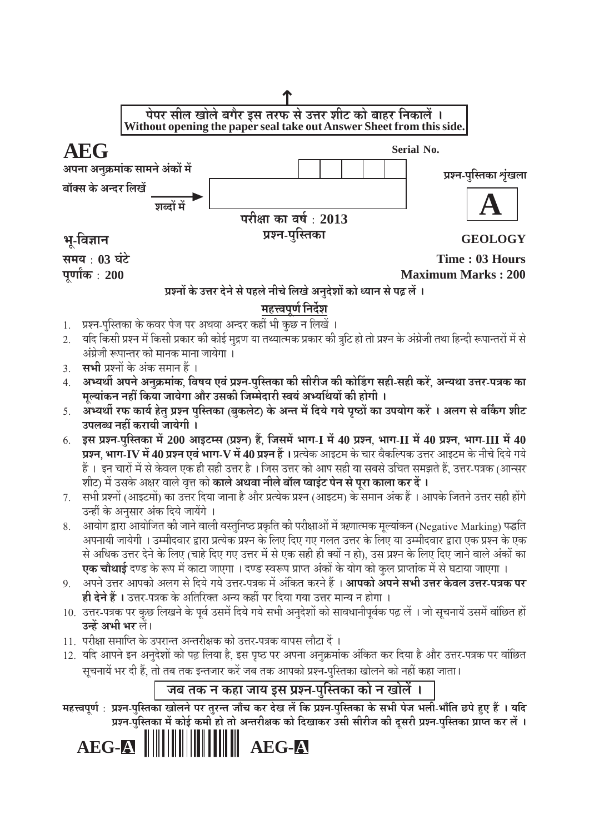

# प्रश्नों के उत्तर देने से पहले नीचे लिखे अनुदेशों को ध्यान से पढ़ लें ।

# महत्त्वपूर्ण निर्देश

- 1. प्रश्न-पुस्तिका के कवर पेज पर अथवा अन्दर कहीं भी कुछ न लिखें ।
- यदि किसी प्रश्न में किसी प्रकार की कोई मुद्रण या तथ्यात्मक प्रकार की त्रटि हो तो प्रश्न के अंग्रेजी तथा हिन्दी रूपान्तरों में से अंग्रेजी रूपान्तर को मानक माना जायेगा ।
- **सभी** प्रश्नों के अंक समान हैं ।  $\overline{3}$ .
- अभ्यर्थी अपने अनुक्रमांक, विषय एवं प्रश्न-पुस्तिका की सीरीज की कोडिंग सही-सही करें, अन्यथा उत्तर-पत्रक का  $4.$ मल्यांकन नहीं किया जायेगा और उसकी जिम्मेदारी स्वयं अर्थ्याथयों की होगी ।
- अभ्यर्थी रफ कार्य हेतु प्रश्न पुस्तिका (बुकलेट) के अन्त में दिये गये पृष्ठों का उपयोग करें । अलग से वर्किंग शीट 5. उपलब्ध नहीं करायी जायेगी ।
- इस प्रश्न-पुस्तिका में 200 आइटम्स (प्रश्न) हैं, जिसमें भाग-I में 40 प्रश्न, भाग-II में 40 प्रश्न, भाग-III में 40 6. प्रश्न, भाग-IV में 40 प्रश्न एवं भाग-V में 40 प्रश्न हैं । प्रत्येक आइटम के चार वैकल्पिक उत्तर आइटम के नीचे दिये गये हैं । इन चारों में से केवल एक ही सही उत्तर है । जिस उत्तर को आप सही या सबसे उचित समझते हैं, उत्तर-पत्रक (आन्सर शीट) में उसके अक्षर वाले वृत्त को **काले अथवा नीले बॉल प्वाइंट पेन से पुरा काला कर दें ।**
- 7. सभी प्रश्नों (आइटमों) का उत्तर दिया जाना है और प्रत्येक प्रश्न (आइटम) के समान अंक हैं । आपके जितने उत्तर सही होंगे उन्हीं के अनुसार अंक दिये जायेंगे ।
- आयोग द्वारा आयोजित की जाने वाली वस्तुनिष्ठ प्रकृति की परीक्षाओं में ऋणात्मक मूल्यांकन (Negative Marking) पद्धति 8. अपनायी जायेगी । उम्मीदवार द्वारा प्रत्येक प्रश्न के लिए दिए गए गलत उत्तर के लिए या उम्मीदवार द्वारा एक प्रश्न के एक से अधिक उत्तर देने के लिए (चाहे दिए गए उत्तर में से एक सही ही क्यों न हो), उस प्रश्न के लिए दिए जाने वाले अंकों का **एक चौथाई** दण्ड के रूप में काटा जाएगा । दण्ड स्वरूप प्राप्त अंकों के योग को कुल प्राप्तांक में से घटाया जाएगा ।
- 9. अपने उत्तर आपको अलग से दिये गये उत्तर-पत्रक में अंकित करने हैं । **आपको अपने सभी उत्तर केवल उत्तर-पत्रक पर ही देने हैं ।** उत्तर-पत्रक के अतिरिक्त अन्य कहीं पर दिया गया उत्तर मान्य न होगा ।
- 10. उत्तर-पत्रक पर कुछ लिखने के पूर्व उसमें दिये गये सभी अनुदेशों को सावधानीपूर्वक पढ़ लें । जो सूचनायें उसमें वांछित हों उन्हें अभी भर लें।
- 11. परीक्षा समाप्ति के उपरान्त अन्तरीक्षक को उत्तर-पत्रक वापस लौटा दें ।
- 12. यदि आपने इन अनुदेशों को पढ़ लिया है, इस पृष्ठ पर अपना अनुक्रमांक अंकित कर दिया है और उत्तर-पत्रक पर वांछित सूचनायें भर दी हैं. तो तब तक इन्तजार करें जब तक आपको प्रश्न-पुस्तिका खोलने को नहीं कहा जाता।

# जब तक न कहा जाय इस प्रश्न-पुस्तिका को न खोलें ।

महत्त्वपूर्ण: प्रश्न-पुस्तिका खोलने पर तुरन्त जाँच कर देख लें कि प्रश्न-पुस्तिका के सभी पेज भली-भाँति छपे हुए हैं । यदि प्रश्न-पुस्तिका में कोई कमी हो तो अन्तरीक्षक को दिखाकर उसी सीरीज की दुसरी प्रश्न-पुस्तिका प्राप्त कर लें ।

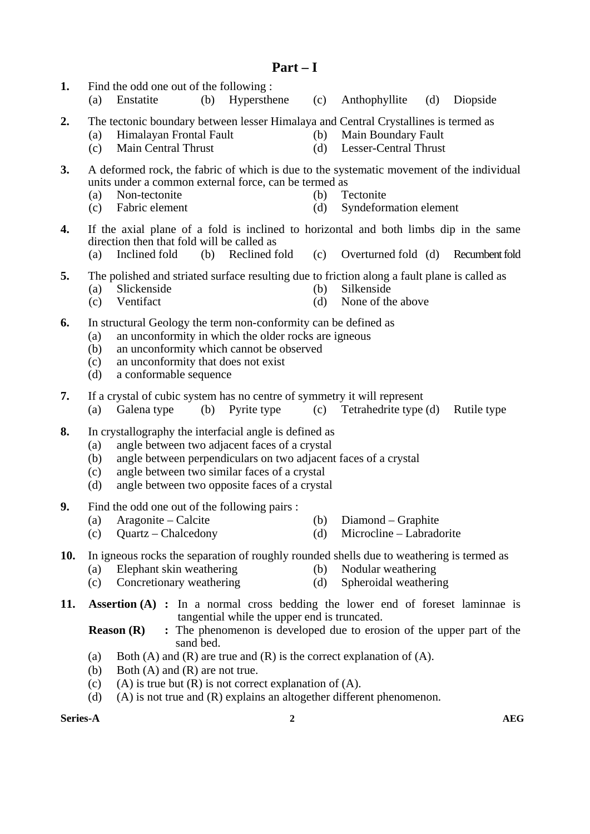- **Part I**
- **1.** Find the odd one out of the following : (a) Enstatite (b) Hypersthene (c) Anthophyllite (d) Diopside **2.** The tectonic boundary between lesser Himalaya and Central Crystallines is termed as (a) Himalayan Frontal Fault (b) Main Boundary Fault (c) Main Central Thrust (d) Lesser-Central Thrust
	-
- 
- **3.** A deformed rock, the fabric of which is due to the systematic movement of the individual units under a common external force, can be termed as
	- (a) Non-tectonite (b) Tectonite
	- (c) Fabric element (d) Syndeformation element
- **4.** If the axial plane of a fold is inclined to horizontal and both limbs dip in the same direction then that fold will be called as
	- (a) Inclined fold (b) Reclined fold (c) Overturned fold (d) Recumbent fold
- **5.** The polished and striated surface resulting due to friction along a fault plane is called as
	- (a) Slickenside (b) Silkenside
	- (c) Ventifact (d) None of the above
- **6.** In structural Geology the term non-conformity can be defined as
	- (a) an unconformity in which the older rocks are igneous
	- (b) an unconformity which cannot be observed
	- (c) an unconformity that does not exist
	- (d) a conformable sequence
- **7.** If a crystal of cubic system has no centre of symmetry it will represent
	- (a) Galena type (b) Pyrite type (c) Tetrahedrite type (d) Rutile type
- **8.** In crystallography the interfacial angle is defined as
	- (a) angle between two adjacent faces of a crystal
	- (b) angle between perpendiculars on two adjacent faces of a crystal
	- (c) angle between two similar faces of a crystal
	- (d) angle between two opposite faces of a crystal
- **9.** Find the odd one out of the following pairs :
	- (a) Aragonite Calcite (b) Diamond Graphite
	- (c) Quartz Chalcedony (d) Microcline Labradorite
- **10.** In igneous rocks the separation of roughly rounded shells due to weathering is termed as
	- (a) Elephant skin weathering (b) Nodular weathering
	- (c) Concretionary weathering (d) Spheroidal weathering
- **11. Assertion (A) :** In a normal cross bedding the lower end of foreset laminnae is tangential while the upper end is truncated.
	- **Reason (R)** : The phenomenon is developed due to erosion of the upper part of the sand bed.
	- (a) Both (A) and (R) are true and (R) is the correct explanation of (A).
	- (b) Both (A) and (R) are not true.
	- (c) (A) is true but  $(R)$  is not correct explanation of  $(A)$ .
	- (d) (A) is not true and (R) explains an altogether different phenomenon.

# **Series-A** and  $\overline{2}$  and  $\overline{2}$  and  $\overline{2}$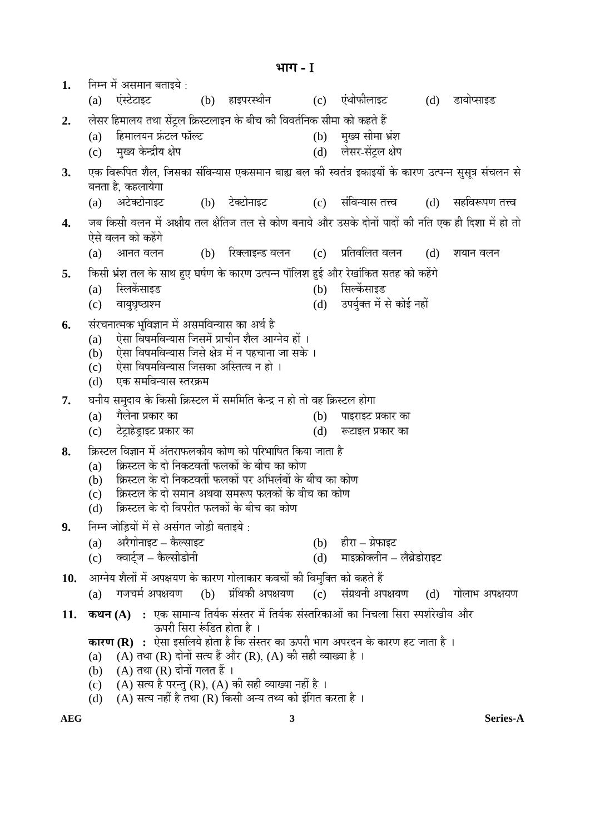1. • निम्न में असमान बताइये : (a) एंस्टेटाइट (b) हाइपरस्थीन (c) एंथोफीलाइट (d) डायोप्साइड 2. » लेसर हिमालय तथा सेंटल क्रिस्टलाइन के बीच की विवर्तनिक सीमा को कहते हैं (a) हिमालयन फ्रंटल फॉल्ट (b) मुख्य सीमा भ्रंश (c) ´ÖãÜµÖ Ûêú®¦üßµÖ õÖê¯Ö (d) »ÖêÃÖ¸ü-ÃÖë™Òü»Ö õÖê¯Ö 3. एक विरूपित शैल. जिसका संविन्यास एकसमान बाह्य बल की स्वतंत्र इकाइयों के कारण उत्पन्न ससत्र संचलन से बनता है. कहलायेगा (a) अटेक्टोनाइट (b) टेक्टोनाइट (c) संविन्यास तत्त्व (d) सहविरूपण तत्त्व 4. जब किसी वलन में अक्षीय तल क्षैतिज तल से कोण बनाये और उसके दोनों पादों की नति एक ही दिशा में हो तो ऐसे वलन को कहेंगे (a) आनत् वलन (b) रिक्लाइन्ड वलन (c) प्रतिवलित वलन (d) शयान वलन 5. किसी भ्रंश तल के साथ हुए घर्षण के कारण उत्पन्न पॉलिश हुई और रेखांकित सतह को कहेंगे (a) स्लिकेंसाइड (b) सिल्केंसाइड (c) ¾ÖÖµÖã'ÖéšüÖ¿´Ö (d) ˆ¯ÖµÖãÔŒŸÖ ´Öë ÃÖê ÛúÖê‡Ô ®ÖÆüà **6.** संरचनात्मक भविज्ञान में असमविन्यास का अर्थ है (a) ऐसा विषमविन्यास जिसमें प्राचीन शैल आग्नेय हों । (b) ऐसा विषमविन्यास जिसे क्षेत्र में न पहचाना जा सके ।  $(c)$  2 ऐसा विषमविन्यास जिसका अस्तित्व न हो । (d) एक समविन्यास स्तरक्रम 7. घनीय समुदाय के किसी क्रिस्टल में सममिति केन्द्र न हो तो वह क्रिस्टल होगा (a) ÝÖî»Öê®ÖÖ ¯ÖÏÛúÖ¸ü ÛúÖ (b) ¯ÖÖ‡¸üÖ‡™ü ¯ÖÏÛúÖ¸ü ÛúÖ (c) टेटाहेडाइट प्रकार का (d) रूटाइल प्रकार का 8. क्रिस्टल विज्ञान में अंतराफलकीय कोण को परिभाषित किया जाता है (a) क्रिस्टल के दो निकटवर्ती फलकों के बीच का कोण (b) क्रिस्टल के दो निकटवर्ती फलकों पर अभिलंबों के बीच का कोण (c) क्रिस्टल के दो समान अथवा समरूप फलकों के बीच का कोण (d) क्रिस्टल के दो विपरीत फलकों के बीच का कोण 9. • निम्न जोडियों में से असंगत जोडी बताइये <sup>.</sup>  $(a)$  31 $\overline{a}$ येगोनाइट – कैल्साइट  $\overline{c}$  and  $\overline{c}$  and  $\overline{b}$  and  $\overline{c}$  and  $\overline{c}$ (c) क्वार्टज – कैल्सीडोनी (d) माइक्रोक्लीन – लेब्रेडोराइट 10. आग्नेय शैलों में अपक्षयण के कारण गोलाकार कवचों की विमुक्ति को कहते हैं  $(a)$  गजचर्म अपक्षयण  $(b)$  ग्रंथिकी अपक्षयण  $(c)$  संग्रथनी अपक्षयण  $(d)$  गोलाभ अपक्षयण **11. कथन (A) :** एक सामान्य तिर्यक संस्तर में तिर्यक संस्तरिकाओं का निचला सिरा स्पर्शरेखीय और ऊपरी सिरा रूंडित होता है । **कारण (R) :** ऐसा इसलिये होता है कि संस्तर का ऊपरी भाग अपरदन के कारण हट जाता है । (a)  $(A)$  तथा (R) दोनों सत्य हैं और (R), (A) की सही व्याख्या है । (b)  $(A)$  तथा  $(R)$  दोनों गलत हैं। (c) (A) सत्य है परन्तु (R), (A) की सही व्याख्या नहीं है । (d)  $(A)$  सत्य नहीं है तथा (R) किसी अन्य तथ्य को इंगित करता है ।

**³ÖÖÝÖ** - I

**AEG 3 Series-A**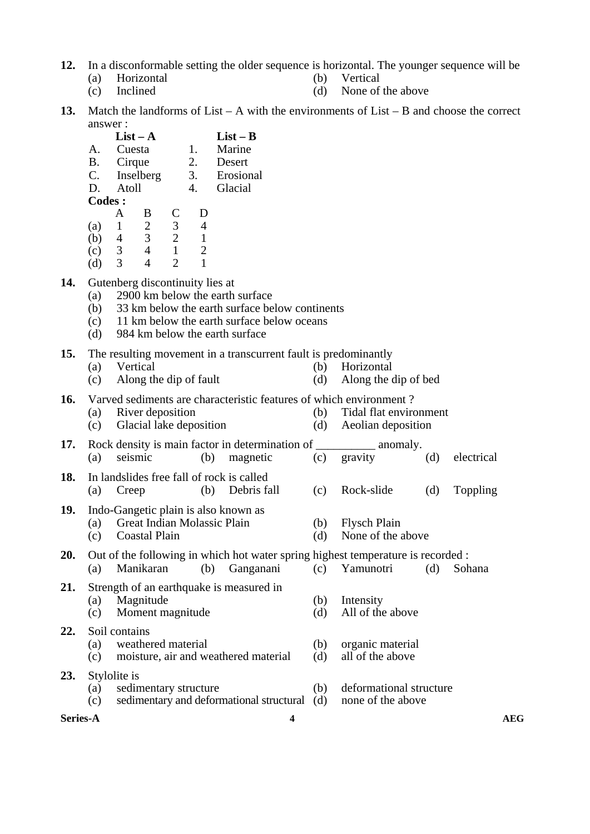- **12.** In a disconformable setting the older sequence is horizontal. The younger sequence will be
	- -
	- (a) Horizontal (b) Vertical
	- (c) Inclined (d) None of the above
- **13.** Match the landforms of List A with the environments of List B and choose the correct answer :
- **List A** List **B**<br>A. Cuesta 1. Marine Marine B. Cirque 2. Desert C. Inselberg 3. Erosional D. Atoll 4. Glacial **Codes :**  A B C D (a) 1 2 3 4
- (b) 4 3 2 1 (c) 3 4 1 2 (d) 3 4 2 1
- **14.** Gutenberg discontinuity lies at
	- (a) 2900 km below the earth surface
	- (b) 33 km below the earth surface below continents
	- (c) 11 km below the earth surface below oceans
	- (d) 984 km below the earth surface

## **15.** The resulting movement in a transcurrent fault is predominantly

- (a) Vertical (b) Horizontal (c) Along the dip of fault (d) Along the dip of bed
- $(c)$  Along the dip of fault (d)

**16.** Varved sediments are characteristic features of which environment ?

- (a) River deposition (b) Tidal flat environment (c) Glacial lake deposition (d) Aeolian deposition
- **17.** Rock density is main factor in determination of \_\_\_\_\_\_\_\_\_\_\_\_ anomaly. (a) seismic (b) magnetic (c) gravity (d) electrical
- **18.** In landslides free fall of rock is called (a) Creep (b) Debris fall (c) Rock-slide (d) Toppling

# **19.** Indo-Gangetic plain is also known as

- (a) Great Indian Molassic Plain (b) Flysch Plain
- (c) Coastal Plain (d) None of the above
- **20.** Out of the following in which hot water spring highest temperature is recorded :<br>(a) Manikaran (b) Ganganani (c) Yamunotri (d) Sob (a) Manikaran (b) Ganganani (c) Yamunotri (d) Sohana
- **21.** Strength of an earthquake is measured in (a) Magnitude (b) Intensity<br>
(c) Moment magnitude (d) All of the above  $(c)$  Moment magnitude  $(d)$

# **22.** Soil contains

- 
- (a) weathered material (b) organic material<br>
(c) moisture, air and weathered material (d) all of the above  $(c)$  moisture, air and weathered material  $(d)$

# **23.** Stylolite is

- (a) sedimentary structure (b) deformational structure (c) sedimentary and deformational structural (d) none of the above
- **Series-A** AEG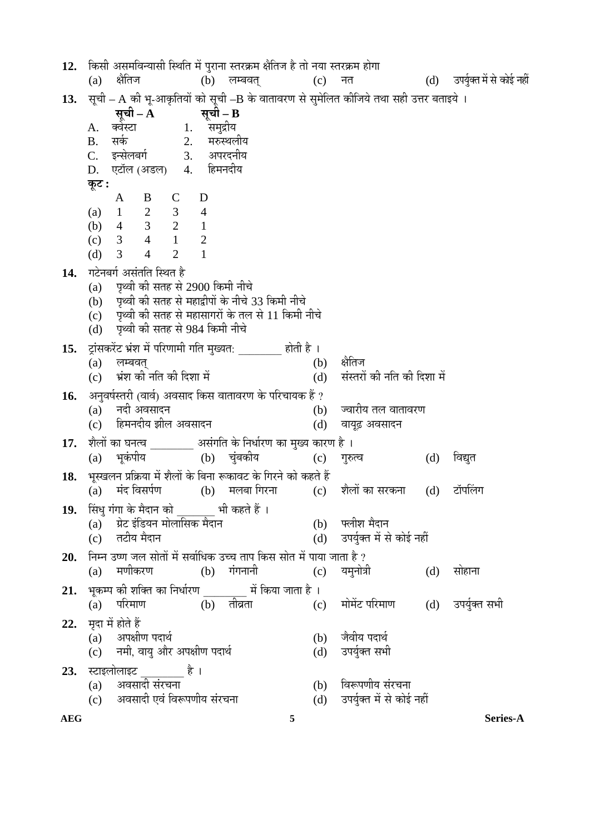**AEG 5 Series-A 12.** ×ÛúÃÖß †ÃÖ´Ö×¾Ö®µÖÖÃÖß ×ãÖ×ŸÖ ´Öë ¯Öã¸üÖ®ÖÖ ÃŸÖ¸üÛÎú´Ö õÖî×ŸÖ•Ö Æîü ŸÖÖê ®ÖµÖÖ ÃŸÖ¸üÛÎú´Ö ÆüÖêÝÖÖ (a) õÖîן֕Ö (b) »Ö´²Ö¾ÖŸÖË (c) ®ÖŸÖ (d) ˆ¯ÖµÖãÔŒŸÖ´Öë ÃÖê ÛúÖê‡Ô ®ÖÆüà **13.** सूची – A की भू-आकृतियों को सूची –B के वातावरण से सुमेलित कीजिये तथा सही उत्तर बताइये ।<br>सूची – A त्युच्ची – B **Rूची – A**<br>क्वेस्टा A. Œ¾ÖêÙüÖ 1. ÃÖ´Öã¦üßµÖ B. ÃÖÛÔú 2. ´Ö¹ýãֻÖßµÖ C. ‡®ÃÖê»Ö²ÖÝÖÔ 3. †¯Ö¸ü¤ü®ÖßµÖ D. एटॉल (अडल) 4. **Ûæú™ü :**  A B C D (a) 1 2 3 4 (b) 4 3 2 1 (c) 3 4 1 2 (d) 3 4 2 1 **14.** गटेनबर्ग असंतति स्थित है<br>(a) पृथ्वी की सतह से पृथ्वी की सतह से 2900 किमी नीचे (b) पृथ्वी की सतह से महाद्वीपों के नीचे 33 किमी नीचे (c) — पृथ्वी की सतह से महासागरों के तल से 11 किमी नीचे (d) – पृथ्वी की सतह से 984 किमी नीचे 1**5.** ट्रांसकरेंट भ्रंश में परिणामी गति मुख्यत: \_\_\_\_\_\_\_\_ होती है ।<br>(b) (a) »Ö´²Ö¾ÖŸÖË (b) õÖîן֕Ö (c) भ्रंश की नति की दिशा में (d) संस्तरों की नति की दिशा में **16.** †®Öã¾ÖÂÖÔßָüß (¾ÖÖ¾ÖÔ) †¾ÖÃÖÖ¤ü ×ÛúÃÖ ¾ÖÖŸÖÖ¾Ö¸üÞÖ Ûêú ¯Ö׸ü"ÖÖµÖÛú Æïü ?  $(a)$  नदी अवसादन  $(b)$  ज्वारीय तल वातावरण (c) हिमनदीय झील अवसादन (d) वायुढ़ अवसादन 17. शैलों का घनत्व \_\_\_\_\_\_\_\_\_ असंगति के निर्धारण का मुख्य कारण है ।<br>(a) भकंपीय (b) चंबकीय (c) गुरु (a) भूकंपीय (b) चुंबकीय (c) गुरुत्व (d) विद्युत 1**8.** भूस्खलन प्रक्रिया में शैलों के बिना रूकावट के गिरने को कहते हैं<br>(a) संद विसर्पण (b) मलबा गिरना (c)  $(a)$  मंद विसर्पण  $(b)$  मलबा गिरना  $(c)$  शैलों का सरकना  $(d)$  टॉपलिंग 19. सिंधु गंगा के मैदान को \_\_\_\_\_\_ भी कहते हैं । (a) ÝÖÏê™ü ‡Ó×›üµÖ®Ö ´ÖÖê»ÖÖ×ÃÖÛú ´Öî¤üÖ®Ö (b) °»Öᨙ ´Öî¤üÖ®Ö  $(d)$  उपर्युक्त में से कोई नहीं **20.** निम्न उष्ण जल सोतों में सर्वाधिक उच्च ताप किस सोत में पाया जाता है ?<br>(a) मणीकरण (b) गंगनानी (c) यम्**नोत्री**  $\rm(a)$  मणीकरण  $\rm(b)$  गंगनानी  $\rm(c)$  यमनोत्री  $\rm(d)$  सोहाना **21.** ³ÖæÛú´¯Ö Ûúß ¿Ö׌ŸÖ ÛúÖ ×®Ö¬ÖÖÔ¸üÞÖ \_\_\_\_\_\_\_\_ ´Öë ×ÛúµÖÖ •ÖÖŸÖÖ Æîü … (a) परिमाण (b) तीव्रता (c) मोमेंट परिमाण (d) उपर्युक्त सभी **22.** मृदा में होते हैं<br>(a) अपक्षी ) अपक्षीण पदार्थ<br>नमी, वायु और अपक्षीण पदार्थ (d) उपर्युक्त सभी  $(c)$  नमी, वायु और अपक्षीण पदार्थ **23.** स्टाइलोलाइट \_\_\_\_\_\_\_\_ है ।<br>(a) अवसादी संरचना (a) †¾ÖÃÖÖ¤üß ÃÖÓ¸ü"Ö®ÖÖ (b) ×¾Öºþ¯ÖÞÖßµÖ ÃÖÓ¸ü"Ö®ÖÖ (c) – अवसादी एवं विरूपणीय संरचना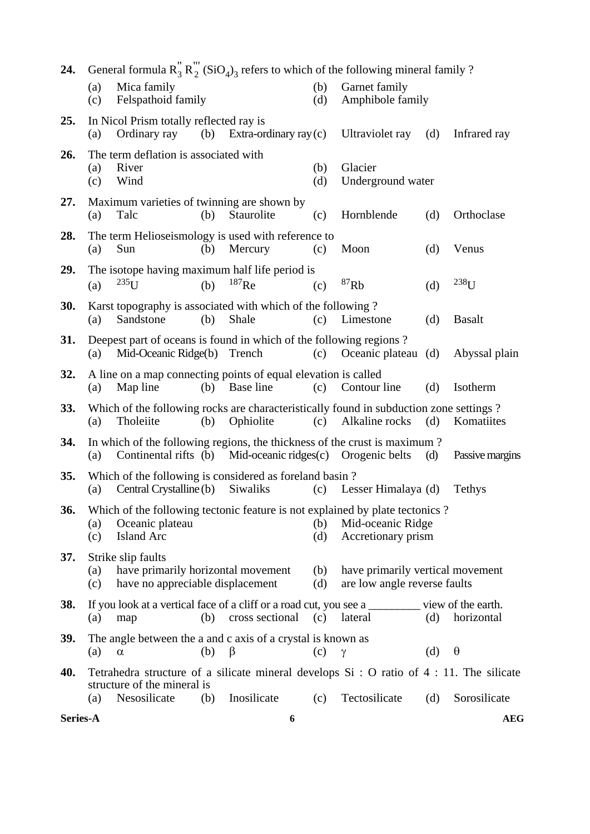| 24.        | General formula $R_3'' R_2'''$ (SiO <sub>4</sub> ) <sub>3</sub> refers to which of the following mineral family ? |                                                                                                   |     |                                                            |            |                                                                                                                         |     |                 |
|------------|-------------------------------------------------------------------------------------------------------------------|---------------------------------------------------------------------------------------------------|-----|------------------------------------------------------------|------------|-------------------------------------------------------------------------------------------------------------------------|-----|-----------------|
|            | (a)<br>(c)                                                                                                        | Mica family<br>Felspathoid family                                                                 |     |                                                            | (b)<br>(d) | Garnet family<br>Amphibole family                                                                                       |     |                 |
| 25.        | (a)                                                                                                               | In Nicol Prism totally reflected ray is<br>Ordinary ray                                           | (b) | Extra-ordinary ray $(c)$                                   |            | Ultraviolet ray                                                                                                         | (d) | Infrared ray    |
| 26.        | (a)<br>(c)                                                                                                        | The term deflation is associated with<br>River<br>Wind                                            |     |                                                            | (b)<br>(d) | Glacier<br>Underground water                                                                                            |     |                 |
| 27.        | (a)                                                                                                               | Maximum varieties of twinning are shown by<br>Talc                                                | (b) | Staurolite                                                 | (c)        | Hornblende                                                                                                              | (d) | Orthoclase      |
| 28.        | (a)                                                                                                               | The term Helioseismology is used with reference to<br>Sun                                         | (b) | Mercury                                                    | (c)        | Moon                                                                                                                    | (d) | Venus           |
| 29.        | (a)                                                                                                               | The isotope having maximum half life period is<br>$235$ U                                         | (b) | $187$ Re                                                   | (c)        | ${}^{87}Rb$                                                                                                             | (d) | $238$ U         |
| <b>30.</b> | (a)                                                                                                               | Karst topography is associated with which of the following?<br>Sandstone                          | (b) | Shale                                                      | (c)        | Limestone                                                                                                               | (d) | <b>Basalt</b>   |
| 31.        | (a)                                                                                                               | Deepest part of oceans is found in which of the following regions?<br>Mid-Oceanic Ridge(b) Trench |     |                                                            | (c)        | Oceanic plateau (d)                                                                                                     |     | Abyssal plain   |
| 32.        | (a)                                                                                                               | A line on a map connecting points of equal elevation is called<br>Map line                        | (b) | Base line                                                  | (c)        | Contour line                                                                                                            | (d) | Isotherm        |
| 33.        | (a)                                                                                                               | Tholeiite                                                                                         | (b) | Ophiolite                                                  | (c)        | Which of the following rocks are characteristically found in subduction zone settings?<br>Alkaline rocks                | (d) | Komatiites      |
| 34.        | (a)                                                                                                               |                                                                                                   |     | Continental rifts (b) Mid-oceanic ridges(c) Orogenic belts |            | In which of the following regions, the thickness of the crust is maximum?                                               | (d) | Passive margins |
| 35.        | (a)                                                                                                               | Which of the following is considered as foreland basin?<br>Central Crystalline (b)                |     | Siwaliks                                                   | (c)        | Lesser Himalaya (d)                                                                                                     |     | Tethys          |
| 36.        | (a)<br>(c)                                                                                                        | Oceanic plateau<br><b>Island Arc</b>                                                              |     |                                                            | (b)<br>(d) | Which of the following tectonic feature is not explained by plate tectonics?<br>Mid-oceanic Ridge<br>Accretionary prism |     |                 |
| 37.        | (a)<br>(c)                                                                                                        | Strike slip faults<br>have primarily horizontal movement<br>have no appreciable displacement      |     |                                                            | (b)<br>(d) | have primarily vertical movement<br>are low angle reverse faults                                                        |     |                 |
| 38.        | (a)                                                                                                               | map                                                                                               | (b) | cross sectional                                            | (c)        | If you look at a vertical face of a cliff or a road cut, you see a _________ view of the earth.<br>lateral              | (d) | horizontal      |
| <b>39.</b> | (a)                                                                                                               | The angle between the a and c axis of a crystal is known as<br>$\alpha$                           | (b) | β                                                          | (c)        | $\gamma$                                                                                                                | (d) | $\theta$        |
| 40.        |                                                                                                                   | structure of the mineral is                                                                       |     |                                                            |            | Tetrahedra structure of a silicate mineral develops Si : O ratio of 4 : 11. The silicate                                |     |                 |
|            | (a)                                                                                                               | Nesosilicate                                                                                      | (b) | Inosilicate                                                | (c)        | Tectosilicate                                                                                                           | (d) | Sorosilicate    |
| Series-A   |                                                                                                                   |                                                                                                   |     | 6                                                          |            |                                                                                                                         |     | <b>AEG</b>      |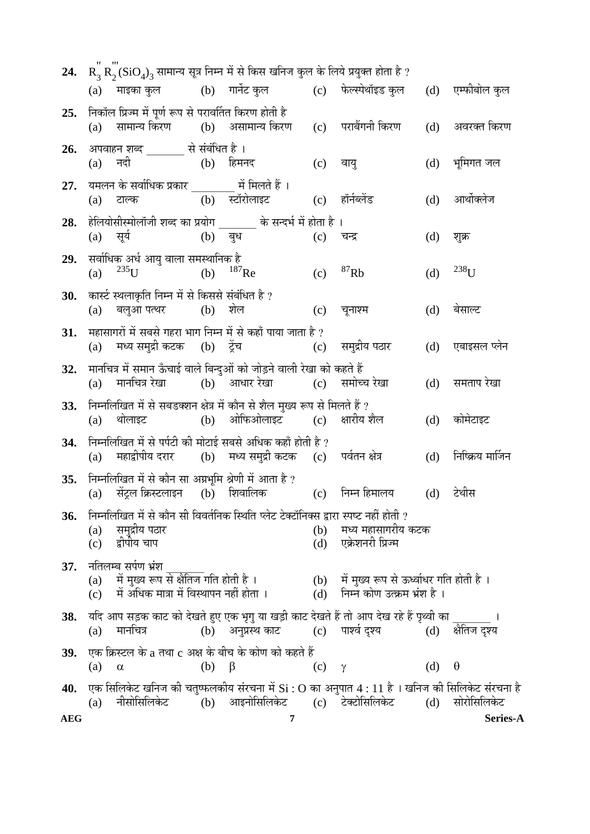| <b>24.</b> |            |                                                                         |               | $R_3 R_2(SiO_4)_3$ सामान्य सूत्र निम्न में से किस खनिज कुल के लिये प्रयुक्त होता है ?                                                    |                |                                                                                                                                                                                                            |     |                   |
|------------|------------|-------------------------------------------------------------------------|---------------|------------------------------------------------------------------------------------------------------------------------------------------|----------------|------------------------------------------------------------------------------------------------------------------------------------------------------------------------------------------------------------|-----|-------------------|
|            |            |                                                                         |               |                                                                                                                                          |                | (a) माइका कुल            (b)    गार्नेट कुल               (c)     फेल्स्पेथॉइड कुल                                                                                                                         |     | (d) एम्फीबोल कुल  |
| 25.        | (a)        | निकॉल प्रिज्म में पूर्ण रूप से परावर्तित किरण होती है                   |               | सामान्य किरण         (b)    असामान्य किरण       (c)    पराबैंगनी किरण                                                                    |                |                                                                                                                                                                                                            | (d) | अवरक्त किरण       |
| 26.        |            | अपवाहन शब्द _______ से संबंधित है।<br>(a) नदी               (b) हिमनद   |               |                                                                                                                                          |                | (c) वायु                                                                                                                                                                                                   | (d) | भूमिगत जल         |
| 27.        |            | यमलन के सर्वाधिक प्रकार _________ में मिलते हैं ।<br>(a) टाल्क          |               | (b) स्टॉरोलाइट                                                                                                                           |                | (c) हॉर्नब्लेंड                                                                                                                                                                                            | (d) | आर्थोक्लेज        |
| 28.        |            | (a) सूर्य (b) बुध                                                       |               | हेलियोसीस्मोलॉजी शब्द का प्रयोग ______ के सन्दर्भ में होता है ।                                                                          | (c)            | चन्द्र                                                                                                                                                                                                     | (d) | शुक्र             |
| 29.        | (a)        | सर्वाधिक अर्ध आयु वाला समस्थानिक है<br>$^{235}$ U<br>(b) $^{187}$ Re    |               |                                                                                                                                          | (c)            | ${}^{87}Rb$                                                                                                                                                                                                | (d) | $238_{\text{H}}$  |
| 30.        |            | कार्स्ट स्थलाकृति निम्न में से किससे संबंधित है ?<br>(a) बलुआ पत्थर (b) |               | शेल                                                                                                                                      | (c)            | चूनाश्म                                                                                                                                                                                                    | (d) | बेसाल्ट           |
| 31.        | (a)        |                                                                         |               | महासागरों में सबसे गहरा भाग निम्न में से कहाँ पाया जाता है ?<br>मध्य समुद्री कटक (b) ट्रेंच                 (c)     समुद्रीय पठार        |                |                                                                                                                                                                                                            | (d) | एबाइसल प्लेन      |
| 32.        | (a)        |                                                                         |               | मानचित्र में समान ऊँचाई वाले बिन्दुओं को जोड़ने वाली रेखा को कहते हैं<br>मानचित्र रेखा (b) आधार रेखा (c) समोच्च रेखा                     |                |                                                                                                                                                                                                            | (d) | समताप रेखा        |
| 33.        | (a)        | थोलाइट                                                                  |               | निम्नलिखित में से सबडक्शन क्षेत्र में कौन से शैल मुख्य रूप से मिलते हैं ?<br>(b) ओफिओलाइट (c) क्षारीय शैल                                |                |                                                                                                                                                                                                            | (d) | कोमेटाइट          |
| 34.        | (a)        |                                                                         |               | निम्नलिखित में से पर्पटी की मोटाई सबसे अधिक कहाँ होती है ?<br>महाद्वीपीय दरार        (b)     मध्य समुद्री कटक     (c)     पर्वतन क्षेत्र |                |                                                                                                                                                                                                            | (d) | निष्क्रिय मार्जिन |
| 35.        |            | निम्नलिखित में से कौन सा अग्रभूमि श्रेणी में आता है ?                   |               |                                                                                                                                          |                | (a) सेंट्रल क्रिस्टलाइन (b) शिवालिक    (c) निम्न हिमालय                                                                                                                                                    |     | (d) टेथीस         |
| 36.        | (a)<br>(c) | समुद्रीय पठार<br>द्वीपीय चाप                                            |               | निम्नलिखित में से कौन सी विवर्तनिक स्थिति प्लेट टेक्टॉनिक्स द्वारा स्पष्ट नहीं होती ?                                                    | (b)            | मध्य महासागरीय कटक<br>(d) एक्रेशनरी प्रिज्म                                                                                                                                                                |     |                   |
| 37.        |            | नतिलम्ब सर्पण भ्रंश<br>में मुख्य रूप से क्षैतिज गति होती है ।           |               |                                                                                                                                          |                | (a) में मुख्य रूप से क्षैतिज गति होती है ।                 (b)   में मुख्य रूप से ऊर्ध्वाधर गति होती है ।<br>(c)   में अधिक मात्रा में विस्थापन नहीं होता ।             (d)   निम्न कोण उत्क्रम भ्रंश है । |     |                   |
| 38.        | (a)        | मानचित्र                                                                |               |                                                                                                                                          |                | यदि आप सड़क काट को देखते हुए एक भृगु या खड़ी काट देखते हैं तो आप देख रहे हैं पृथ्वी का बाल का साथ<br>(b) अनुप्रस्थ काट          (c)     पार्श्व दृश्य                  (d)                                 |     | क्षेतिज दृश्य     |
| 39.        | (a)        | $\alpha$                                                                | $(b)$ $\beta$ | एक क्रिस्टल के a तथा c अक्ष के बीच के कोण को कहते हैं                                                                                    | $(c)$ $\gamma$ |                                                                                                                                                                                                            | (d) | $\theta$          |
| 40.        |            | नीसोसिलिकेट                                                             |               | (b) आइनोसिलिकेट (c) टेक्टोसिलिकेट                                                                                                        |                | एक सिलिकेट खनिज की चतुष्फलकीय संरचना में Si : O का अनुपात 4 : 11 है । खनिज की सिलिकेट संरचना है                                                                                                            | (d) | सोरोसिलिकेट       |
| <b>AEG</b> | (a)        |                                                                         |               | 7                                                                                                                                        |                |                                                                                                                                                                                                            |     | Series-A          |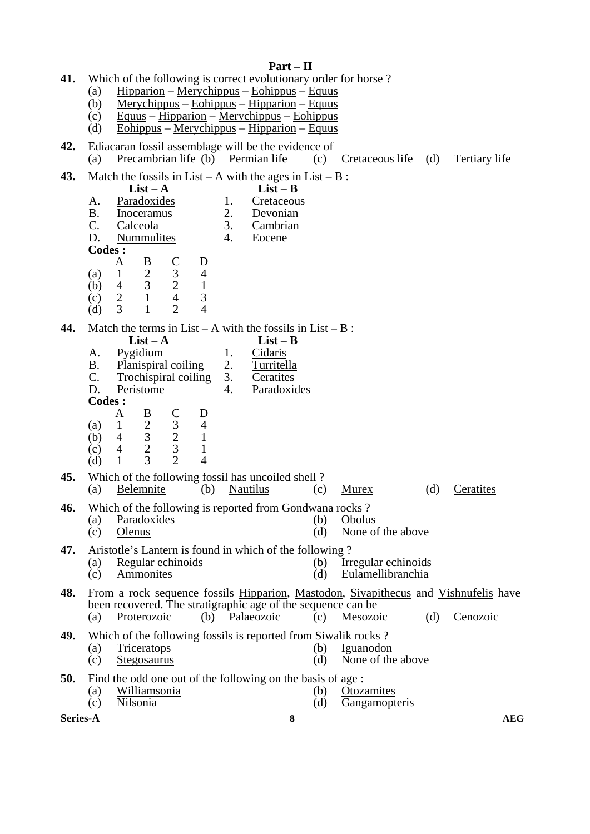## **Part – II**

- **41.** Which of the following is correct evolutionary order for horse ?
	- (a) Hipparion Merychippus Eohippus Equus
	- (b) Merychippus Eohippus Hipparion Equus
	- (c) Equus Hipparion Merychippus Eohippus
	- (d) Eohippus Merychippus Hipparion Equus
- **42.** Ediacaran fossil assemblage will be the evidence of (a) Precambrian life (b) Permian life (c) Precambrian life (b) Permian life (c) Cretaceous life (d) Tertiary life

**43.** Match the fossils in List – A with the ages in List

| 43. | Match the fossils in List – A with the ages in List – $B$ : |                |                |                         |   |    |                                                            |
|-----|-------------------------------------------------------------|----------------|----------------|-------------------------|---|----|------------------------------------------------------------|
|     | $List - A$                                                  |                |                |                         |   |    | $List - B$                                                 |
|     | А.                                                          |                | Paradoxides    |                         |   | 1. | Cretaceous                                                 |
|     | Β.                                                          |                | Inoceramus     |                         |   | 2. | Devonian                                                   |
|     | C.                                                          |                | Calceola       |                         |   | 3. | Cambrian                                                   |
|     | D.                                                          |                | Nummulites     |                         |   | 4. | Eocene                                                     |
|     | Codes :                                                     |                |                |                         |   |    |                                                            |
|     |                                                             | A              | B              |                         | D |    |                                                            |
|     | (a)                                                         | 1              | $\overline{2}$ | 3                       | 4 |    |                                                            |
|     | (b)                                                         | 4              | $\overline{3}$ | $\overline{2}$          | 1 |    |                                                            |
|     | (c)                                                         | $\overline{2}$ | $\mathbf{1}$   | $\overline{4}$          | 3 |    |                                                            |
|     | (d)                                                         | 3              | 1              | $\overline{2}$          | 4 |    |                                                            |
| 44. |                                                             |                |                |                         |   |    | Match the terms in List – A with the fossils in List – B : |
|     |                                                             |                | $List - A$     |                         |   |    | $List - B$                                                 |
|     | A.                                                          |                | Pygidium       |                         |   | 1. | Cidaris                                                    |
|     | B.                                                          |                |                | Planispiral coiling     |   | 2. | Turritella                                                 |
|     | $\mathbf{C}$ .                                              |                |                | Trochispiral coiling 3. |   |    | Ceratites                                                  |
|     | D.                                                          |                | Peristome      |                         |   | 4. | Paradoxides                                                |
|     | Codes :                                                     |                |                |                         |   |    |                                                            |
|     |                                                             | A              | B              | C                       | Ð |    |                                                            |

|  | (d) $1\quad 3\quad 2\quad 4$ |  |                                                              |  |               |  |
|--|------------------------------|--|--------------------------------------------------------------|--|---------------|--|
|  |                              |  | <b>45.</b> Which of the following fossil has uncoiled shell? |  |               |  |
|  |                              |  | (a) Belemnite (b) Nautilus (c) Murex                         |  | (d) Ceratites |  |

- **46.** Which of the following is reported from Gondwana rocks ?
	- (a) Paradoxides (b) Obolus<br>
	(c) Olenus (d) None of (c) Olenus (d) None of the above
		-

**47.** Aristotle's Lantern is found in which of the following ?<br>(a) Regular echinoids (b) Irr

- (a) Regular echinoids (b) Irregular echinoids<br>
(c) Ammonites (d) Eulamellibranchia (c) Ammonites (d) Eulamellibranchia
- **48.** From a rock sequence fossils Hipparion, Mastodon, Sivapithecus and Vishnufelis have been recovered. The stratigraphic age of the sequence can be (a) Proterozoic (b) Palaeozoic (c) Mesozoic (d) Cenozoic

**49.** Which of the following fossils is reported from Siwalik rocks ?

- (a) Triceratops (b) Iguanodon (c) Stegosaurus (d) None of the above
- 
- **50.** Find the odd one out of the following on the basis of age :<br>(a) Williamsonia (b) Otoz
	- (a) Williamsonia (b) Otozamites<br>
	(c) Nilsonia (d) Gangamopt

 (a) 1 2 3 4 (a)  $\begin{array}{ccc} 1 & 2 & 3 & 4 \\ (b) & 4 & 3 & 2 & 1 \\ (c) & 4 & 2 & 3 & 1 \end{array}$ (c)  $\begin{matrix} 4 & 2 & 3 & 1 \\ 4 & 1 & 3 & 2 & 4 \end{matrix}$ 

Gangamopteris

**Series-A** and a series-A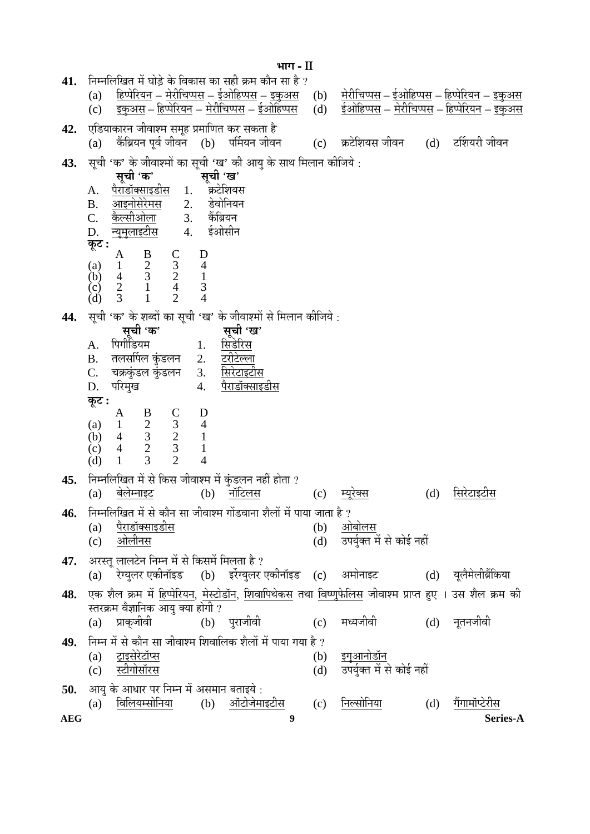**AEG 9 Series-A ³ÖÖÝÖ** - II 41. निम्नलिखित में घोड़े के विकास का सही क्रम कौन सा है ?<br>(a) हिप्पेरियन – मेरीचिप्पस – ईओहिप्पस – इकुअस (a) <u>हिप्पेरियन</u> – <u>मेरीचिप्पस</u> – <u>ईओहिप्पस</u> – <u>इकुअस</u> (b) <u>मेरीचिप्पस – ईओहिप्पस – हिप्पेरियन</u> – <u>इकुअस</u><br>(c) <u>इकुअस – हिप्पेरियन – मेरीचिप्पस – ईओहिप्पस</u> (d) ईओहिप्पस – <u>मेरीचिप्पस – हिप्पेरियन</u> – <u>इकुअस</u>  $\rm (c)$   $\rm$  <u>इकुअस – हिप्पेरियन – मेरीचिप्पस – ईओहिप्पस</u>  $\rm (d)$   $\rm$  ईओहिप्पस – मेरीचिप्पस – हिप्पेरियन – इकुअस 42. **एडियाकारन जीवाश्म समूह प्रमाणित कर सकता** है  $(a)$  कैंब्रियन पूर्व जीवन  $(b)$  पर्मियन जीवन  $(c)$  क्रटेशियस जीवन  $(d)$  टर्शियरी जीवन 43. सूची 'क' के जीवाश्मों का सूची 'ख' की आयु के साथ मिलान कीजिये :<br>**सची 'क' सची 'ख' सूची 'ख'**<br>कटेशियस A. <u>पैराडॉक्साइडीस</u> 1. क्रटेशियस<br>B. आइनोसेरेमस 2. डेवोनियन B. <u>आइनोसेरेमस</u> 2. डेवोनिय<br>C. कैल्सीओला 3. कैंब्रियन <u>कैल्सीओला</u> 3. कैंब्रियन<br>न्यमलाइटीस 4. ईओसीन D. <u>न्यूमुलाइटीस</u> 4.  $\overline{\phi}$ **:**  $A$  B C D (a) 1 2 3 4 (b) 4 3 2 1  $(c)$  2 1 4 3  $(d)$  3 1 2 4 **44.** ÃÖæ"Öß 'Ûú' Ûêú ¿Ö²¤üÖë ÛúÖ ÃÖæ"Öß 'ÜÖ' Ûêú •Öß¾ÖÖ¿´ÖÖë ÃÖê ×´Ö»ÖÖ®Ö ÛúßוֵÖê : **`सूची 'ख'**<br>सिडेरिस  $A.$  पिगोडियम $1.$ B. तलसर्पिल कुंडलन 2. <u>टरीटेल्ला</u><br>C. चक्रकंडल कंडलन 3. सिरेटाइटीस चक्रकुंडल कुंडलन<br>परिमुख D. परिमख 4. पैराडॉक्साइडीस **Ûæú™ü :**  A B C D (a) 1 2 3 4 (b) 4 3 2 1 (c)  $4$   $2$   $3$   $1$ <br>(d)  $1$   $3$   $2$   $4$  (d) 1 3 2 4 45. निम्नलिखित में से किस जीवाश्म में कुंडलन नहीं होता ?<br>(a) बेलेम्नाइट (b) नॉटिलस (a) <u>बेलेम्नाइट</u> (b) <u>नॉटिलस</u> (c) <u>म्यूरेक्स</u> (d) <u>सिरेटाइटीस</u> **46.** निम्नलिखित में से कौन सा जीवाश्म गोंडवाना शैलों में पाया जाता है ?<br>(a) पैराडॉक्साइडीस  $(a)$  पैराडॉक्साइडीस (b) (c) †Öê»Öß®ÖÃÖ (d) ˆ¯ÖµÖãÔŒŸÖ ´Öë ÃÖê ÛúÖê‡Ô ®ÖÆüà 47. अरस्तू लालटेन निम्न में से किसमें मिलता है ?<br>(a) रेग्युलर एकीनॉइड (b) इर्रेग्युलर  $\rm_{(a)}$ े रेग्युलर एकीनॉइड $\rm(b)$  इरेंग्युलर एकीनॉइड  $\rm(c)$  अमोनाइट $\rm(d)$  युलैमेलीब्रैंकिया 48. एक शैल क्रम में हिप्पेरियन, मेस्टोडॉन, शिवापिथेकस तथा विष्णुफेलिस जीवाश्म प्राप्त हुए । उस शैल क्रम की स्तरक्रम वैज्ञानिक आयु क्या होगी ?<br>(a) प्राकुजीवी (b) (a) प्राकृजीवी (b) प्**राजीवी (c) मध्यजीवी (d) नृतनजी**वी 49. • निम्न में से कौन सा जीवाश्म शिवालिक शैलों में पाया गया है ? (a) <u>ट्राइसेरेटॉप्स</u> (b) <u>इगुआनोडॉन</u><br>(c) स्टीगोसॉरस (d) उपर्यक्त में र (c) ÙüßÝÖÖêÃÖÖò¸üÃÖ (d) ˆ¯ÖµÖãÔŒŸÖ ´Öë ÃÖê ÛúÖê‡Ô ®ÖÆüà **50.** आयु के आधार पर निम्न में असमान बताइये :<br>(a) विलियम्सोनिया (b) ऑटोजेमाइटीस (a) <u>विलियम्सोनिया</u> (b) <u>ऑटोजेमाइटीस</u> (c) <u>निल्सोनिया</u> (d) गैंगामॉप्टेरीस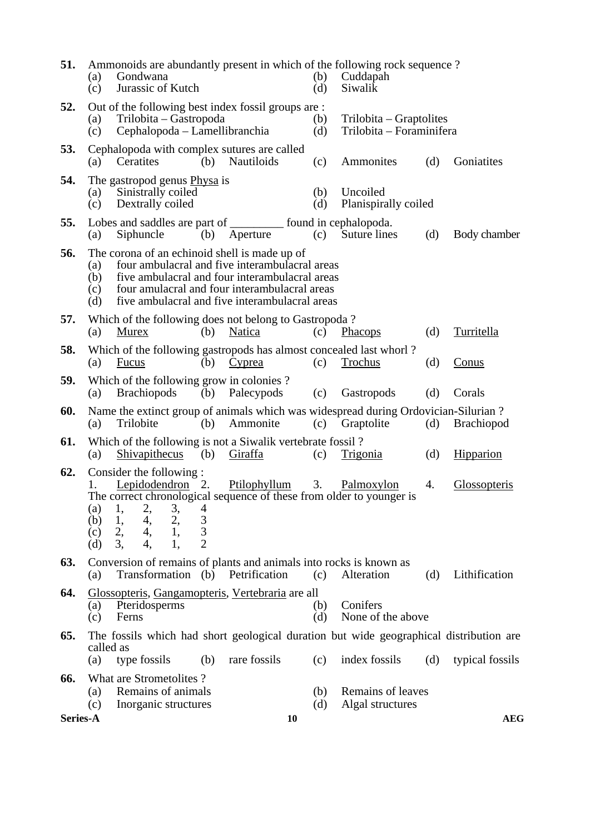| 51.      | Ammonoids are abundantly present in which of the following rock sequence?<br>Gondwana<br>(a)<br>Jurassic of Kutch<br>(c)                                                                                                                                                         |                | (b)<br>(d) | Cuddapah<br>Siwalik                                 |     |                   |
|----------|----------------------------------------------------------------------------------------------------------------------------------------------------------------------------------------------------------------------------------------------------------------------------------|----------------|------------|-----------------------------------------------------|-----|-------------------|
| 52.      | Out of the following best index fossil groups are :<br>Trilobita – Gastropoda<br>(a)<br>Cephalopoda – Lamellibranchia<br>(c)                                                                                                                                                     |                | (b)<br>(d) | Trilobita – Graptolites<br>Trilobita – Foraminifera |     |                   |
| 53.      | Cephalopoda with complex sutures are called<br>Ceratites<br>(b)<br>(a)                                                                                                                                                                                                           | Nautiloids     | (c)        | Ammonites                                           | (d) | Goniatites        |
| 54.      | The gastropod genus Physa is<br>Sinistrally coiled<br>(a)<br>Dextrally coiled<br>(c)                                                                                                                                                                                             |                | (b)<br>(d) | Uncoiled<br>Planispirally coiled                    |     |                   |
| 55.      | Lobes and saddles are part of ________ found in cephalopoda.<br>Siphuncle<br>(a)<br>(b)                                                                                                                                                                                          | Aperture       | (c)        | Suture lines                                        | (d) | Body chamber      |
| 56.      | The corona of an echinoid shell is made up of<br>four ambulacral and five interambulacral areas<br>(a)<br>five ambulacral and four interambulacral areas<br>(b)<br>four amulacral and four interambulacral areas<br>(c)<br>five ambulacral and five interambulacral areas<br>(d) |                |            |                                                     |     |                   |
| 57.      | Which of the following does not belong to Gastropoda?<br>(a)<br>Murex<br>(b)                                                                                                                                                                                                     | Natica         | (c)        | <b>Phacops</b>                                      | (d) | Turritella        |
| 58.      | Which of the following gastropods has almost concealed last whorl?<br><b>Fucus</b><br>(b)<br>(a)                                                                                                                                                                                 | Cyprea         | (c)        | Trochus                                             | (d) | Conus             |
| 59.      | Which of the following grow in colonies?<br><b>Brachiopods</b><br>(a)                                                                                                                                                                                                            | (b) Palecypods | (c)        | Gastropods                                          | (d) | Corals            |
| 60.      | Name the extinct group of animals which was widespread during Ordovician-Silurian?<br>Trilobite<br>(b)<br>(a)                                                                                                                                                                    | Ammonite       | (c)        | Graptolite                                          | (d) | <b>Brachiopod</b> |
| 61.      | Which of the following is not a Siwalik vertebrate fossil?<br>Shivapithecus<br>(a)<br>(b)                                                                                                                                                                                        | <u>Giraffa</u> | (c)        | <u>Trigonia</u>                                     | (d) | Hipparion         |
| 62.      | Consider the following :<br>Lepidodendron 2.<br>1.<br>The correct chronological sequence of these from older to younger is<br>$\begin{array}{cccc} 1, & 2, & 3, \\ 1, & 4, & 2, \\ 2, & 4, & 1, \end{array}$<br>(a)<br>4<br>$\frac{3}{3}$<br>(b)<br>(c)<br>$\overline{2}$<br>(d) | Ptilophyllum   | 3.         | Palmoxylon                                          | 4.  | Glossopteris      |
| 63.      | Conversion of remains of plants and animals into rocks is known as<br>Transformation (b)<br>(a)                                                                                                                                                                                  | Petrification  | (c)        | Alteration                                          | (d) | Lithification     |
| 64.      | Glossopteris, Gangamopteris, Vertebraria are all<br>Pteridosperms<br>(a)<br>(c)<br>Ferns                                                                                                                                                                                         |                | (b)<br>(d) | Conifers<br>None of the above                       |     |                   |
| 65.      | The fossils which had short geological duration but wide geographical distribution are<br>called as                                                                                                                                                                              |                |            |                                                     |     |                   |
| 66.      | type fossils<br>(b)<br>(a)<br>What are Strometolites?                                                                                                                                                                                                                            | rare fossils   | (c)        | index fossils                                       | (d) | typical fossils   |
|          | Remains of animals<br>(a)<br>(c)<br>Inorganic structures                                                                                                                                                                                                                         |                | (b)<br>(d) | Remains of leaves<br>Algal structures               |     |                   |
| Series-A |                                                                                                                                                                                                                                                                                  | <b>10</b>      |            |                                                     |     | <b>AEG</b>        |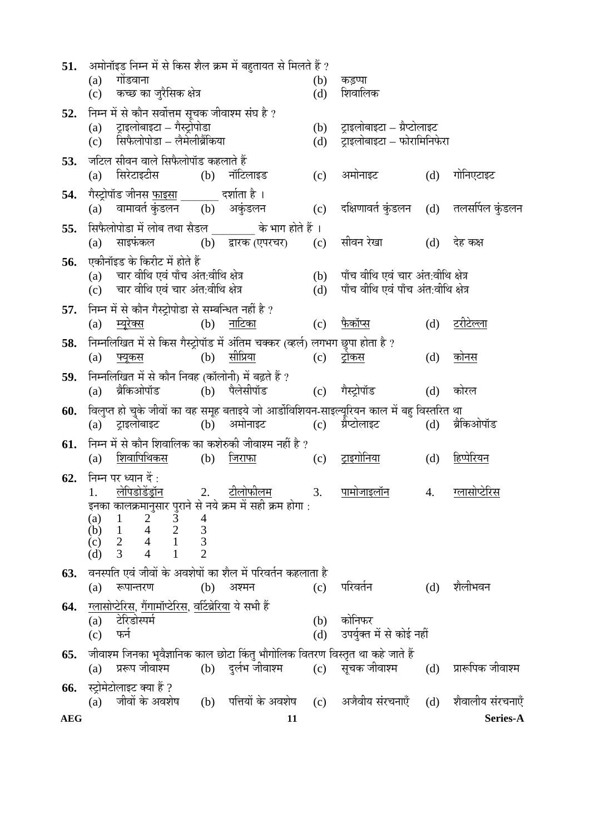| 51.        |            |                                                                                      |                | अमोनॉइड निम्न में से किस शैल क्रम में बहुतायत से मिलते हैं ?                                         |            |                                                                                                                                                                       |     |                          |
|------------|------------|--------------------------------------------------------------------------------------|----------------|------------------------------------------------------------------------------------------------------|------------|-----------------------------------------------------------------------------------------------------------------------------------------------------------------------|-----|--------------------------|
|            |            | $(a)$ गोंडवाना<br>(c) कच्छ का जुरैसिक क्षेत्र                                        |                |                                                                                                      | (b)<br>(d) | कड़प्पा<br>शिवालिक                                                                                                                                                    |     |                          |
| 52.        |            | निम्न में से कौन सर्वोत्तम सूचक जीवाश्म संघ है ?                                     |                |                                                                                                      |            |                                                                                                                                                                       |     |                          |
|            |            | (a) ट्राइलोबाइटा – गैस्ट्रोपोडा<br>(c) सिफैलोपोडा – लैमेलीब्रैंकिया                  |                |                                                                                                      |            | (b) ट्राइलोबाइटा – ग्रैप्टोलाइट<br>(d) ट्राइलोबाइटा – फोरामिनिफेरा                                                                                                    |     |                          |
| 53.        |            | जटिल सीवन वाले सिफैलोपॉड कहलाते हैं                                                  |                |                                                                                                      |            |                                                                                                                                                                       |     |                          |
|            |            | (a) सिरेटाइटीस (b) नॉटिलाइड                                                          |                |                                                                                                      |            | (c) अमोनाइट (d)                                                                                                                                                       |     | गोनिएटाइट                |
| 54.        |            |                                                                                      |                |                                                                                                      |            | गैस्ट्रोपॉड जीनस <u>फाइसा            </u> दर्शाता है ।<br>(a)    वामावर्त कुंडलन      (b)    अकुंडलन              (c)    दक्षिणावर्त कुंडलन    (d)    तलसर्पिल कुंडलन |     |                          |
|            |            |                                                                                      |                |                                                                                                      |            |                                                                                                                                                                       |     |                          |
| 55.        |            |                                                                                      |                | सिफैलोपोडा में लोब तथा सैडल _______ के भाग होते हैं ।                                                |            |                                                                                                                                                                       |     |                          |
|            |            |                                                                                      |                |                                                                                                      |            | (a) साइफंकल     (b) द्वारक(एपरचर)   (c) सीवन रेखा     (d)   देह कक्ष                                                                                                  |     |                          |
| 56.        |            | एकीनॉइड के किरीट में होते हैं<br>(a) चार वीथि एवं पाँच अंत:वीथि क्षेत्र              |                |                                                                                                      |            | (b) पाँच वीथि एवं चार अंत:वीथि क्षेत्र                                                                                                                                |     |                          |
|            |            | (c) चार वीथि एवं चार अंत:वीथि क्षेत्र                                                |                |                                                                                                      |            | (d) पाँच वीथि एवं पाँच अंत:वीथि क्षेत्र                                                                                                                               |     |                          |
| 57.        |            | निम्न में से कौन गैस्ट्रोपोडा से सम्बन्धित नहीं है ?                                 |                |                                                                                                      |            |                                                                                                                                                                       |     |                          |
|            |            | (a) <u>म्यूरेक्स</u><br>(b) <u>नाटिका</u>                                            |                |                                                                                                      |            | (c) <u>फैकॉप्स</u>                                                                                                                                                    | (d) | टरीटेल्ला                |
| 58.        |            |                                                                                      |                | निम्नलिखित में से किस गैस्ट्रोपॉड में अंतिम चक्कर (व्हर्ल) लगभग छुपा होता है ?                       |            |                                                                                                                                                                       |     |                          |
|            | (a)        | (b) <u>सीप्रिया</u><br><u>फ्युकस</u>                                                 |                |                                                                                                      |            | (c) <u>ट्रोकस</u>                                                                                                                                                     | (d) | कोनस                     |
| 59.        |            | निम्नलिखित में से कौन निवह (कॉलोनी) में बढ़ते हैं ?                                  |                |                                                                                                      |            |                                                                                                                                                                       |     |                          |
|            | (a)        |                                                                                      |                |                                                                                                      |            | ब्रैकिओपॉड  (b) पैलेसीपॉड  (c) गैस्ट्रोपॉड                                                                                                                            | (d) | कोरल                     |
| 60.        |            |                                                                                      |                |                                                                                                      |            | विलुप्त हो चुके जीवों का वह समूह बताइये जो आर्डोविशियन-साइल्यूरियन काल में बहु विस्तरित था                                                                            |     |                          |
|            |            |                                                                                      |                |                                                                                                      |            | (a) ट्राइलोबाइट   (b) अमोनाइट   (c) ग्रैप्टोलाइट   (d) ब्रैकिओपॉड                                                                                                     |     |                          |
| 61.        |            |                                                                                      |                | निम्न में से कौन शिवालिक का कशेरुकी जीवाश्म नहीं है ?                                                |            |                                                                                                                                                                       |     |                          |
|            | (a)        |                                                                                      |                |                                                                                                      |            | <u>शिवापिथिकस</u> (b) <u>जिराफा</u> (c) <u>ट्राइगोनिया</u>                                                                                                            | (d) | हिप्पेरियन               |
| 62.        |            | निम्न पर ध्यान दें :                                                                 |                | 2. <u>टीलोफीलम</u>                                                                                   |            |                                                                                                                                                                       |     | 4. <u>ग्</u> लासोप्टेरिस |
|            |            | <u>1. लेपिडोडेंड्रॉन</u>                                                             |                | इनका कालक्रमानुसार पुराने से नये क्रम मे सही क्रम होगा :                                             |            | <u>3. पामोजाइलॉन</u>                                                                                                                                                  |     |                          |
|            | (a)        | $\begin{array}{c} 2 \ \ 2 \ \ 3 \ \ 4 \ \ 2 \ \ 4 \ \ 1 \end{array}$<br>$\mathbf{1}$ | $\overline{4}$ |                                                                                                      |            |                                                                                                                                                                       |     |                          |
|            | (b)<br>(c) | $\mathbf{1}$<br>$\overline{2}$                                                       | 3<br>3         |                                                                                                      |            |                                                                                                                                                                       |     |                          |
|            | (d)        | 3                                                                                    | $\overline{2}$ |                                                                                                      |            |                                                                                                                                                                       |     |                          |
| 63.        |            |                                                                                      |                | वनस्पति एवं जीवों के अवशेषों का शैल में परिवर्तन कहलाता है                                           |            |                                                                                                                                                                       |     |                          |
|            | (a)        | रूपान्तरण                                                                            | (b)            | अश्मन                                                                                                | (c)        | परिवर्तन                                                                                                                                                              | (d) | शैलीभवन                  |
| 64.        |            | <u>ग्लासोप्टेरिस, गैंगामॉप्टेरिस, वर्टिब्रेरिया</u> ये सभी हैं                       |                |                                                                                                      |            |                                                                                                                                                                       |     |                          |
|            | (a)<br>(c) | टेरिडोस्पर्म<br>फर्न                                                                 |                |                                                                                                      | (b)<br>(d) | कोनिफर<br>उपर्युक्त में से कोई नहीं                                                                                                                                   |     |                          |
|            |            |                                                                                      |                |                                                                                                      |            |                                                                                                                                                                       |     |                          |
| 65.        | (a)        | प्ररूप जीवाश्म                                                                       |                | जीवाश्म जिनका भूवैज्ञानिक काल छोटा किंतु भौगोलिक वितरण विस्तृत था कहे जाते हैं<br>(b) दुर्लभ जीवाश्म |            | (c) सूचक जीवाश्म                                                                                                                                                      | (d) | प्रारूपिक जीवाश्म        |
| 66.        |            | स्ट्रोमेटोलाइट क्या हैं ?                                                            |                |                                                                                                      |            |                                                                                                                                                                       |     |                          |
|            | (a)        | जीवों के अवशेष                                                                       |                |                                                                                                      |            | (b) पत्तियों के अवशेष    (c)    अजैवीय संरचनाएँ    (d)                                                                                                                |     | शैवालीय संरचनाएँ         |
| <b>AEG</b> |            |                                                                                      |                | 11                                                                                                   |            |                                                                                                                                                                       |     | Series-A                 |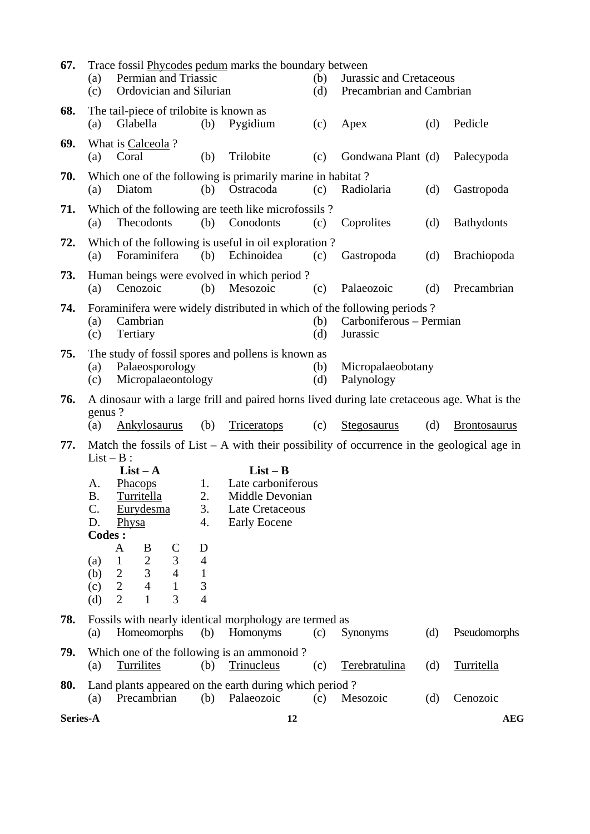| 67. | (a)<br>(c)                                                                                       | Trace fossil <b>Phycodes</b> pedum marks the boundary between<br>Permian and Triassic<br>Ordovician and Silurian                  |                                             |                                                                                               | (b)<br>(d) |                                                                                                                | Jurassic and Cretaceous<br>Precambrian and Cambrian |                     |  |
|-----|--------------------------------------------------------------------------------------------------|-----------------------------------------------------------------------------------------------------------------------------------|---------------------------------------------|-----------------------------------------------------------------------------------------------|------------|----------------------------------------------------------------------------------------------------------------|-----------------------------------------------------|---------------------|--|
| 68. | (a)                                                                                              | The tail-piece of trilobite is known as<br>Glabella                                                                               | (b)                                         | Pygidium                                                                                      | (c)        | Apex                                                                                                           | (d)                                                 | Pedicle             |  |
| 69. | (a)                                                                                              | What is Calceola?<br>Coral                                                                                                        | (b)                                         | Trilobite                                                                                     | (c)        | Gondwana Plant (d)                                                                                             |                                                     | Palecypoda          |  |
| 70. | (a)                                                                                              | Which one of the following is primarily marine in habitat?<br>Diatom                                                              | (b)                                         | Ostracoda                                                                                     | (c)        | Radiolaria                                                                                                     | (d)                                                 | Gastropoda          |  |
| 71. | (a)                                                                                              | Which of the following are teeth like microfossils?<br>Thecodonts                                                                 | (b)                                         | Conodonts                                                                                     | (c)        | Coprolites                                                                                                     | (d)                                                 | <b>Bathydonts</b>   |  |
| 72. | Which of the following is useful in oil exploration?<br>Foraminifera<br>(b)<br>Echinoidea<br>(a) |                                                                                                                                   |                                             |                                                                                               | (c)        | Gastropoda                                                                                                     | (d)                                                 | <b>Brachiopoda</b>  |  |
| 73. | (a)                                                                                              | Human beings were evolved in which period?<br>Cenozoic                                                                            | (b)                                         | Mesozoic                                                                                      | (c)        | Palaeozoic                                                                                                     | (d)                                                 | Precambrian         |  |
| 74. | (a)<br>(c)                                                                                       | Cambrian<br>Tertiary                                                                                                              |                                             |                                                                                               | (b)<br>(d) | Foraminifera were widely distributed in which of the following periods?<br>Carboniferous - Permian<br>Jurassic |                                                     |                     |  |
| 75. | (a)<br>(c)                                                                                       | The study of fossil spores and pollens is known as<br>Palaeosporology<br>Micropalaeontology                                       |                                             |                                                                                               | (b)<br>(d) | Micropalaeobotany<br>Palynology                                                                                |                                                     |                     |  |
|     |                                                                                                  |                                                                                                                                   |                                             |                                                                                               |            |                                                                                                                |                                                     |                     |  |
| 76. | genus?                                                                                           |                                                                                                                                   |                                             |                                                                                               |            | A dinosaur with a large frill and paired horns lived during late cretaceous age. What is the                   |                                                     |                     |  |
|     | (a)                                                                                              | Ankylosaurus                                                                                                                      | (b)                                         | <b>Triceratops</b>                                                                            | (c)        | <b>Stegosaurus</b>                                                                                             | (d)                                                 | <b>Brontosaurus</b> |  |
| 77. | $List - B$ :                                                                                     |                                                                                                                                   |                                             |                                                                                               |            | Match the fossils of List $- A$ with their possibility of occurrence in the geological age in                  |                                                     |                     |  |
|     | A.<br><b>B.</b><br>C.<br>D.<br><b>Codes:</b><br>(a)                                              | $List - A$<br><b>Phacops</b><br>Turritella<br>Eurydesma<br>Physa<br>B<br>$\mathsf{C}$<br>A<br>$\overline{2}$<br>3<br>$\mathbf{1}$ | 1.<br>2.<br>3.<br>4.<br>D<br>$\overline{4}$ | $List - B$<br>Late carboniferous<br>Middle Devonian<br>Late Cretaceous<br><b>Early Eocene</b> |            |                                                                                                                |                                                     |                     |  |
|     | (b)<br>(c)<br>(d)                                                                                | 3<br>$\overline{4}$<br>$\overline{2}$<br>$\mathbf{2}$<br>$\overline{4}$<br>$\mathbf{1}$<br>$\overline{2}$<br>3<br>$\mathbf{1}$    | $\mathbf{1}$<br>3<br>$\overline{4}$         |                                                                                               |            |                                                                                                                |                                                     |                     |  |
| 78. | (a)                                                                                              | Fossils with nearly identical morphology are termed as<br>Homeomorphs                                                             | (b)                                         | Homonyms                                                                                      | (c)        | <b>Synonyms</b>                                                                                                | (d)                                                 | Pseudomorphs        |  |
| 79. | (a)                                                                                              | Which one of the following is an ammonoid?<br><b>Turrilites</b>                                                                   | (b)                                         | Trinucleus                                                                                    | (c)        | Terebratulina                                                                                                  | (d)                                                 | Turritella          |  |
| 80. | (a)                                                                                              | Land plants appeared on the earth during which period?<br>Precambrian                                                             | (b)                                         | Palaeozoic                                                                                    | (c)        | Mesozoic                                                                                                       | (d)                                                 | Cenozoic            |  |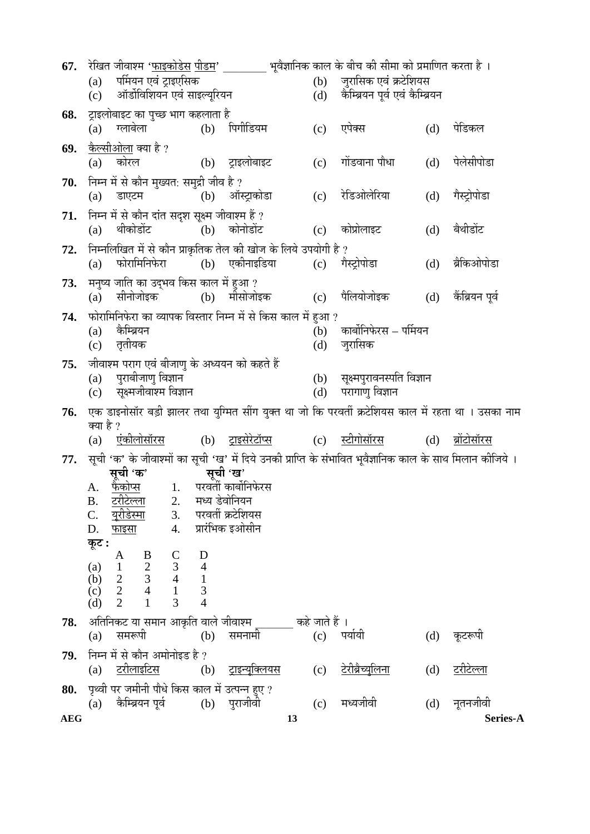| 67.        | रेखित जीवाश्म ' <u>फाइकोडेस पीडम</u> '                                                                          |                                |                           | भूवैज्ञानिक काल के बीच की सीमा को प्रमाणित करता है । |                                                   |     |                      |  |
|------------|-----------------------------------------------------------------------------------------------------------------|--------------------------------|---------------------------|------------------------------------------------------|---------------------------------------------------|-----|----------------------|--|
|            | पर्मियन एवं ट्राइएसिक<br>(a)                                                                                    |                                |                           | (b)                                                  | जुरासिक एवं क्रटेशियस                             |     |                      |  |
|            | (c) ऑर्डोविशियन एवं साइल्यूरियन                                                                                 |                                |                           | (d)                                                  | कैम्ब्रियन पूर्व एवं कैम्ब्रियन                   |     |                      |  |
| 68.        | ट्राइलोबाइट का पुच्छ भाग कहलाता है                                                                              |                                |                           |                                                      |                                                   |     |                      |  |
|            | ग्लाबेला<br>(a)                                                                                                 |                                | (b) पिगीडियम              | (c)                                                  | एपेक्स                                            | (d) | पेडिकल               |  |
| 69.        | <u>कैल्सीओला</u> क्या है ?                                                                                      |                                |                           |                                                      |                                                   |     |                      |  |
|            | (a) कोरल                                                                                                        |                                | (b) ट्राइलोबाइट           | (c)                                                  | गोंडवाना पौधा                                     | (d) | पेलेसीपोडा           |  |
| 70.        | निम्न में से कौन मुख्यत: समुद्री जीव है ?                                                                       |                                |                           |                                                      |                                                   |     |                      |  |
|            | डाएटम<br>(a)                                                                                                    |                                | (b) ऑस्ट्राकोडा           | (c)                                                  | रेडिओलेरिया                                       | (d) | गैस्ट्रोपोडा         |  |
| 71.        | निम्न में से कौन दांत सदृश सूक्ष्म जीवाश्म हैं ?                                                                |                                |                           |                                                      |                                                   |     |                      |  |
|            | थीकोडोंट<br>(a)                                                                                                 |                                | (b) कोनोडोंट              | (c)                                                  | कोप्रोलाइट                                        | (d) | बैथीडोंट             |  |
| 72.        | निम्नलिखित में से कौन प्राकृतिक तेल की खोज के लिये उपयोगी है ?                                                  |                                |                           |                                                      |                                                   |     |                      |  |
|            | फोरामिनिफेरा<br>(a)                                                                                             |                                | (b) एकीनाइडिया            |                                                      | (c) गैस्ट्रोपोडा                                  | (d) | ब्रैकिओपोडा          |  |
| 73.        | मनुष्य जाति का उद्भव किस काल में हुआ ?                                                                          |                                |                           |                                                      |                                                   |     |                      |  |
|            | सीनोजोइक<br>(a)                                                                                                 |                                | (b) मीसोजोइक              | (c)                                                  | पैलियोजोइक                                        | (d) | कैंब्रियन पूर्व      |  |
| 74.        | फोरामिनिफेरा का व्यापक विस्तार निम्न में से किस काल में हुआ ?                                                   |                                |                           |                                                      |                                                   |     |                      |  |
|            | कैम्ब्रियन<br>(a)                                                                                               |                                |                           | (b)                                                  | कार्बोनिफेरस – पर्मियन                            |     |                      |  |
|            | (c) तृतीयक                                                                                                      |                                |                           | (d)                                                  | जुरासिक                                           |     |                      |  |
| 75.        | जीवाश्म पराग एवं बीजाणु के अध्ययन को कहते हैं                                                                   |                                |                           |                                                      |                                                   |     |                      |  |
|            | पुराबीजाणु विज्ञान<br>(a)<br>(c) सूक्ष्मजीवाश्म विज्ञान                                                         |                                |                           | (d)                                                  | (b) सूक्ष्मपुरावनस्पति विज्ञान<br>परागाणु विज्ञान |     |                      |  |
|            |                                                                                                                 |                                |                           |                                                      |                                                   |     |                      |  |
| 76.        | एक डाइनोसॉर बड़ी झालर तथा युग्मित सींग युक्त था जो कि परवर्ती क्रटेशियस काल में रहता था । उसका नाम<br>क्या है ? |                                |                           |                                                      |                                                   |     |                      |  |
|            | <u>एंकीलोसॉरस</u><br>(a)                                                                                        |                                | (b) <u>ट्राइसेरेटॉप्स</u> | (c)                                                  | <u>स्टीगोसॉरस</u>                                 | (d) | <u>ब्रोटोसॉरस</u>    |  |
| 77.        | सूची 'क' के जीवाश्मों का सूची 'ख' में दिये उनकी प्राप्ति के संभावित भूवैज्ञानिक काल के साथ मिलान कीजिये ।       |                                |                           |                                                      |                                                   |     |                      |  |
|            | सूची 'क'                                                                                                        |                                | सूची 'ख'                  |                                                      |                                                   |     |                      |  |
|            | फैकोप्स<br>А.                                                                                                   |                                | 1. परवर्ती कार्बोनिफेरस   |                                                      |                                                   |     |                      |  |
|            | <u>टरीटेल्ला</u> 2.    मध्य डेवोनियन<br><b>B.</b><br><u>यूरीडेस्मा</u>                                          |                                | परवर्ती क्रटेशियस         |                                                      |                                                   |     |                      |  |
|            | C.<br>3.<br>4.<br>D.<br><u>फाइसा</u>                                                                            |                                | प्रारंभिक इओसीन           |                                                      |                                                   |     |                      |  |
|            | कूट :                                                                                                           |                                |                           |                                                      |                                                   |     |                      |  |
|            | $\mathsf{C}$<br>A<br>B                                                                                          | D                              |                           |                                                      |                                                   |     |                      |  |
|            | $\ensuremath{\mathfrak{Z}}$<br>(a)<br>$\mathbf{1}$<br>$\overline{4}$<br>$\overline{2}$<br>(b)                   | $\overline{4}$<br>$\mathbf{1}$ |                           |                                                      |                                                   |     |                      |  |
|            | $\frac{3}{2}$<br>$\frac{3}{4}$<br>$\mathbf{2}$<br>$\mathbf{1}$<br>(c)                                           | 3                              |                           |                                                      |                                                   |     |                      |  |
|            | $\overline{2}$<br>3<br>(d)<br>$\mathbf{1}$                                                                      | 4                              |                           |                                                      |                                                   |     |                      |  |
| 78.        | अतिनिकट या समान आकृति वाले जीवाश्म                                                                              |                                |                           | कहे जाते हैं ।                                       |                                                   |     |                      |  |
|            | समरूपी<br>(a)                                                                                                   | (b)                            | समनामी                    | (c)                                                  | पर्यायी                                           | (d) | कूटरूपी              |  |
| 79.        | निम्न में से कौन अमोनोइड है ?                                                                                   |                                |                           |                                                      |                                                   |     |                      |  |
|            | <u>टरीलाइटिस</u><br>(a)                                                                                         | (b)                            | <u>ट्राइन्यूक्लियस</u>    | (c)                                                  | <u>टेरीब्रैच्युलिना</u>                           | (d) | टरीटेल्ला            |  |
| 80.        | पृथ्वी पर जमीनी पौधे किस काल में उत्पन्न हुए ?                                                                  |                                |                           |                                                      | मध्यजीवी                                          |     |                      |  |
| <b>AEG</b> | कैम्ब्रियन पूर्व<br>(a)                                                                                         | (b)                            | पुराजीवी<br>13            | (c)                                                  |                                                   | (d) | नूतनजीवी<br>Series-A |  |
|            |                                                                                                                 |                                |                           |                                                      |                                                   |     |                      |  |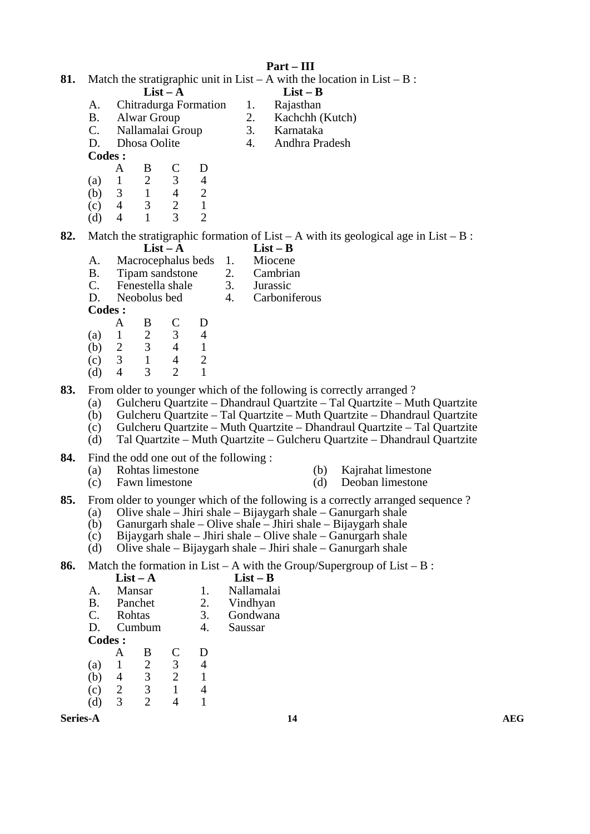| 81.             |                                                 |                                                                                                                                            |                                                                                            |                                                                       |                                                             | Part – III                                                                |            | Match the stratigraphic unit in List – A with the location in List – B :                                                                                                                                                                                                                                                                                                                |            |
|-----------------|-------------------------------------------------|--------------------------------------------------------------------------------------------------------------------------------------------|--------------------------------------------------------------------------------------------|-----------------------------------------------------------------------|-------------------------------------------------------------|---------------------------------------------------------------------------|------------|-----------------------------------------------------------------------------------------------------------------------------------------------------------------------------------------------------------------------------------------------------------------------------------------------------------------------------------------------------------------------------------------|------------|
|                 | A.<br><b>B.</b><br>$C_{\cdot}$<br>D.            | <b>Alwar Group</b><br>Dhosa Oolite                                                                                                         | $List - A$<br>Chitradurga Formation<br>Nallamalai Group                                    |                                                                       | 1.<br>2.<br>3.<br>$\overline{4}$ .                          | $List - B$<br>Rajasthan<br>Kachchh (Kutch)<br>Karnataka<br>Andhra Pradesh |            |                                                                                                                                                                                                                                                                                                                                                                                         |            |
|                 | Codes :<br>(a)<br>(b)<br>(c)<br>(d)             | B<br>A<br>$\sqrt{2}$<br>$\mathbf{1}$<br>$\mathbf{1}$<br>$\mathfrak{Z}$<br>$\overline{4}$<br>3<br>$\mathbf{1}$<br>$\overline{4}$            | $\mathsf{C}$<br>3<br>$\overline{4}$<br>$\overline{2}$<br>$\overline{3}$                    | D<br>$\overline{4}$<br>$\mathbf{2}$<br>$\mathbf{1}$<br>$\overline{2}$ |                                                             |                                                                           |            |                                                                                                                                                                                                                                                                                                                                                                                         |            |
| 82.             | A.<br><b>B.</b><br>$C_{\cdot}$<br>D.<br>Codes : |                                                                                                                                            | $List - A$<br>Macrocephalus beds 1.<br>Tipam sandstone<br>Fenestella shale<br>Neobolus bed |                                                                       | 2.<br>3.<br>$\overline{4}$ .                                | $List - B$<br>Miocene<br>Cambrian<br>Jurassic<br>Carboniferous            |            | Match the stratigraphic formation of List – A with its geological age in List – B:                                                                                                                                                                                                                                                                                                      |            |
|                 | (a)<br>(b)<br>(c)<br>(d)                        | B<br>A<br>$\sqrt{2}$<br>$\mathbf{1}$<br>$\mathfrak{Z}$<br>$\overline{2}$<br>$\overline{3}$<br>$\mathbf{1}$<br>$\overline{4}$<br>3          | $\mathsf{C}$<br>3<br>$\overline{4}$<br>$\overline{4}$<br>$\overline{2}$                    | D<br>$\overline{4}$<br>$\mathbf{1}$<br>$\overline{2}$<br>$\mathbf{1}$ |                                                             |                                                                           |            |                                                                                                                                                                                                                                                                                                                                                                                         |            |
| 83.             | (a)<br>(b)<br>(c)<br>(d)                        |                                                                                                                                            |                                                                                            |                                                                       |                                                             |                                                                           |            | From older to younger which of the following is correctly arranged?<br>Gulcheru Quartzite - Dhandraul Quartzite - Tal Quartzite - Muth Quartzite<br>Gulcheru Quartzite - Tal Quartzite - Muth Quartzite - Dhandraul Quartzite<br>Gulcheru Quartzite - Muth Quartzite - Dhandraul Quartzite - Tal Quartzite<br>Tal Quartzite – Muth Quartzite – Gulcheru Quartzite – Dhandraul Quartzite |            |
| 84.             | (a)<br>(c)                                      | Find the odd one out of the following:                                                                                                     | Rohtas limestone<br>Fawn limestone                                                         |                                                                       |                                                             |                                                                           | (b)<br>(d) | Kajrahat limestone<br>Deoban limestone                                                                                                                                                                                                                                                                                                                                                  |            |
| 85.             | (a)<br>(b)<br>(c)<br>(d)                        |                                                                                                                                            |                                                                                            |                                                                       |                                                             |                                                                           |            | From older to younger which of the following is a correctly arranged sequence?<br>Olive shale $-$ Jhiri shale $-$ Bijaygarh shale $-$ Ganurgarh shale<br>Ganurgarh shale – Olive shale – Jhiri shale – Bijaygarh shale<br>Bijaygarh shale – Jhiri shale – Olive shale – Ganurgarh shale<br>Olive shale $-$ Bijaygarh shale $-$ Jhiri shale $-$ Ganurgarh shale                          |            |
| 86.             | A.<br><b>B.</b><br>$C_{\cdot}$<br>D.<br>Codes:  | $List - A$<br>Mansar<br>Panchet<br>Rohtas<br>Cumbum                                                                                        |                                                                                            | 1.<br>2.<br>3.<br>4.                                                  | $List - B$<br>Nallamalai<br>Vindhyan<br>Gondwana<br>Saussar |                                                                           |            | Match the formation in List – A with the Group/Supergroup of List – B :                                                                                                                                                                                                                                                                                                                 |            |
|                 | (a)<br>(b)<br>(c)<br>(d)                        | B<br>A<br>$\begin{array}{c} 2 \\ 3 \\ 3 \end{array}$<br>$\mathbf{1}$<br>$\overline{4}$<br>$\mathbf{2}$<br>$\overline{2}$<br>$\overline{3}$ | $\mathbf C$<br>$\frac{3}{2}$<br>$\mathbf{1}$<br>$\overline{4}$                             | D<br>$\overline{4}$<br>$\mathbf{1}$<br>$\overline{4}$<br>$\mathbf{1}$ |                                                             |                                                                           |            |                                                                                                                                                                                                                                                                                                                                                                                         |            |
| <b>Series-A</b> |                                                 |                                                                                                                                            |                                                                                            |                                                                       |                                                             | 14                                                                        |            |                                                                                                                                                                                                                                                                                                                                                                                         | <b>AEG</b> |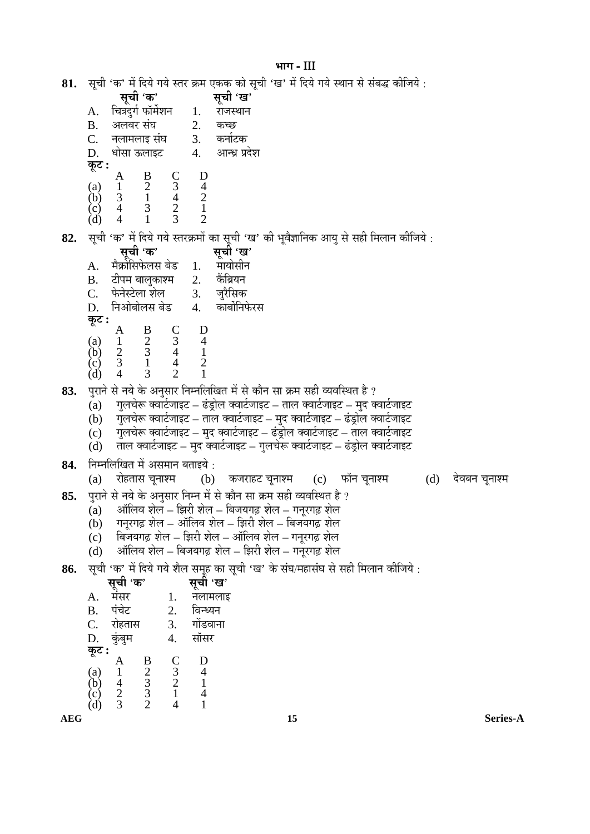## भाग- $III$

- 81. सूची 'क' में दिये गये स्तर क्रम एकक को सूची 'ख' में दिये गये स्थान से संबद्ध कीजिये :
	- सूची 'क' सूची 'ख' चित्रदुर्ग फॉर्मशन A. 1. राजस्थान  $B<sub>1</sub>$ अलवर संघ 2. कच्छ 3. कर्नाटक  $C.$ नलामलाइ संघ D. धोसा ऊलाइट 4. आन्ध्र प्रदेश कूट : D A
	- $\frac{B}{2}$  $\begin{array}{c} C_3 \\ 3 \\ 4 \\ 2 \\ 3 \end{array}$  $(a)$  $\mathbf{1}$  $\begin{array}{c} 4 \\ 2 \\ 1 \\ 2 \end{array}$ 3  $\mathbf{1}$  $(b)$
	- $\begin{pmatrix} c \\ d \end{pmatrix}$  $\overline{4}$ 3  $\overline{4}$  $\mathbf{1}$

सूची 'क' में दिये गये स्तरक्रमों का सूची 'ख' की भूवैज्ञानिक आयु से सही मिलान कीजिये : 82.

सूची 'ख' सूची 'क' मैर्क्रोसिफेलस बेड मायोसीन  $A_{\cdot}$  $1.$ केंब्रियन टीपम बालुकाश्म 2. **B.**  $\mathcal{C}$ . फेनेस्टेला शेल  $3.$ जूरैसिक निओबोलस बेड कार्बोनिफेरस D. 4. कूट :  $\frac{C}{3}$  $\bf{B}$ D A  $\frac{2}{3}$  $\frac{1}{4}$  $(a)$  $\mathbf{1}$  $\overline{2}$  $(b)$  $\overline{3}$  $\overline{4}$  $\overline{2}$  $(c)$  $\mathbf{1}$  $\overline{4}$  $\overline{2}$  $\mathbf{1}$ 3  $(d)$ 

पुराने से नये के अनुसार निम्नलिखित में से कौन सा क्रम सही व्यवस्थित है ? 83.

- गुलचेरू क्वार्टजाइट ढंड्रोल क्वार्टजाइट ताल क्वार्टजाइट मुद क्वार्टजाइट  $(a)$
- गुलचेरू क्वार्टजाइट ताल क्वार्टजाइट मुद क्वार्टजाइट ढंड्रोल क्वार्टजाइट  $(b)$
- गुलचेरू क्वार्टजाइट मुद क्वार्टजाइट ढंड्रोल क्वार्टजाइट ताल क्वार्टजाइट  $(c)$
- ताल क्वार्टजाइट मुद क्वार्टजाइट गुलचेरू क्वार्टजाइट ढंड़ोल क्वार्टजाइट  $(d)$
- निम्नलिखित में असमान बताइये : 84.
	- $(a)$ रोहतास चुनाश्म  $(b)$ कजराहट चूनाश्म (c) फॉन चूनाश्म (d) देवबन चुनाश्म
- पुराने से नये के अनुसार निम्न में से कौन सा क्रम सही व्यवस्थित है ? 85.
	- ऑलिव शेल झिरी शेल बिजयगढ़ शेल गनूरगढ़ शेल  $(a)$
	- गनूरगढ़ शेल ऑलिव शेल झिरी शेल बिजयगढ़ शेल  $(b)$
	- बिजयगढ़ शेल झिरी शेल ऑलिव शेल गनूरगढ़ शेल  $(c)$
	- ऑलिव शेल बिजयगढ़ शेल झिरी शेल गनुरगढ़ शेल  $(d)$

सूची 'क' में दिये गये शैल समूह का सूची 'ख' के संघ/महासंघ से सही मिलान कीजिये : 86.

|                          |                     |                                           |               | सूची 'ख' |
|--------------------------|---------------------|-------------------------------------------|---------------|----------|
| A.                       | <b>सूची</b><br>मंसर |                                           | 1.            | नलामलाइ  |
| <b>B.</b>                | पंचेट               |                                           | 2.            | विन्ध्यन |
| C.                       | रोहतास              |                                           | 3.            | गोंडवाना |
| D.                       | कुबु                |                                           | 4.            | सॉसर     |
| कूट :                    |                     |                                           |               |          |
|                          |                     |                                           | $\frac{C}{3}$ | D        |
|                          |                     |                                           |               | 4        |
| (a)<br>(b)<br>(c)<br>(d) |                     | $\frac{B}{2}$ $\frac{3}{3}$ $\frac{3}{2}$ |               |          |
|                          |                     |                                           |               |          |
|                          | $rac{2}{3}$         |                                           |               |          |

**AEG**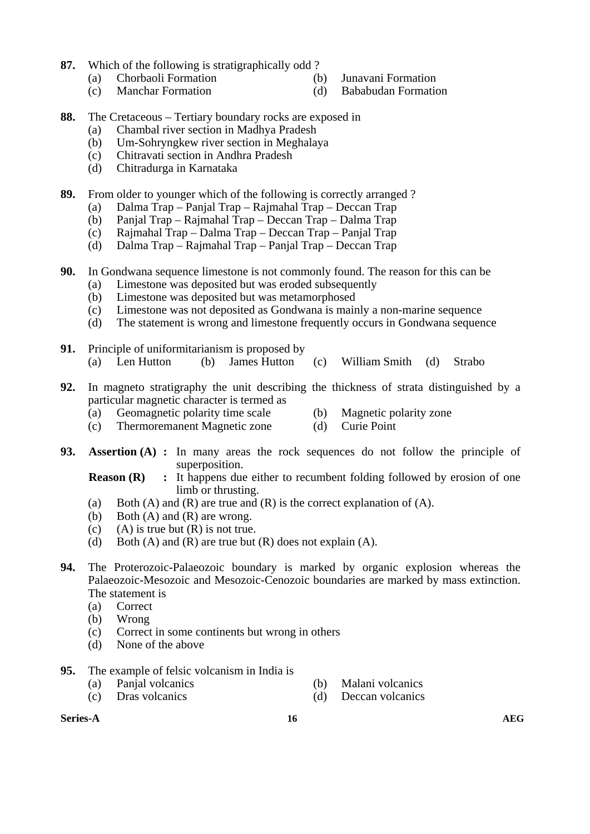- **87.** Which of the following is stratigraphically odd ?
	- (a) Chorbaoli Formation (b) Junavani Formation
		-
	- (c) Manchar Formation (d) Bababudan Formation
- **88.** The Cretaceous Tertiary boundary rocks are exposed in
	- (a) Chambal river section in Madhya Pradesh
	- (b) Um-Sohryngkew river section in Meghalaya
	- (c) Chitravati section in Andhra Pradesh
	- (d) Chitradurga in Karnataka
- **89.** From older to younger which of the following is correctly arranged ?
	- (a) Dalma Trap Panjal Trap Rajmahal Trap Deccan Trap
	- (b) Panjal Trap Rajmahal Trap Deccan Trap Dalma Trap
	- (c) Rajmahal Trap Dalma Trap Deccan Trap Panjal Trap
	- (d) Dalma Trap Rajmahal Trap Panjal Trap Deccan Trap
- **90.** In Gondwana sequence limestone is not commonly found. The reason for this can be
	- (a) Limestone was deposited but was eroded subsequently
	- (b) Limestone was deposited but was metamorphosed
	- (c) Limestone was not deposited as Gondwana is mainly a non-marine sequence
	- (d) The statement is wrong and limestone frequently occurs in Gondwana sequence
- **91.** Principle of uniformitarianism is proposed by (a) Len Hutton (b) James Hutton (c) William Smith (d) Strabo
- **92.** In magneto stratigraphy the unit describing the thickness of strata distinguished by a particular magnetic character is termed as
	- (a) Geomagnetic polarity time scale (b) Magnetic polarity zone
	- (c) Thermoremanent Magnetic zone (d) Curie Point
- **93. Assertion (A) :** In many areas the rock sequences do not follow the principle of superposition.
	- **Reason (R)** : It happens due either to recumbent folding followed by erosion of one limb or thrusting.
	- (a) Both (A) and (R) are true and (R) is the correct explanation of (A).
	- (b) Both  $(A)$  and  $(R)$  are wrong.
	- (c) (A) is true but  $(R)$  is not true.
	- (d) Both (A) and (R) are true but  $(R)$  does not explain (A).
- **94.** The Proterozoic-Palaeozoic boundary is marked by organic explosion whereas the Palaeozoic-Mesozoic and Mesozoic-Cenozoic boundaries are marked by mass extinction. The statement is
	- (a) Correct
	- (b) Wrong
	- (c) Correct in some continents but wrong in others
	- (d) None of the above
- **95.** The example of felsic volcanism in India is
	- (a) Panjal volcanics (b) Malani volcanics
- - (c) Dras volcanics (d) Deccan volcanics
- **Series-A** and  $\overline{AB}$  and  $\overline{AB}$  and  $\overline{AB}$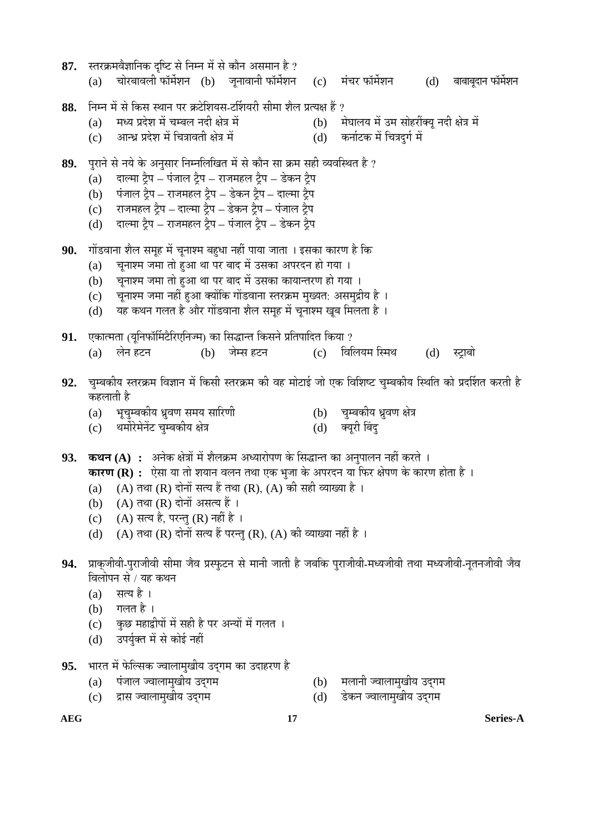| 87.        | स्तरक्रमवैज्ञानिक दृष्टि से निम्न में से कौन असमान है ?<br>चोरबावली फॉर्मेशन (b)  जूनावानी फॉर्मेशन  (c)  मंचर फॉर्मेशन<br>बाबाबूदान फॉर्मशन<br>(d)<br>(a)                                                                                                                                                                                                                                                                |
|------------|---------------------------------------------------------------------------------------------------------------------------------------------------------------------------------------------------------------------------------------------------------------------------------------------------------------------------------------------------------------------------------------------------------------------------|
| 88.        | निम्न में से किस स्थान पर क्रटेशियस-टर्शियरी सीमा शैल प्रत्यक्ष हैं ?<br>मध्य प्रदेश में चम्बल नदी क्षेत्र में<br>(b) मेघालय में उम सोहरींक्यू नदी क्षेत्र में<br>(a)<br>आन्ध्र प्रदेश में चित्रावती क्षेत्र में<br>कर्नाटक में चित्रदुर्ग में<br>(d)<br>(c)                                                                                                                                                              |
| 89.        | पुराने से नये के अनुसार निम्नलिखित में से कौन सा क्रम सही व्यवस्थित है ?<br>दाल्मा ट्रैप – पंजाल ट्रैप – राजमहल ट्रैप – डेकन ट्रैप<br>(a)<br>पंजाल ट्रैप – राजमहल ट्रैप – डेकन ट्रैप – दाल्मा ट्रैप<br>(b)<br>राजमहल ट्रैप – दाल्मा ट्रैप – डेकन ट्रैप – पंजाल ट्रैप<br>(c)<br>दाल्मा ट्रैप – राजमहल ट्रैप – पंजाल ट्रैप – डेकन ट्रैप<br>(d)                                                                              |
| 90.        | गोंडवाना शैल समूह में चूनाश्म बहुधा नहीं पाया जाता । इसका कारण है कि<br>चूनाश्म जमा तो हुआ था पर बाद में उसका अपरदन हो गया ।<br>(a)<br>चूनाश्म जमा तो हुआ था पर बाद में उसका कायान्तरण हो गया ।<br>(b)<br>चूनाश्म जमा नहीं हुआ क्योंकि गोंडवाना स्तरक्रम मुख्यत: असमुद्रीय है ।<br>(c)<br>यह कथन गलत है और गोंडवाना शैल समूह में चूनाश्म खूब मिलता है ।<br>(d)                                                            |
| 91.        | एकात्मता (यूनिफॉर्मिटैरिएनिज्म) का सिद्धान्त किसने प्रतिपादित किया ?<br>विलियम स्मिथ<br>लेन हटन<br>जेम्स हटन<br>(b)<br>(a)<br>(c)<br>(d)<br>स्ट्राबो                                                                                                                                                                                                                                                                      |
| 92.        | चुम्बकीय स्तरक्रम विज्ञान में किसी स्तरक्रम की वह मोटाई जो एक विशिष्ट चुम्बकीय स्थिति को प्रदर्शित करती है<br>कहलाती है<br>भूचुम्बकीय ध्रुवण समय सारिणी<br>(b) चुम्बकीय ध्रुवण क्षेत्र<br>(a)<br>थर्मोरेमेनेंट चुम्बकीय क्षेत्र<br>क्यूरी बिंदु<br>(c)<br>(d)                                                                                                                                                             |
| 93.        | <b>कथन (A) :</b> अनेक क्षेत्रों में शैलक्रम अध्यारोपण के सिद्धान्त का अनुपालन नहीं करते ।<br><b>कारण (R) :</b> ऐसा या तो शयान वलन तथा एक भुजा के अपरदन या फिर क्षेपण के कारण होता है ।<br>(a) (A) तथा (R) दोनों सत्य हैं तथा (R), (A) की सही व्याख्या है ।<br>(A) तथा (R) दोनों असत्य हैं ।<br>(b)<br>(A) सत्य है, परन्तु (R) नहीं है ।<br>(c)<br>(A) तथा (R) दोनों सत्य हैं परन्तु (R), (A) की व्याख्या नहीं है ।<br>(d) |
| 94.<br>95. | प्राकुजीवी-पुराजीवी सीमा जैव प्रस्फुटन से मानी जाती है जबकि पुराजीवी-मध्यजीवी तथा मध्यजीवी-नूतनजीवी जैव<br>विलोपन से / यह कथन<br>सत्य है ।<br>(a)<br>गलत है ।<br>(b)<br>कुछ महाद्वीपों में सही है पर अन्यों में गलत ।<br>(c)<br>उपर्युक्त में से कोई नहीं<br>(d)<br>भारत में फेल्सिक ज्वालामुखीय उद्गम का उदाहरण है                                                                                                       |
|            | पंजाल ज्वालामुखीय उद्गम<br>मलानी ज्वालामुखीय उद्गम<br>(a)<br>(b)<br>द्रास ज्वालामुखीय उद्गम<br>डेकन ज्वालामुखीय उद्गम<br>(d)<br>(c)                                                                                                                                                                                                                                                                                       |

**AEG 17 Series-A**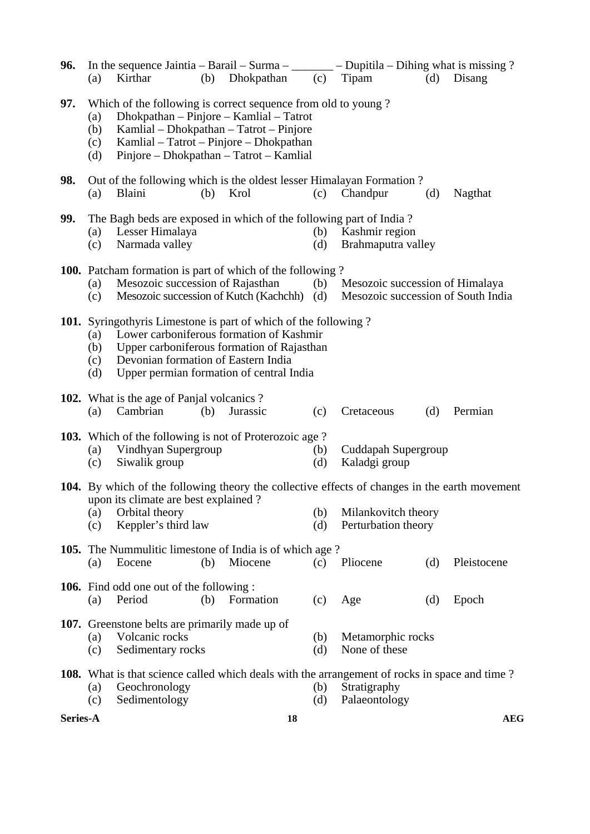| 96.      | (a)                      | In the sequence Jaintia – Barail – Surma – $\_\_\_\_\_$ – Dupitila – Dihing what is missing ?<br>Kirthar                                                                                                                                            | (b) | Dhokpathan | (c)        | Tipam                                                                 | (d) | Disang      |  |  |  |
|----------|--------------------------|-----------------------------------------------------------------------------------------------------------------------------------------------------------------------------------------------------------------------------------------------------|-----|------------|------------|-----------------------------------------------------------------------|-----|-------------|--|--|--|
| 97.      | (a)<br>(b)<br>(c)<br>(d) | Which of the following is correct sequence from old to young?<br>Dhokpathan - Pinjore - Kamlial - Tatrot<br>Kamlial – Dhokpathan – Tatrot – Pinjore<br>Kamlial – Tatrot – Pinjore – Dhokpathan<br>Pinjore - Dhokpathan - Tatrot - Kamlial           |     |            |            |                                                                       |     |             |  |  |  |
| 98.      | (a)                      | Out of the following which is the oldest lesser Himalayan Formation?<br>Blaini                                                                                                                                                                      | (b) | Krol       | (c)        | Chandpur                                                              | (d) | Nagthat     |  |  |  |
| 99.      | (a)<br>(c)               | The Bagh beds are exposed in which of the following part of India?<br>Lesser Himalaya<br>Narmada valley                                                                                                                                             |     |            | (b)<br>(d) | Kashmir region<br>Brahmaputra valley                                  |     |             |  |  |  |
|          | (a)<br>(c)               | <b>100.</b> Patcham formation is part of which of the following?<br>Mesozoic succession of Rajasthan<br>Mesozoic succession of Kutch (Kachchh)                                                                                                      |     |            | (b)<br>(d) | Mesozoic succession of Himalaya<br>Mesozoic succession of South India |     |             |  |  |  |
|          | (a)<br>(b)<br>(c)<br>(d) | <b>101.</b> Syringothyris Limestone is part of which of the following?<br>Lower carboniferous formation of Kashmir<br>Upper carboniferous formation of Rajasthan<br>Devonian formation of Eastern India<br>Upper permian formation of central India |     |            |            |                                                                       |     |             |  |  |  |
|          | (a)                      | 102. What is the age of Panjal volcanics?<br>Cambrian                                                                                                                                                                                               | (b) | Jurassic   | (c)        | Cretaceous                                                            | (d) | Permian     |  |  |  |
|          | (c)                      | <b>103.</b> Which of the following is not of Proterozoic age?<br>(a) Vindhyan Supergroup<br>Siwalik group                                                                                                                                           |     |            | (b)<br>(d) | Cuddapah Supergroup<br>Kaladgi group                                  |     |             |  |  |  |
|          | (a)<br>(c)               | 104. By which of the following theory the collective effects of changes in the earth movement<br>upon its climate are best explained?<br>Orbital theory<br>Keppler's third law                                                                      |     |            | (b)<br>(d) | Milankovitch theory<br>Perturbation theory                            |     |             |  |  |  |
|          | (a)                      | <b>105.</b> The Nummulitic limestone of India is of which age?<br>Eocene                                                                                                                                                                            | (b) | Miocene    | (c)        | Pliocene                                                              | (d) | Pleistocene |  |  |  |
|          | (a)                      | <b>106.</b> Find odd one out of the following:<br>Period                                                                                                                                                                                            | (b) | Formation  | (c)        | Age                                                                   | (d) | Epoch       |  |  |  |
|          | (a)<br>(c)               | 107. Greenstone belts are primarily made up of<br>Volcanic rocks<br>Sedimentary rocks                                                                                                                                                               |     |            | (b)<br>(d) | Metamorphic rocks<br>None of these                                    |     |             |  |  |  |
|          | (a)<br>(c)               | <b>108.</b> What is that science called which deals with the arrangement of rocks in space and time?<br>Geochronology<br>Sedimentology                                                                                                              |     |            | (b)<br>(d) | Stratigraphy<br>Palaeontology                                         |     |             |  |  |  |
| Series-A |                          |                                                                                                                                                                                                                                                     |     | 18         |            |                                                                       |     | <b>AEG</b>  |  |  |  |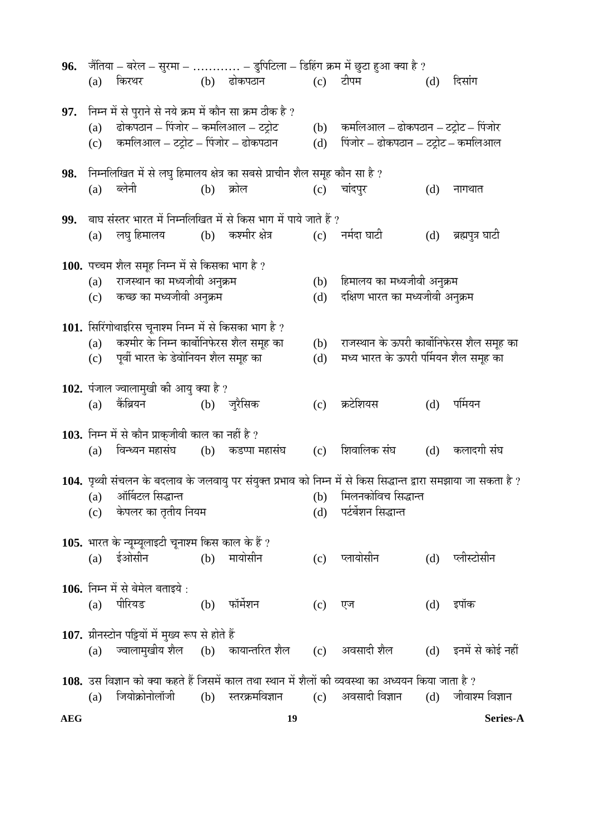| 96.        |            |                                                                                                                                           |     |                                                |            | जैंतिया – बरेल – सुरमा –  – डुपिटिला – डिहिंग क्रम में छुटा हुआ क्या है ?                                                                                              |     |                  |
|------------|------------|-------------------------------------------------------------------------------------------------------------------------------------------|-----|------------------------------------------------|------------|------------------------------------------------------------------------------------------------------------------------------------------------------------------------|-----|------------------|
|            | (a)        | किरथर                                                                                                                                     |     | (b) ढोकपठान                                    |            | (c) टीपम                                                                                                                                                               | (d) | दिसांग           |
| 97.        | (a)<br>(c) | निम्न में से पुराने से नये क्रम में कौन सा क्रम ठीक है ?<br>ढोकपठान – पिंजोर – कमलिआल – टट्रोट<br>कमलिआल – टट्रोट – पिंजोर – ढोकपठान      |     |                                                | (b)<br>(d) | कमलिआल – ढोकपठान – टट्रोट – पिंजोर<br>पिंजोर – ढोकपठान – टट्रोट – कमलिआल                                                                                               |     |                  |
| 98.        | (a)        | निम्नलिखित में से लघु हिमालय क्षेत्र का सबसे प्राचीन शैल समूह कौन सा है ?<br>ब्लेनी                                                       | (b) | क्रोल                                          |            | $(c)$ चांदपुर                                                                                                                                                          | (d) | नागथात           |
| 99.        | (a)        | बाघ संस्तर भारत में निम्नलिखित में से किस भाग में पाये जाते हैं ?                                                                         |     | लघु हिमालय              (b)     कश्मीर क्षेत्र |            | (c) नर्मदा घाटी                                                                                                                                                        | (d) | ब्रह्मपुत्र घाटी |
|            | (a)<br>(c) | 100. पच्चम शैल समूह निम्न में से किसका भाग है ?<br>राजस्थान का मध्यजीवी अनुक्रम<br>कच्छ का मध्यजीवी अनुक्रम                               |     |                                                | (d)        | (b) हिमालय का मध्यजीवी अनुक्रम<br>दक्षिण भारत का मध्यजीवी अनुक्रम                                                                                                      |     |                  |
|            | (a)<br>(c) | 101. सिरिंगोथाइरिस चूनाश्म निम्न में से किसका भाग है ?<br>कश्मीर के निम्न कार्बोनिफेरस शैल समूह का<br>पूर्वी भारत के डेवोनियन शैल समूह का |     |                                                | (b)<br>(d) | राजस्थान के ऊपरी कार्बोनिफेरस शैल समूह का<br>मध्य भारत के ऊपरी पर्मियन शैल समूह का                                                                                     |     |                  |
|            | (a)        | 102. पंजाल ज्वालामुखी की आयु क्या है ?<br>केंब्रियन                                                                                       |     | (b) जुरैसिक                                    | (c)        | क्रटेशियस                                                                                                                                                              | (d) | पर्मियन          |
|            | (a)        | 103. निम्न में से कौन प्राक् <b>जीवी काल का नहीं है</b> ?<br>विन्ध्यन महासंघ (b) कडप्पा महासंघ                                            |     |                                                | (c)        | शिवालिक संघ                                                                                                                                                            | (d) | कलादगी संघ       |
|            |            | (a) ऑर्बिटल सिद्धान्त<br>(c) केपलर का तृतीय नियम                                                                                          |     |                                                |            | 104. पृथ्वी संचलन के बदलाव के जलवायु पर संयुक्त प्रभाव को निम्न में से किस सिद्धान्त द्वारा समझाया जा सकता है ?<br>(b) मिलनकोविच सिद्धान्त<br>(d) पर्टर्बेशन सिद्धान्त |     |                  |
|            |            | 105. भारत के न्यूम्यूलाइटी चूनाश्म किस काल के हैं ?<br>(a) ईओसीन (b) मायोसीन                                                              |     |                                                |            | (c) प्लायोसीन                                                                                                                                                          | (d) | प्लीस्टोसीन      |
|            | (a)        | 106. निम्न में से बेमेल बताइये :<br>पीरियड                                                                                                |     | (b) फॉर्मेशन                                   | (c)        | एज                                                                                                                                                                     | (d) | इपॉक             |
|            | (a)        | 107. ग्रीनस्टोन पट्टियों में मुख्य रूप से होते हैं                                                                                        |     |                                                |            | ्ज्वालामुखीय शैल     (b)    कायान्तरित शैल         (c)    अवसादी शैल          (d)    इनमें से कोई नहीं                                                                 |     |                  |
|            | (a)        | जियोक्रोनोलॉजी                                                                                                                            |     |                                                |            | 108. उस विज्ञान को क्या कहते हैं जिसमें काल तथा स्थान में शैलों की व्यवस्था का अध्ययन किया जाता है ?<br>(b) स्तरक्रमविज्ञान  (c) अवसादी विज्ञान                        | (d) | जीवाश्म विज्ञान  |
| <b>AEG</b> |            |                                                                                                                                           |     | 19                                             |            |                                                                                                                                                                        |     | Series-A         |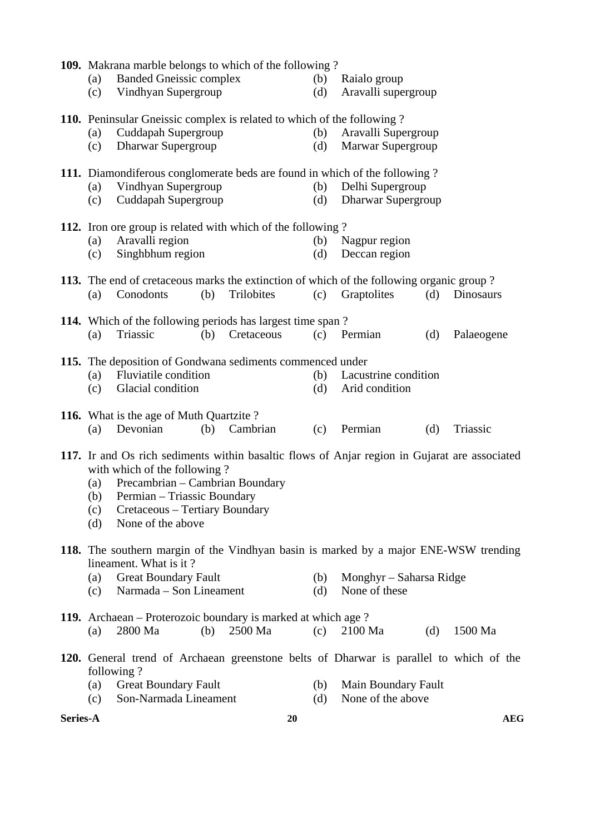|          |            | 110. Peninsular Gneissic complex is related to which of the following?<br>Cuddapah Supergroup |     |            |            |                                                                                               |     |            |
|----------|------------|-----------------------------------------------------------------------------------------------|-----|------------|------------|-----------------------------------------------------------------------------------------------|-----|------------|
|          | (a)<br>(c) | Dharwar Supergroup                                                                            |     |            | (b)<br>(d) | Aravalli Supergroup<br>Marwar Supergroup                                                      |     |            |
|          |            |                                                                                               |     |            |            |                                                                                               |     |            |
|          |            | 111. Diamondiferous conglomerate beds are found in which of the following?                    |     |            |            |                                                                                               |     |            |
|          | (a)        | Vindhyan Supergroup                                                                           |     |            |            | (b) Delhi Supergroup                                                                          |     |            |
|          | (c)        | Cuddapah Supergroup                                                                           |     |            | (d)        | Dharwar Supergroup                                                                            |     |            |
|          |            |                                                                                               |     |            |            |                                                                                               |     |            |
|          | (a)        | 112. Iron ore group is related with which of the following?<br>Aravalli region                |     |            | (b)        | Nagpur region                                                                                 |     |            |
|          | (c)        | Singhbhum region                                                                              |     |            | (d)        | Deccan region                                                                                 |     |            |
|          |            |                                                                                               |     |            |            |                                                                                               |     |            |
|          |            | 113. The end of cretaceous marks the extinction of which of the following organic group?      |     |            |            |                                                                                               |     |            |
|          | (a)        | Conodonts                                                                                     | (b) | Trilobites | (c)        | Graptolites                                                                                   | (d) | Dinosaurs  |
|          |            |                                                                                               |     |            |            |                                                                                               |     |            |
|          | (a)        | <b>114.</b> Which of the following periods has largest time span?<br>Triassic                 | (b) | Cretaceous |            | (c) Permian                                                                                   | (d) | Palaeogene |
|          |            |                                                                                               |     |            |            |                                                                                               |     |            |
|          |            | 115. The deposition of Gondwana sediments commenced under                                     |     |            |            |                                                                                               |     |            |
|          | (a)        | <b>Fluviatile condition</b>                                                                   |     |            | (b)        | Lacustrine condition                                                                          |     |            |
|          | (c)        | Glacial condition                                                                             |     |            | (d)        | Arid condition                                                                                |     |            |
|          |            | 116. What is the age of Muth Quartzite?                                                       |     |            |            |                                                                                               |     |            |
|          | (a)        | Devonian                                                                                      | (b) | Cambrian   | (c)        | Permian                                                                                       | (d) | Triassic   |
|          |            |                                                                                               |     |            |            |                                                                                               |     |            |
|          |            |                                                                                               |     |            |            | 117. Ir and Os rich sediments within basaltic flows of Anjar region in Gujarat are associated |     |            |
|          |            |                                                                                               |     |            |            |                                                                                               |     |            |
|          |            | with which of the following?                                                                  |     |            |            |                                                                                               |     |            |
|          | (a)        | Precambrian – Cambrian Boundary                                                               |     |            |            |                                                                                               |     |            |
|          | (b)        | Permian - Triassic Boundary                                                                   |     |            |            |                                                                                               |     |            |
|          | (c)        | Cretaceous – Tertiary Boundary                                                                |     |            |            |                                                                                               |     |            |
|          | (d)        | None of the above                                                                             |     |            |            |                                                                                               |     |            |
|          |            | 118. The southern margin of the Vindhyan basin is marked by a major ENE-WSW trending          |     |            |            |                                                                                               |     |            |
|          |            | lineament. What is it?                                                                        |     |            |            |                                                                                               |     |            |
|          | (a)        | <b>Great Boundary Fault</b>                                                                   |     |            | (b)        | Monghyr – Saharsa Ridge                                                                       |     |            |
|          | (c)        | Narmada – Son Lineament                                                                       |     |            | (d)        | None of these                                                                                 |     |            |
|          |            |                                                                                               |     |            |            |                                                                                               |     |            |
|          | (a)        | 119. Archaean – Proterozoic boundary is marked at which age?<br>2800 Ma                       | (b) | 2500 Ma    | (c)        | 2100 Ma                                                                                       | (d) | 1500 Ma    |
|          |            |                                                                                               |     |            |            |                                                                                               |     |            |
|          |            | 120. General trend of Archaean greenstone belts of Dharwar is parallel to which of the        |     |            |            |                                                                                               |     |            |
|          |            | following?                                                                                    |     |            |            |                                                                                               |     |            |
|          | (a)        | <b>Great Boundary Fault</b><br>Son-Narmada Lineament                                          |     |            | (b)        | Main Boundary Fault<br>None of the above                                                      |     |            |
| Series-A | (c)        |                                                                                               |     | 20         | (d)        |                                                                                               |     | <b>AEG</b> |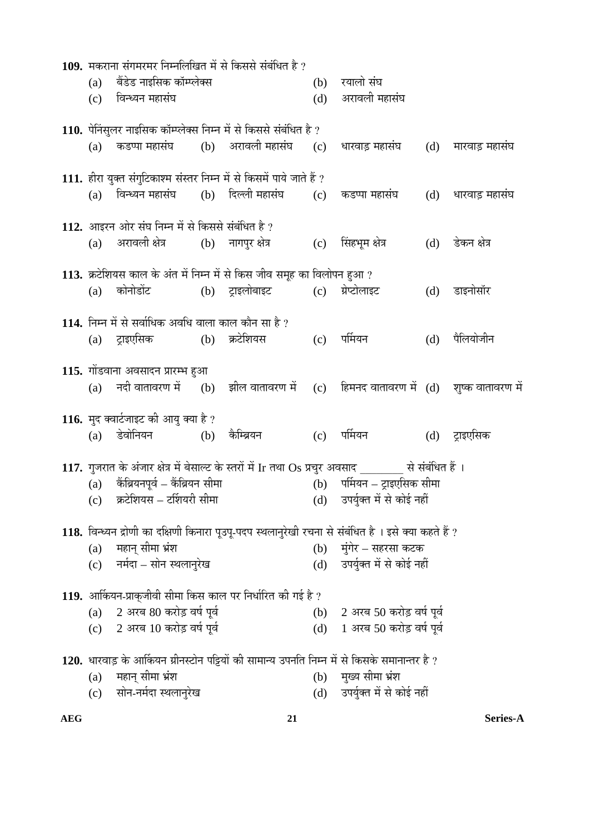|     | 109. मकराना संगमरमर निम्नलिखित में से किससे संबंधित है ?                      |                                                                         |     |                                                                                                         |     |                    |
|-----|-------------------------------------------------------------------------------|-------------------------------------------------------------------------|-----|---------------------------------------------------------------------------------------------------------|-----|--------------------|
| (a) | बैंडेड नाइसिक कॉम्प्लेक्स                                                     |                                                                         | (b) | रयालो संघ                                                                                               |     |                    |
| (c) | विन्ध्यन महासंघ                                                               |                                                                         | (d) | अरावली महासंघ                                                                                           |     |                    |
|     |                                                                               | 110. पेनिंसुलर नाइसिक कॉम्प्लेक्स निम्न में से किससे संबंधित है ?       |     |                                                                                                         |     |                    |
| (a) | कडप्पा महासंघ        (b)     अरावली महासंघ                                    |                                                                         |     | (c) धारवाड़ महासंघ                                                                                      |     | (d) मारवाड़ महासंघ |
|     |                                                                               | 111. हीरा युक्त संगुटिकाश्म संस्तर निम्न में से किसमें पाये जाते हैं ?  |     |                                                                                                         |     |                    |
| (a) | विन्ध्यन महासंघ                                                               | (b) दिल्ली महासंघ                                                       |     | (c) कडप्पा महासंघ                                                                                       |     | (d) धारवाड़ महासंघ |
|     | 112. आइरन ओर संघ निम्न में से किससे संबंधित है ?                              |                                                                         |     |                                                                                                         |     |                    |
| (a) | अरावली क्षेत्र                                                                | (b) नागपुर क्षेत्र                                                      |     | (c) सिंहभूम क्षेत्र                                                                                     | (d) | डेकन क्षेत्र       |
|     |                                                                               | 113. क्रटेशियस काल के अंत में निम्न में से किस जीव समूह का विलोपन हुआ ? |     |                                                                                                         |     |                    |
| (a) | कोनोडोंट                                                                      | (b) ट्राइलोबाइट                                                         |     | (c) ग्रेप्टोलाइट                                                                                        | (d) | डाइनोसॉर           |
|     | 114. निम्न में से सर्वाधिक अवधि वाला काल कौन सा है ?                          |                                                                         |     |                                                                                                         |     |                    |
| (a) | ट्राइएसिक                                                                     | (b) क्रटेशियस                                                           |     | (c) पर्मियन                                                                                             | (d) | पैलियोजीन          |
|     |                                                                               |                                                                         |     |                                                                                                         |     |                    |
|     | 115. गोंडवाना अवसादन प्रारम्भ हुआ                                             |                                                                         |     | (a) नदी वातावरण में (b) झील वातावरण में (c) हिमनद वातावरण में (d) शुष्क वातावरण में                     |     |                    |
|     |                                                                               |                                                                         |     |                                                                                                         |     |                    |
| (a) | <b>116.</b> मुद क्वार्टजाइट की आयु क्या है ?<br>डेवोनियन   (b) कैम्ब्रियन     |                                                                         |     | (c) पर्मियन                                                                                             |     | (d) ट्राइएसिक      |
|     |                                                                               |                                                                         |     |                                                                                                         |     |                    |
|     |                                                                               |                                                                         |     | 117. गुजरात के अंजार क्षेत्र में बेसाल्ट के स्तरों में Ir तथा Os प्रचुर अवसाद ________ से संबंधित हैं । |     |                    |
| (a) | कैंब्रियनपूर्व – कैंब्रियन सीमा<br>$\overline{c}$ ) क्रटेशियस – टर्शियरी सीमा |                                                                         |     | (b) पर्मियन – ट्राइएसिक सीमा<br>(d) उपर्युक्त में से कोई नहीं                                           |     |                    |
|     |                                                                               |                                                                         |     |                                                                                                         |     |                    |
|     |                                                                               |                                                                         |     | 118. विन्ध्यन द्रोणी का दक्षिणी किनारा पूउपू-पदप स्थलानुरेखी रचना से संबंधित है । इसे क्या कहते हैं ?   |     |                    |
| (a) | महान् सीमा भ्रंश<br>(c) नर्मदा – सोन स्थलानुरेख                               |                                                                         |     | (b) मुंगेर – सहरसा कटक<br>(d) उपर्युक्त में से कोई नहीं                                                 |     |                    |
|     |                                                                               |                                                                         |     |                                                                                                         |     |                    |
|     |                                                                               | 119. आर्कियन-प्राकुजीवी सीमा किस काल पर निर्धारित की गई है ?            |     |                                                                                                         |     |                    |
| (a) | 2 अरब 80 करोड़ वर्ष पूर्व                                                     |                                                                         |     | (b) 2 अरब 50 करोड़ वर्ष पूर्व                                                                           |     |                    |
|     | (c) 2 अरब 10 करोड़ वर्ष पूर्व                                                 |                                                                         |     | (d) 1 अरब 50 करोड़ वर्ष पूर्व                                                                           |     |                    |
|     |                                                                               |                                                                         |     | 120. धारवाड़ के आर्कियन ग्रीनस्टोन पट्टियों की सामान्य उपनति निम्न में से किसके समानान्तर है ?          |     |                    |
| (a) | महान् सीमा भ्रंश                                                              |                                                                         |     | (b) मुख्य सीमा भ्रंश                                                                                    |     |                    |
| (c) | सोन-नर्मदा स्थलानुरेख                                                         |                                                                         |     | (d) उपर्युक्त में से कोई नहीं                                                                           |     |                    |
|     |                                                                               |                                                                         |     |                                                                                                         |     |                    |

**AEG 21 Series-A**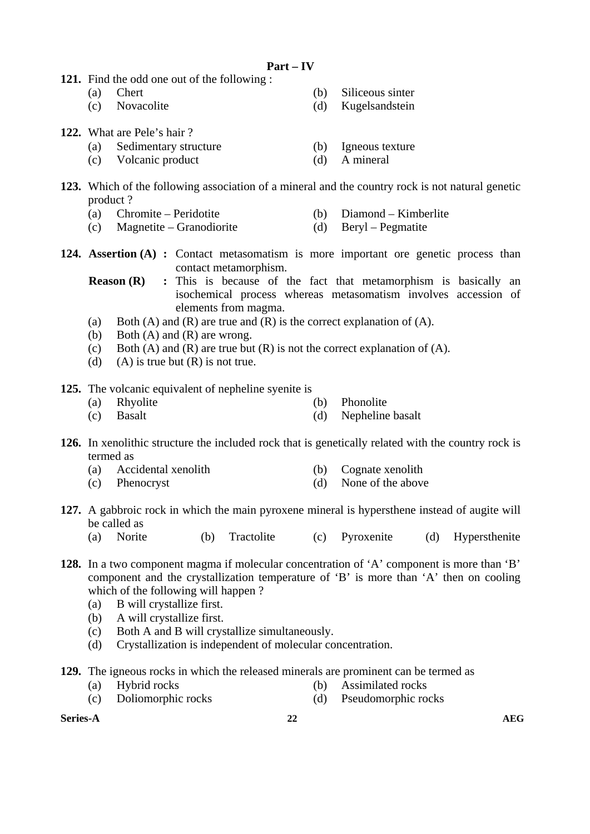- **121.** Find the odd one out of the following :
	- (a) Chert (b) Siliceous sinter
	- (c) Novacolite (d) Kugelsandstein
- **122.** What are Pele's hair ?
	- (a) Sedimentary structure (b) Igneous texture
	- (c) Volcanic product (d) A mineral
- **123.** Which of the following association of a mineral and the country rock is not natural genetic product ?
	- (a) Chromite Peridotite (b) Diamond Kimberlite
	- (c) Magnetite Granodiorite (d) Beryl Pegmatite
- **124. Assertion (A) :** Contact metasomatism is more important ore genetic process than contact metamorphism.
	- **Reason (R)** : This is because of the fact that metamorphism is basically an isochemical process whereas metasomatism involves accession of elements from magma.
	- (a) Both (A) and (R) are true and (R) is the correct explanation of (A).
	- (b) Both  $(A)$  and  $(R)$  are wrong.
	- (c) Both (A) and (R) are true but  $(R)$  is not the correct explanation of  $(A)$ .
	- (d) (A) is true but  $(R)$  is not true.

**125.** The volcanic equivalent of nepheline syenite is

- (a) Rhyolite (b) Phonolite
- (c) Basalt (d) Nepheline basalt
- **126.** In xenolithic structure the included rock that is genetically related with the country rock is termed as
	- (a) Accidental xenolith (b) Cognate xenolith
	- (c) Phenocryst (d) None of the above
- **127.** A gabbroic rock in which the main pyroxene mineral is hypersthene instead of augite will be called as
	- (a) Norite (b) Tractolite (c) Pyroxenite (d) Hypersthenite
- **128.** In a two component magma if molecular concentration of 'A' component is more than 'B' component and the crystallization temperature of 'B' is more than 'A' then on cooling which of the following will happen ?
	- (a) B will crystallize first.
	- (b) A will crystallize first.
	- (c) Both A and B will crystallize simultaneously.
	- (d) Crystallization is independent of molecular concentration.
- **129.** The igneous rocks in which the released minerals are prominent can be termed as
	-
	- (a) Hybrid rocks (b) Assimilated rocks
	- (c) Doliomorphic rocks (d) Pseudomorphic rocks
- **Series-A** and a series-A and a series-A and a series-A and a series-A and a series-A and a series-A series-A and  $22$ 
	-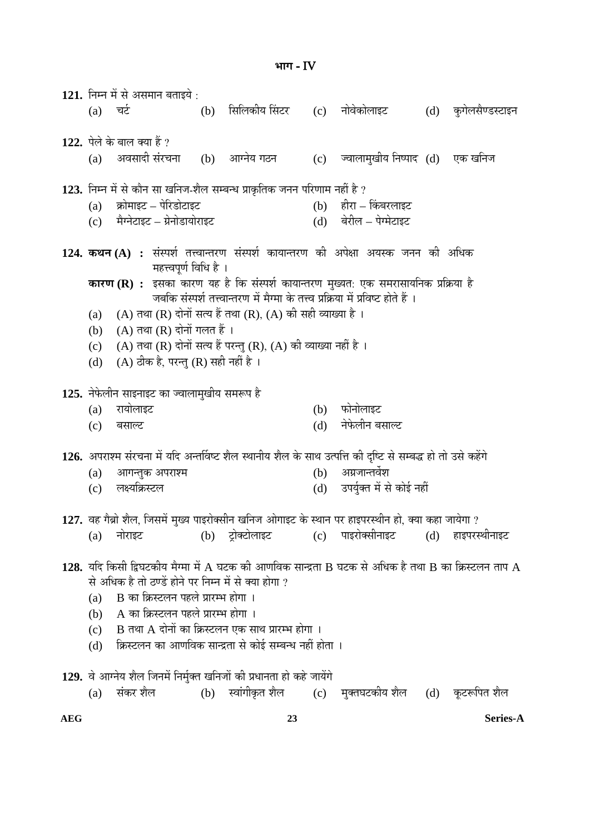121. निम्न में से असमान बताइये : (a) चर्ट (b) सिलिकीय सिंटर नोवेकोलाइट (d) कुगेलसैण्डस्टाइन 122. पेले के बाल क्या हैं ? (a) अवसादी संरचना (b) आग्नेय गठन (c) ज्वालामुखीय निष्पाद (d) एक खनिज **123.** ×®Ö´®Ö ´Öë ÃÖê ÛúÖî®Ö ÃÖÖ ÜÖ×®Ö•Ö-¿Öî»Ö ÃÖ´²Ö®¬Ö ¯ÖÏÖÛéúןÖÛú •Ö®Ö®Ö ¯Ö׸üÞÖÖ´Ö ®ÖÆüà Æîü ?  $(a)$  क्रोमाइट – पेरिडोटाइट † † † † † † † † † † † किंबरलाइट (c) मैग्नेटाइट – ग्रेनोडायोराइट (d) बेरील – पेग्मेटाइट 124. कथन (A) : संस्पर्श तत्त्वान्तरण संस्पर्श कायान्तरण की अपेक्षा अयस्क जनन की अधिक महत्त्वपूर्ण विधि है । **कारण (R) :** इसका कारण यह है कि संस्पर्श कायान्तरण मुख्यत: एक समरासायनिक प्रक्रिया है जबकि संस्पर्श तत्त्वान्तरण में मैग्मा के तत्त्व प्रक्रिया में प्रविष्ट होते हैं । (a) (A) तथा (R) दोनों सत्य हैं तथा (R), (A) की सही व्याख्या है । (b)  $(A)$  तथा  $(R)$  दोनों गलत हैं। (c) (A) तथा (R) दोनों सत्य हैं परन्तु (R), (A) की व्याख्या नहीं है । (d) (A) ठीक है, परन्तु (R) सही नहीं है । 125. नेफेलीन साइनाइट का ज्वालामुखीय समरूप है (a) रायोलाइट (b) फोनोलाइट (c) ²ÖÃÖÖ»™ü (d) ®Öê±êú»Öß®Ö ²ÖÃÖÖ»™ü 126. अपराश्म संरचना में यदि अन्तर्विष्ट शैल स्थानीय शैल के साथ उत्पत्ति की दृष्टि से सम्बद्ध हो तो उसे कहेंगे  $(a)$  आगन्तुक अपराश्म  $(b)$  अग्रजान्तर्वेश (c) लक्ष्यक्रिस्टल (d) उपर्यक्त में से कोई नहीं 127. वह गैब्रो शैल. जिसमें मख्य पाइरोक्सीन खनिज ओगाइट के स्थान पर हाइपरस्थीन हो. क्या कहा जायेगा ? (a) नोराइट (b) टोक्टोलाइट (c) पाइरोक्सीनाइट (d) हाइपरस्थीनाइट  $128.$  यदि किसी द्विघटकीय मैग्मा में A घटक की आणविक सान्द्रता B घटक से अधिक है तथा B का क्रिस्टलन ताप A से अधिक है तो ठण्डें होने पर निम्न में से क्या होगा ?  $(a)$  B का क्रिस्टलन पहले प्रारम्भ होगा ।  $(b)$  A का क्रिस्टलन पहले प्रारम्भ होगा ।  $(c)$  B तथा A दोनों का क्रिस्टलन एक साथ प्रारम्भ होगा । (d) क्रिस्टलन का आणविक सान्द्रता से कोई सम्बन्ध नहीं होता । 129. वे आग्नेय शैल जिनमें निर्मुक्त खनिजों की प्रधानता हो कहे जायेंगे (a) संकर शैल (b) स्वांगीकृत शैल (c) मुक्तघटकीय शैल (d) कृटरूपित शैल

**³ÖÖÝÖ** - IV

**AEG 23 Series-A**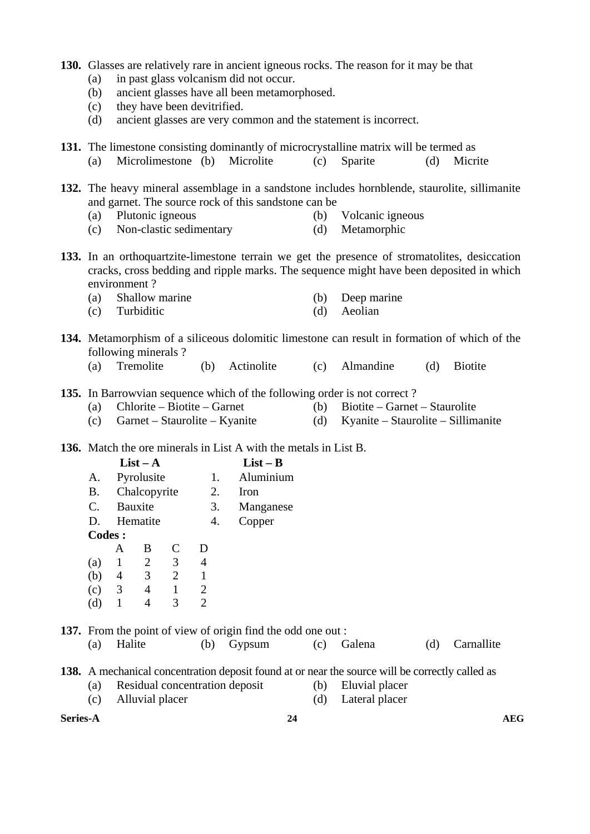|  |  |  |  |  |  |  | 130. Glasses are relatively rare in ancient igneous rocks. The reason for it may be that |  |
|--|--|--|--|--|--|--|------------------------------------------------------------------------------------------|--|
|--|--|--|--|--|--|--|------------------------------------------------------------------------------------------|--|

- (a) in past glass volcanism did not occur.
- (b) ancient glasses have all been metamorphosed.
- (c) they have been devitrified.
- (d) ancient glasses are very common and the statement is incorrect.

**131.** The limestone consisting dominantly of microcrystalline matrix will be termed as (a) Microlimestone (b) Microlite (c) Sparite (d) Micrite

- **132.** The heavy mineral assemblage in a sandstone includes hornblende, staurolite, sillimanite and garnet. The source rock of this sandstone can be
	- (a) Plutonic igneous (b) Volcanic igneous
	- (c) Non-clastic sedimentary (d) Metamorphic

**133.** In an orthoquartzite-limestone terrain we get the presence of stromatolites, desiccation cracks, cross bedding and ripple marks. The sequence might have been deposited in which environment ?

- (a) Shallow marine (b) Deep marine
- (c) Turbiditic (d) Aeolian
- **134.** Metamorphism of a siliceous dolomitic limestone can result in formation of which of the following minerals ?
	- (a) Tremolite (b) Actinolite (c) Almandine (d) Biotite
- **135.** In Barrowvian sequence which of the following order is not correct ?
	- (a) Chlorite Biotite Garnet (b) Biotite Garnet Staurolite
	- (c) Garnet Staurolite Kyanite (d) Kyanite Staurolite Sillimanite

## **136.** Match the ore minerals in List A with the metals in List B.

|           |                | $List - A$     |              |                | $List - B$                                                                                                                                                                                                                                                                                                 |     |        |          |     |                                                     |
|-----------|----------------|----------------|--------------|----------------|------------------------------------------------------------------------------------------------------------------------------------------------------------------------------------------------------------------------------------------------------------------------------------------------------------|-----|--------|----------|-----|-----------------------------------------------------|
| A.        |                | Pyrolusite     |              | 1.             | Aluminium                                                                                                                                                                                                                                                                                                  |     |        |          |     |                                                     |
| <b>B.</b> |                | Chalcopyrite   |              | 2.             | Iron                                                                                                                                                                                                                                                                                                       |     |        |          |     |                                                     |
| C.        | Bauxite        |                |              | 3.             | Manganese                                                                                                                                                                                                                                                                                                  |     |        |          |     |                                                     |
| D.        | Hematite       |                |              | 4.             | Copper                                                                                                                                                                                                                                                                                                     |     |        |          |     |                                                     |
| Codes :   |                |                |              |                |                                                                                                                                                                                                                                                                                                            |     |        |          |     |                                                     |
|           | A              | B              | $\mathbf C$  | D              |                                                                                                                                                                                                                                                                                                            |     |        |          |     |                                                     |
| (a)       | $\mathbf{1}$   | 2              | 3            | $\overline{4}$ |                                                                                                                                                                                                                                                                                                            |     |        |          |     |                                                     |
| (b)       | $\overline{4}$ | 3 <sup>7</sup> | 2            | $\mathbf{1}$   |                                                                                                                                                                                                                                                                                                            |     |        |          |     |                                                     |
| (c)       | 3              | $\overline{4}$ | $\mathbf{1}$ | 2              |                                                                                                                                                                                                                                                                                                            |     |        |          |     |                                                     |
| (d)       | $\mathbf{1}$   | $\overline{4}$ | 3            | 2              |                                                                                                                                                                                                                                                                                                            |     |        |          |     |                                                     |
|           |                |                |              |                | 137. From the point of view of origin find the odd one out:                                                                                                                                                                                                                                                |     |        |          |     |                                                     |
| (a)       | Halite         |                |              | (b)            | Gypsum                                                                                                                                                                                                                                                                                                     | (c) | Galena |          | (d) | Carnallite                                          |
|           |                |                |              |                | $\mathbf{A} \cap \mathbf{A}$ and $\mathbf{A}$ and $\mathbf{A}$ and $\mathbf{A}$ and $\mathbf{A}$ and $\mathbf{A}$ and $\mathbf{A}$ and $\mathbf{A}$ and $\mathbf{A}$ and $\mathbf{A}$ and $\mathbf{A}$ and $\mathbf{A}$ and $\mathbf{A}$ and $\mathbf{A}$ and $\mathbf{A}$ and $\mathbf{A}$ and $\mathbf{$ |     |        | $\cdots$ |     | $\mathbf{1}$ $\mathbf{1}$ $\mathbf{1}$ $\mathbf{1}$ |

- **138.** A mechanical concentration deposit found at or near the source will be correctly called as
	- (a) Residual concentration deposit (b) Eluvial placer
- - (c) Alluvial placer (d) Lateral placer
		-
- **Series-A 24 AEG**
	-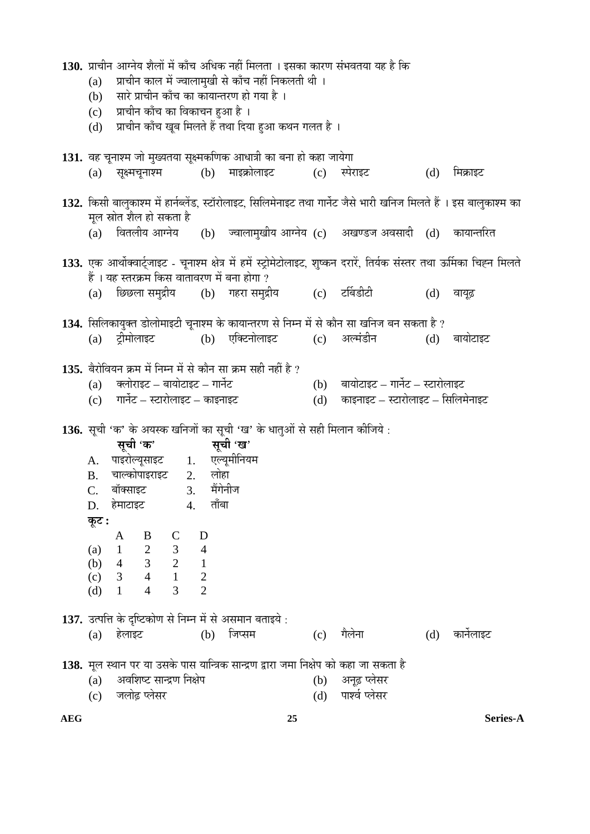|            | 130. प्राचीन आग्नेय शैलों में काँच अधिक नहीं मिलता । इसका कारण संभवतया यह है कि<br>प्राचीन काल में ज्वालामुखी से काँच नहीं निकलती थी ।<br>(a)<br>सारे प्राचीन काँच का कायान्तरण हो गया है ।<br>(b)<br>प्राचीन काँच का विकाचन हुआ है ।<br>(c)<br>प्राचीन काँच खूब मिलते हैं तथा दिया हुआ कथन गलत है ।<br>(d) |                                                                                                                                                                                                             |                                                                                        |   |                                                                                                            |              |            |                                                                                                                                                                                                             |     |            |
|------------|-------------------------------------------------------------------------------------------------------------------------------------------------------------------------------------------------------------------------------------------------------------------------------------------------------------|-------------------------------------------------------------------------------------------------------------------------------------------------------------------------------------------------------------|----------------------------------------------------------------------------------------|---|------------------------------------------------------------------------------------------------------------|--------------|------------|-------------------------------------------------------------------------------------------------------------------------------------------------------------------------------------------------------------|-----|------------|
|            |                                                                                                                                                                                                                                                                                                             |                                                                                                                                                                                                             |                                                                                        |   | 131. वह चूनाश्म जो मुख्यतया सूक्ष्मकणिक आधात्री का बना हो कहा जायेगा<br>(a) सूक्ष्मचूनाश्म (b) माइक्रोलाइट | (c) स्पेराइट |            |                                                                                                                                                                                                             | (d) | मिक्राइट   |
|            |                                                                                                                                                                                                                                                                                                             | मूल स्रोत शैल हो सकता है                                                                                                                                                                                    |                                                                                        |   |                                                                                                            |              |            | 132. किसी बालुकाश्म में हार्नब्लेंड, स्टॉरोलाइट, सिलिमेनाइट तथा गार्नेट जैसे भारी खनिज मिलते हैं । इस बालुकाश्म का<br>(a) वितलीय आग्नेय     (b)   ज्वालामुखीय आग्नेय (c)   अखण्डज अवसादी   (d)   कायान्तरित |     |            |
|            | (a)                                                                                                                                                                                                                                                                                                         | हैं । यह स्तरक्रम किस वातावरण में बना होगा ?                                                                                                                                                                |                                                                                        |   | छिछला समुद्रीय       (b)    गहरा समुद्रीय             (c)      टर्बिडीटी                                   |              |            | 133. एक आर्थोक्वार्ट्जाइट - चूनाश्म क्षेत्र में हमें स्ट्रोमेटोलाइट, शुष्कन दरारें, तिर्यक संस्तर तथा ऊर्मिका चिह्न मिलते                                                                                   | (d) | वायूढ़     |
|            |                                                                                                                                                                                                                                                                                                             |                                                                                                                                                                                                             |                                                                                        |   | (a) ट्रीमोलाइट   (b) एक्टिनोलाइट   (c) अल्मंडीन                                                            |              |            | 134. सिलिकायुक्त डोलोमाइटी चूनाश्म के कायान्तरण से निम्न में से कौन सा खनिज बन सकता है ?                                                                                                                    | (d) | बायोटाइट   |
|            |                                                                                                                                                                                                                                                                                                             | (a) क्लोराइट – बायोटाइट – गार्नेट<br>(c) गार्नेट – स्टारोलाइट – काइनाइट                                                                                                                                     |                                                                                        |   | 135. बैरोवियन क्रम में निम्न में से कौन सा क्रम सही नहीं है ?                                              |              |            | (b) बायोटाइट – गार्नेट – स्टारोलाइट<br>(d) काइनाइट – स्टारोलाइट – सिलिमेनाइट                                                                                                                                |     |            |
|            | $C_{\cdot}$<br>कूट :<br>(a)<br>(b)<br>(c)<br>(d)                                                                                                                                                                                                                                                            | सूची 'क' सूची 'ख'<br>A. पाइरोल्यूसाइट 1. एल्यूमीनियम<br>B. चाल्कोपाइराइट 2. लोहा<br>बॉक्साइट<br>D. हेमाटाइट 4. ताँबा<br>B<br>A<br>$\mathbf{1}$<br>$\overline{4}$<br>$\overline{\mathbf{3}}$<br>$\mathbf{1}$ | 3. मेंगेनीज<br>$\mathbf C$<br>B<br>2<br>3<br>3<br>2<br>4<br>1<br>2<br>3<br>2<br>3<br>2 | D | 136. सूची 'क' के अयस्क खनिजों का सूची 'ख' के धातुओं से सही मिलान कीजिये :                                  |              |            |                                                                                                                                                                                                             |     |            |
|            |                                                                                                                                                                                                                                                                                                             | (a) हेलाइट                                                                                                                                                                                                  |                                                                                        |   | 137. उत्पत्ति के दृष्टिकोण से निम्न में से असमान बताइये :<br>(b) जिप्सम                                    |              | (c)        | गैलेना                                                                                                                                                                                                      | (d) | कार्नेलाइट |
|            | (a)<br>(c)                                                                                                                                                                                                                                                                                                  | अवशिष्ट सान्द्रण निक्षेप<br>जलोढ़ प्लेसर                                                                                                                                                                    |                                                                                        |   |                                                                                                            |              | (b)<br>(d) | 138. मूल स्थान पर या उसके पास यान्त्रिक सान्द्रण द्वारा जमा निक्षेप को कहा जा सकता है<br>अनूढ़ प्लेसर<br>पार्श्व प्लेसर                                                                                     |     |            |
| <b>AEG</b> |                                                                                                                                                                                                                                                                                                             |                                                                                                                                                                                                             |                                                                                        |   |                                                                                                            | 25           |            |                                                                                                                                                                                                             |     | Series-A   |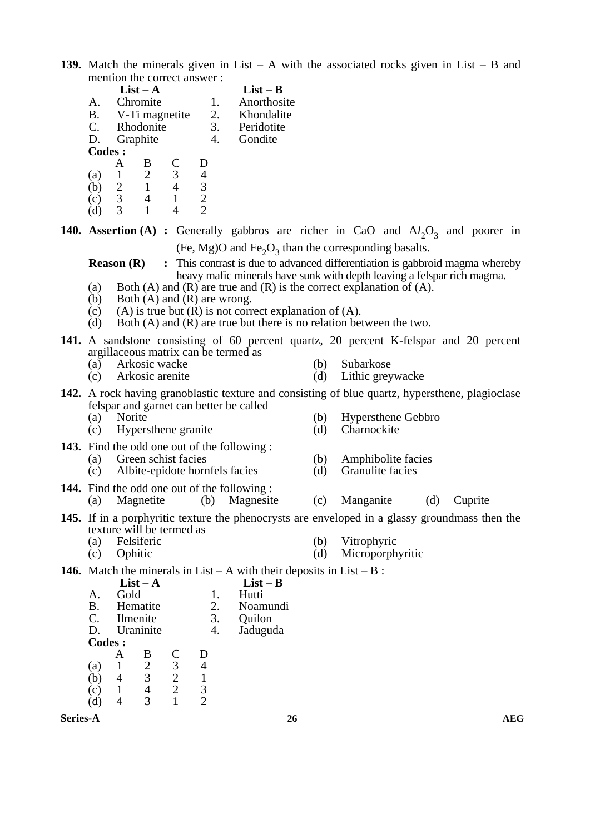**139.** Match the minerals given in List – A with the associated rocks given in List – B and mention the correct answer :

|     |                       | $List - A$ |                |   | $List - B$ |             |
|-----|-----------------------|------------|----------------|---|------------|-------------|
|     | А.                    | Chromite   |                |   | 1.         | Anorthosite |
|     | Β.                    |            | V-Ti magnetite |   | 2.         | Khondalite  |
|     | $\mathcal{C}_{\cdot}$ |            | Rhodonite      |   | 3.         | Peridotite  |
|     | D.                    | Graphite   |                |   |            | Gondite     |
|     | <b>Codes:</b>         |            |                |   |            |             |
|     |                       |            |                | C |            |             |
| (a) |                       |            | 2              | 3 |            |             |
|     | (b)                   | 2          |                |   |            |             |
|     | c'                    | 3          |                |   |            |             |
|     | a                     |            |                |   |            |             |

**140. Assertion** (A) : Generally gabbros are richer in CaO and  $Al_2O_3$  and poorer in (Fe, Mg)O and Fe<sub>2</sub>O<sub>3</sub> than the corresponding basalts.

**Reason (R)** : This contrast is due to advanced differentiation is gabbroid magma whereby heavy mafic minerals have sunk with depth leaving a felspar rich magma.

- (a) Both (A) and (R) are true and (R) is the correct explanation of  $(A)$ .
- (b) Both  $(A)$  and  $(R)$  are wrong.
- (c) (A) is true but  $(R)$  is not correct explanation of  $(A)$ .
- (d) Both (A) and (R) are true but there is no relation between the two.
- **141.** A sandstone consisting of 60 percent quartz, 20 percent K-felspar and 20 percent argillaceous matrix can be termed as
	- (a) Arkosic wacke (b) Subarkose
	- (c) Arkosic arenite (d) Lithic greywacke
- **142.** A rock having granoblastic texture and consisting of blue quartz, hypersthene, plagioclase felspar and garnet can better be called<br>(a) Norite
	- $(c)$  Hypersthene granite  $(d)$
	-
- **143.** Find the odd one out of the following :
	-
	- (a) Green schist facies (b) Amphibolite facies<br>
	(c) Albite-epidote hornfels facies (d) Granulite facies  $(c)$  Albite-epidote hornfels facies  $(d)$
- **144.** Find the odd one out of the following : (a) Magnetite (b) Magnesite (c) Manganite (d) Cuprite
- **145.** If in a porphyritic texture the phenocrysts are enveloped in a glassy groundmass then the texture will be termed as
	- (a) Felsiferic (b) Vitrophyric
	- (c) Ophitic (d) Microporphyritic
- **146.** Match the minerals in List A with their deposits in List B :

|               |      | $List - A$ |       |    | $List - B$ |
|---------------|------|------------|-------|----|------------|
| А.            | Gold |            | Hutti |    |            |
| Β.            |      | Hematite   |       | 2. | Noamundi   |
| C.            |      | Ilmenite   |       | 3. | Quilon     |
| D.            |      | Uraninite  |       | 4. | Jaduguda   |
| <b>Codes:</b> |      |            |       |    |            |
|               |      | В          | C     | I) |            |
| (a)           |      | 2          | 3     |    |            |
| (b)           |      | 3          |       |    |            |
| $\mathbf{c}$  |      |            |       | 3  |            |
|               |      |            |       |    |            |

**Series-A** and a series-A

- 
- 

- 
- 
- 
- (b) Hypersthene Gebbro<br>(d) Charnockite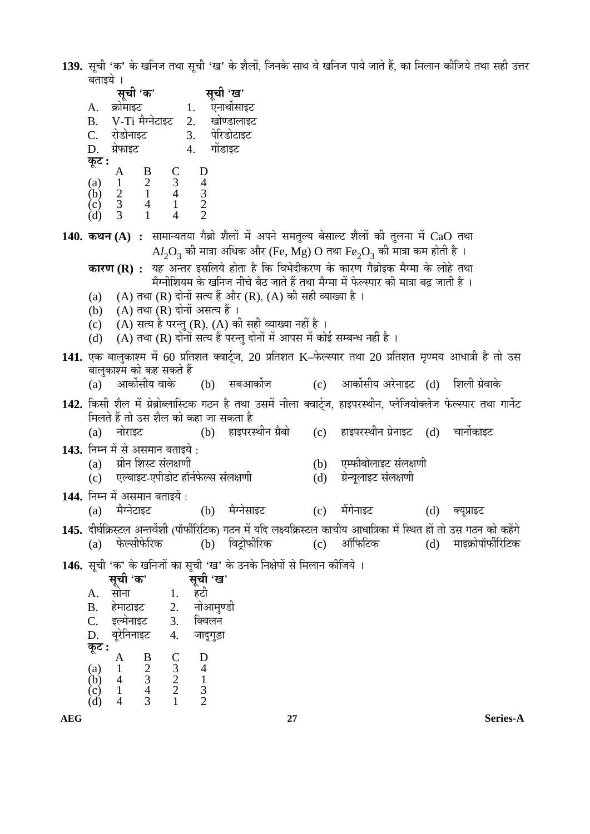**139.** सूची 'क' के खनिज तथा सूची 'ख' के शैलों, जिनके साथ वे खनिज पाये जाते हैं, का मिलान कीजिये तथा सही उत्तर बताइये <mark>।</mark>

|            | सूची 'क' सूची 'ख'                                                                                                                                                                                                                                                                                                                |                                     |                                                                           |     |                                                                                                                          |     |                    |  |
|------------|----------------------------------------------------------------------------------------------------------------------------------------------------------------------------------------------------------------------------------------------------------------------------------------------------------------------------------|-------------------------------------|---------------------------------------------------------------------------|-----|--------------------------------------------------------------------------------------------------------------------------|-----|--------------------|--|
| А.         | क्रोमाइट 1. एनार्थोसाइट                                                                                                                                                                                                                                                                                                          |                                     |                                                                           |     |                                                                                                                          |     |                    |  |
|            | B. V-Ti मैग्नेटाइट 2. खोण्डालाइट                                                                                                                                                                                                                                                                                                 |                                     |                                                                           |     |                                                                                                                          |     |                    |  |
|            | C. रोडोनाइट   3. पेरिडोटाइट<br>D. ग्रेफाइट   4. गोंडाइट                                                                                                                                                                                                                                                                          |                                     |                                                                           |     |                                                                                                                          |     |                    |  |
|            |                                                                                                                                                                                                                                                                                                                                  |                                     |                                                                           |     |                                                                                                                          |     |                    |  |
| कूट :      |                                                                                                                                                                                                                                                                                                                                  |                                     |                                                                           |     |                                                                                                                          |     |                    |  |
|            |                                                                                                                                                                                                                                                                                                                                  |                                     |                                                                           |     |                                                                                                                          |     |                    |  |
|            |                                                                                                                                                                                                                                                                                                                                  |                                     |                                                                           |     |                                                                                                                          |     |                    |  |
|            | (a) $\begin{array}{cccc} 1 & 1 & 1 & 1 \\ 1 & 1 & 1 & 1 \\ 1 & 1 & 1 & 1 \\ 1 & 1 & 1 & 1 \\ 1 & 1 & 1 & 1 \\ 1 & 1 & 1 & 1 \\ 1 & 1 & 1 & 1 \\ 1 & 1 & 1 & 1 \\ 1 & 1 & 1 & 1 \\ 1 & 1 & 1 & 1 \\ 1 & 1 & 1 & 1 \\ 1 & 1 & 1 & 1 \\ 1 & 1 & 1 & 1 \\ 1 & 1 & 1 & 1 \\ 1 & 1 & 1 & 1 \\ 1 & 1 & 1 & 1 \\ 1 & 1 & 1 & 1 \\ 1 & 1$ |                                     |                                                                           |     |                                                                                                                          |     |                    |  |
|            |                                                                                                                                                                                                                                                                                                                                  |                                     |                                                                           |     | 140. कथन (A) : सामान्यतया गैब्रो शैलों में अपने समतुल्य बेसाल्ट शैलों की तुलना में CaO तथा                               |     |                    |  |
|            |                                                                                                                                                                                                                                                                                                                                  |                                     |                                                                           |     | $\text{Al}_2\text{O}_3$ की मात्रा अधिक और (Fe, Mg) O तथा Fe <sub>2</sub> O <sub>3</sub> की मात्रा कम होती है ।           |     |                    |  |
|            |                                                                                                                                                                                                                                                                                                                                  |                                     |                                                                           |     | <b>कारण (R) :</b> यह अन्तर इसलिये होता है कि विभेदीकरण के कारण गैब्रोइक मैग्मा के लोहे तथा                               |     |                    |  |
|            |                                                                                                                                                                                                                                                                                                                                  |                                     |                                                                           |     | मेग्नीशियम के खनिज नीचे बैठ जाते हैं तथा मैग्मा में फेल्स्पार की मात्रा बढ़ जाती है ।                                    |     |                    |  |
|            |                                                                                                                                                                                                                                                                                                                                  |                                     | (a) (A) तथा (R) दोनों सत्य हैं और (R), (A) की सही व्याख्या है ।           |     |                                                                                                                          |     |                    |  |
|            | (b) (A) तथा (R) दोनों असत्य हैं।                                                                                                                                                                                                                                                                                                 |                                     |                                                                           |     |                                                                                                                          |     |                    |  |
| (c)        |                                                                                                                                                                                                                                                                                                                                  |                                     | (A) सत्य है परन्तु (R), (A) की सही व्याख्या नहीं है ।                     |     |                                                                                                                          |     |                    |  |
| (d)        |                                                                                                                                                                                                                                                                                                                                  |                                     | (A) तथा (R) दोनों सत्य हैं परन्तु दोनों में आपस में कोई सम्बन्ध नहीं है । |     |                                                                                                                          |     |                    |  |
|            |                                                                                                                                                                                                                                                                                                                                  |                                     |                                                                           |     | 141. एक बालुकाश्म में 60 प्रतिशत क्वार्ट्ज, 20 प्रतिशत K–फेल्स्पार तथा 20 प्रतिशत मृण्मय आधात्री है तो उस                |     |                    |  |
|            | बालुकाश्म को कह सकते हैं                                                                                                                                                                                                                                                                                                         |                                     |                                                                           |     |                                                                                                                          |     |                    |  |
| (a)        |                                                                                                                                                                                                                                                                                                                                  |                                     |                                                                           |     | आर्कोसीय वाके (b) सबआर्कोज       (c) आर्कोसीय अरेनाइट (d) शिली ग्रेवाके                                                  |     |                    |  |
|            |                                                                                                                                                                                                                                                                                                                                  |                                     |                                                                           |     | 142. किसी शैल में ग्रेब्रोब्लास्टिक गठन है तथा उसमें नीला क्वार्ट्ज, हाइपरस्थीन, प्लेजियोक्लेज फेल्स्पार तथा गार्नेट     |     |                    |  |
|            | मिलते हैं तो उस शैल को कहा जा सकता है                                                                                                                                                                                                                                                                                            |                                     |                                                                           |     |                                                                                                                          |     |                    |  |
|            |                                                                                                                                                                                                                                                                                                                                  |                                     |                                                                           |     | (b) हाइपरस्थीन ग्रैबो      (c)   हाइपरस्थीन ग्रेनाइट   (d)   चार्नोकाइट                                                  |     |                    |  |
|            |                                                                                                                                                                                                                                                                                                                                  |                                     |                                                                           |     |                                                                                                                          |     |                    |  |
|            | (a) नोराइट                                                                                                                                                                                                                                                                                                                       |                                     |                                                                           |     |                                                                                                                          |     |                    |  |
|            | 143. निम्न में से असमान बताइये :                                                                                                                                                                                                                                                                                                 |                                     |                                                                           |     |                                                                                                                          |     |                    |  |
|            | (a) ग्रीन शिस्ट संलक्षणी                                                                                                                                                                                                                                                                                                         |                                     |                                                                           |     | (b) एम्फीबोलाइट संलक्षणी                                                                                                 |     |                    |  |
|            | (c)     एल्बाइट-एपीडोट हॉर्नफेल्स संलक्षणी                                                                                                                                                                                                                                                                                       |                                     |                                                                           | (d) | ग्रेन्यूलाइट संलक्षणी                                                                                                    |     |                    |  |
|            | 144. निम्न में असमान बताइये :                                                                                                                                                                                                                                                                                                    |                                     |                                                                           |     |                                                                                                                          |     |                    |  |
|            | (a) मैग्नेटाइट (b) मैग्नेसाइट                                                                                                                                                                                                                                                                                                    |                                     |                                                                           | (c) | मैंगेनाइट (d) क्यूप्राइट                                                                                                 |     |                    |  |
|            |                                                                                                                                                                                                                                                                                                                                  |                                     |                                                                           |     | 145. दीर्घक्रिस्टल अन्तर्वेशी (पॉर्फीरिटिक) गठन में यदि लक्ष्यक्रिस्टल काचीय आधात्रिका में स्थित हों तो उस गठन को कहेंगे |     |                    |  |
| (a)        | फेल्सीफेरिक                                                                                                                                                                                                                                                                                                                      | (b)                                 | विट्रोफीरिक                                                               | (c) | ऑफिटिक                                                                                                                   | (d) | माइक्रोपॉर्फीरिटिक |  |
|            |                                                                                                                                                                                                                                                                                                                                  |                                     | 146. सूची 'क' के खनिजों का सूची 'ख' के उनके निक्षेपों से मिलान कीजिये ।   |     |                                                                                                                          |     |                    |  |
|            | सूची 'क'                                                                                                                                                                                                                                                                                                                         | सूची 'ख'                            |                                                                           |     |                                                                                                                          |     |                    |  |
| А.         | सोना<br>1.                                                                                                                                                                                                                                                                                                                       | हटी                                 |                                                                           |     |                                                                                                                          |     |                    |  |
| <b>B.</b>  | हेमाटाइट<br>2.                                                                                                                                                                                                                                                                                                                   | नोआमुण्डी                           |                                                                           |     |                                                                                                                          |     |                    |  |
| C.         | इल्मेनाइट<br>3.                                                                                                                                                                                                                                                                                                                  | क्विलन                              |                                                                           |     |                                                                                                                          |     |                    |  |
| D.         | यूरेनिनाइट<br>$\overline{4}$ .                                                                                                                                                                                                                                                                                                   | जादूगुड़ा                           |                                                                           |     |                                                                                                                          |     |                    |  |
| कूट :      | A                                                                                                                                                                                                                                                                                                                                |                                     |                                                                           |     |                                                                                                                          |     |                    |  |
| (a)<br>(b) | $\frac{C}{3}$<br>$\frac{2}{2}$<br>B<br>$\frac{2}{3}$<br>1<br>4                                                                                                                                                                                                                                                                   | D<br>$\overline{4}$<br>$\mathbf{1}$ |                                                                           |     |                                                                                                                          |     |                    |  |

 $(d)$  4 3 1 2

**AEG 27 Series-A**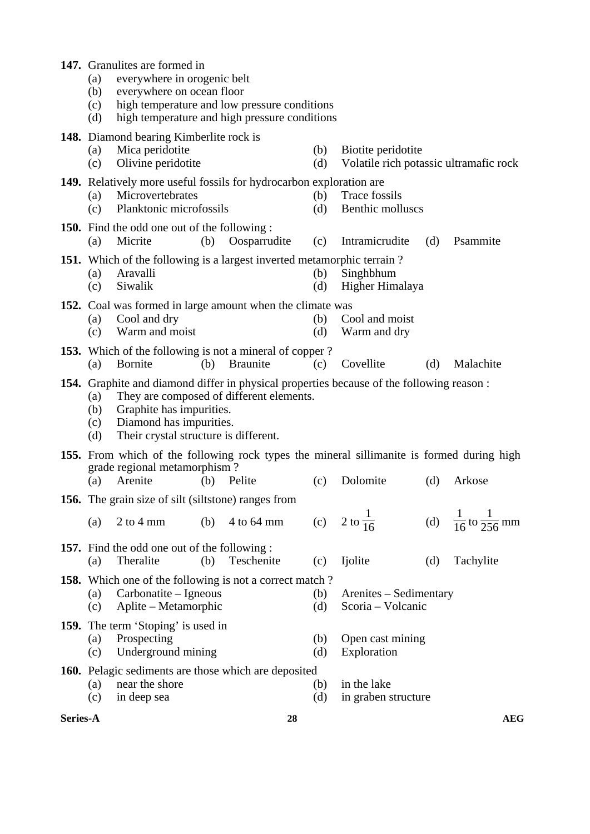| 147. Granulites are formed in<br>everywhere in orogenic belt<br>(a)<br>everywhere on ocean floor<br>(b)<br>high temperature and low pressure conditions<br>(c)<br>high temperature and high pressure conditions<br>(d)<br><b>148.</b> Diamond bearing Kimberlite rock is |                                                                                                                           |     |                                          |            |                                                                                                              |     |                                          |  |
|--------------------------------------------------------------------------------------------------------------------------------------------------------------------------------------------------------------------------------------------------------------------------|---------------------------------------------------------------------------------------------------------------------------|-----|------------------------------------------|------------|--------------------------------------------------------------------------------------------------------------|-----|------------------------------------------|--|
| (a)<br>(c)                                                                                                                                                                                                                                                               | Mica peridotite<br>Olivine peridotite                                                                                     |     |                                          | (b)<br>(d) | Biotite peridotite<br>Volatile rich potassic ultramafic rock                                                 |     |                                          |  |
| (a)<br>(c)                                                                                                                                                                                                                                                               | <b>149.</b> Relatively more useful fossils for hydrocarbon exploration are<br>Microvertebrates<br>Planktonic microfossils |     |                                          | (b)<br>(d) | Trace fossils<br>Benthic molluscs                                                                            |     |                                          |  |
| (a)                                                                                                                                                                                                                                                                      | <b>150.</b> Find the odd one out of the following :<br>Micrite                                                            | (b) | Oosparrudite                             | (c)        | Intramicrudite                                                                                               | (d) | Psammite                                 |  |
| 151. Which of the following is a largest inverted metamorphic terrain?<br>Aravalli<br>Singhbhum<br>(b)<br>(a)<br>Siwalik<br>(d)<br>Higher Himalaya<br>(c)                                                                                                                |                                                                                                                           |     |                                          |            |                                                                                                              |     |                                          |  |
| 152. Coal was formed in large amount when the climate was<br>Cool and dry<br>(b)<br>Cool and moist<br>(a)<br>Warm and moist<br>(c)<br>(d)<br>Warm and dry                                                                                                                |                                                                                                                           |     |                                          |            |                                                                                                              |     |                                          |  |
| (a)                                                                                                                                                                                                                                                                      | 153. Which of the following is not a mineral of copper?<br>Bornite                                                        | (b) | Braunite                                 | (c)        | Covellite                                                                                                    | (d) | Malachite                                |  |
| (a)<br>(b)<br>(c)<br>(d)                                                                                                                                                                                                                                                 | Graphite has impurities.<br>Diamond has impurities.<br>Their crystal structure is different.                              |     | They are composed of different elements. |            | 154. Graphite and diamond differ in physical properties because of the following reason :                    |     |                                          |  |
| (a)                                                                                                                                                                                                                                                                      | grade regional metamorphism?<br>Arenite                                                                                   | (b) | Pelite                                   | (c)        | <b>155.</b> From which of the following rock types the mineral sillimanite is formed during high<br>Dolomite | (d) | Arkose                                   |  |
|                                                                                                                                                                                                                                                                          | 156. The grain size of silt (siltstone) ranges from                                                                       |     |                                          |            |                                                                                                              |     |                                          |  |
| (a)                                                                                                                                                                                                                                                                      | $2$ to 4 mm                                                                                                               | (b) | 4 to 64 mm                               |            | (c) $2 \text{ to } \frac{1}{16}$                                                                             |     | (d) $\frac{1}{16}$ to $\frac{1}{256}$ mm |  |
| (a)                                                                                                                                                                                                                                                                      | <b>157.</b> Find the odd one out of the following :<br>Theralite                                                          | (b) | Teschenite                               | (c)        | Ijolite                                                                                                      | (d) | Tachylite                                |  |
| (a)<br>(c)                                                                                                                                                                                                                                                               | <b>158.</b> Which one of the following is not a correct match?<br>Carbonatite – Igneous<br>Aplite – Metamorphic           |     |                                          | (b)<br>(d) | Arenites – Sedimentary<br>Scoria - Volcanic                                                                  |     |                                          |  |
| <b>159.</b> The term 'Stoping' is used in<br>Prospecting<br>Open cast mining<br>(a)<br>(b)<br>Exploration<br>Underground mining<br>(c)<br>(d)                                                                                                                            |                                                                                                                           |     |                                          |            |                                                                                                              |     |                                          |  |
| (a)<br>(c)                                                                                                                                                                                                                                                               | 160. Pelagic sediments are those which are deposited<br>near the shore<br>in deep sea                                     |     |                                          | (b)<br>(d) | in the lake<br>in graben structure                                                                           |     |                                          |  |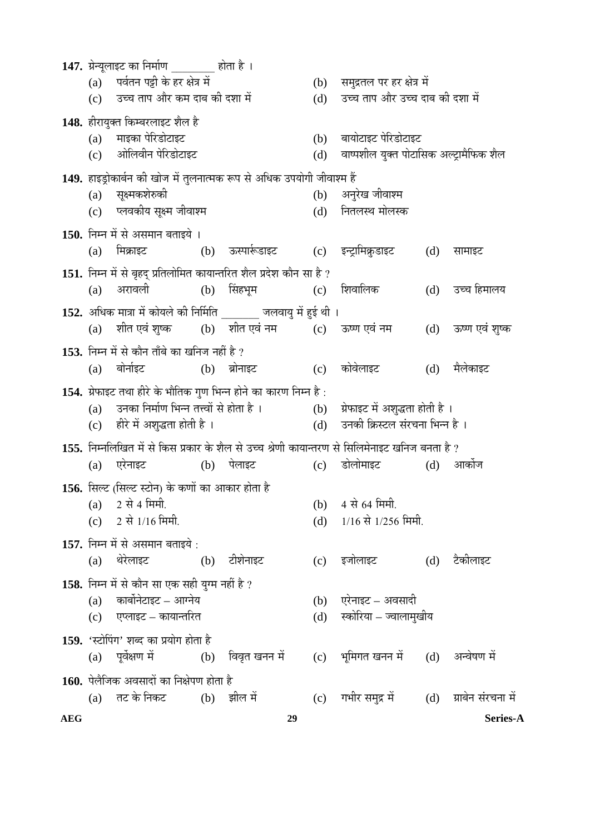| <b>AEG</b> |     |                                                                                                                                                 | 29          |            |                                                                                                                |     | Series-A       |
|------------|-----|-------------------------------------------------------------------------------------------------------------------------------------------------|-------------|------------|----------------------------------------------------------------------------------------------------------------|-----|----------------|
|            |     | (a) तट के निकट (b) झील में                                                                                                                      |             |            | (c) गभीर समुद्र में (d) ग्राबेन संरचना में                                                                     |     |                |
|            |     | 160. पेलैजिक अवसादों का निक्षेपण होता है                                                                                                        |             |            |                                                                                                                |     |                |
|            |     | 159. 'स्टोपिंग' शब्द का प्रयोग होता है<br>(a) पूर्वेक्षण में              (b) विवृत खनन में                                                     |             |            | (c) भूमिगत खनन में (d)                                                                                         |     | अन्वेषण में    |
|            |     | (c) एप्लाइट – कायान्तरित                                                                                                                        |             | (d)        | स्कोरिया – ज्वालामुखीय                                                                                         |     |                |
|            | (a) | कार्बोनेटाइट – आग्नेय                                                                                                                           |             |            | (b) एरेनाइट – अवसादी                                                                                           |     |                |
|            |     | 158. निम्न में से कौन सा एक सही युग्म नहीं है ?                                                                                                 |             |            |                                                                                                                |     |                |
|            |     | (a) थेरेलाइट<br>(b) टीशेनाइट                                                                                                                    |             |            | (c) इजोलाइट (d)                                                                                                |     | टैकीलाइट       |
|            |     | 157. निम्न में से असमान बताइये :                                                                                                                |             |            |                                                                                                                |     |                |
|            |     | (c) $2 \nleftrightarrow 1/16$ मिमी.                                                                                                             |             |            | (d) $1/16$ से $1/256$ मिमी.                                                                                    |     |                |
|            |     | 156. सिल्ट (सिल्ट स्टोन) के कणों का आकार होता है<br>$(a)$ 2 से 4 मिमी.                                                                          |             |            | (b) 4 से 64 मिमी.                                                                                              |     |                |
|            |     |                                                                                                                                                 |             |            |                                                                                                                |     |                |
|            | (a) | एरेनाइट                         (b)     पेलाइट                                                                                                  | (c)         |            | 155. निम्नलिखित में से किस प्रकार के शैल से उच्च श्रेणी कायान्तरण से सिलिमेनाइट खनिज बनता है ?<br>डोलोमाइट (d) |     | आकोज           |
|            |     | (c) हीरे में अशुद्धता होती है ।                                                                                                                 |             |            | (d)     उनकी क्रिस्टल संरचना भिन्न है ।                                                                        |     |                |
|            |     | (a) उनका निर्माण भिन्न तत्त्वों से होता है ।                                                                                                    |             |            | (b) प्रेफाइट में अशुद्धता होती है ।                                                                            |     |                |
|            |     | 154. ग्रेफाइट तथा हीरे के भौतिक गुण भिन्न होने का कारण निम्न है:                                                                                |             |            |                                                                                                                |     |                |
|            |     | (a) बोर्नाइट   (b) ब्रोनाइट                                                                                                                     |             |            | (c) कोवेलाइट                                                                                                   | (d) | मैलेकाइट       |
|            |     | 153. निम्न में से कौन ताँबे का खनिज नहीं है ?                                                                                                   |             |            |                                                                                                                |     |                |
|            |     | 152. अधिक मात्रा में कोयले की निर्मिति _______ जलवायु में हुई थी ।<br>(a) शीत एवं शुष्क        (b)    शीत एवं नम            (c)     ऊष्ण एवं नम |             |            |                                                                                                                | (d) | ऊष्ण एवं शुष्क |
|            | (a) | अरावली                                                                                                                                          | (b) सिंहभूम |            | (c) शिवालिक                                                                                                    | (d) | उच्च हिमालय    |
|            |     | 151. निम्न में से बृहद् प्रतिलोमित कायान्तरित शैल प्रदेश कौन सा है ?                                                                            |             |            |                                                                                                                |     |                |
|            | (a) |                                                                                                                                                 |             |            |                                                                                                                | (d) | सामाइट         |
|            |     | 150. निम्न में से असमान बताइये ।                                                                                                                |             |            |                                                                                                                |     |                |
|            |     | (c) प्लवकीय सूक्ष्म जीवाश्म                                                                                                                     |             |            | (d) नितलस्थ मोलस्क                                                                                             |     |                |
|            |     | (a) सूक्ष्मकशेरुकी                                                                                                                              |             | (b)        | अनुरेख जीवाश्म                                                                                                 |     |                |
|            |     | 149. हाइड्रोकार्बन की खोज में तुलनात्मक रूप से अधिक उपयोगी जीवाश्म हैं                                                                          |             |            |                                                                                                                |     |                |
|            |     | (a) माइका पेरिडोटाइट<br>(c) ओलिवीन पेरिडोटाइट                                                                                                   |             | (b)<br>(d) | बायोटाइट पेरिडोटाइट<br>वाष्पशील युक्त पोटासिक अल्ट्रामैफिक शैल                                                 |     |                |
|            |     | 148. हीरायुक्त किम्बरलाइट शैल है                                                                                                                |             |            |                                                                                                                |     |                |
|            |     | (c) उच्च ताप और कम दाब की दशा में                                                                                                               |             | (d)        | उच्च ताप और उच्च दाब की दशा में                                                                                |     |                |
|            |     | (a) पर्वतन पट्टी के हर क्षेत्र में                                                                                                              |             |            | (b) समुद्रतल पर हर क्षेत्र में                                                                                 |     |                |
|            |     | 147. ग्रेन्यूलाइट का निर्माण _______ होता है ।                                                                                                  |             |            |                                                                                                                |     |                |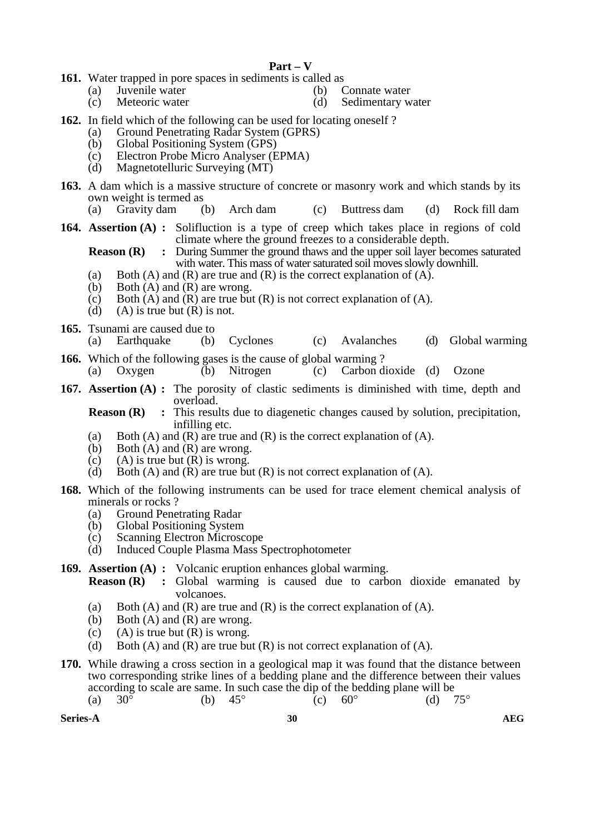## **Part – V**

- **161.** Water trapped in pore spaces in sediments is called as
	- (a) Juvenile water (b) Connate water
		-
	- (c) Meteoric water (d) Sedimentary water
- **162.** In field which of the following can be used for locating oneself ?
	- (a) Ground Penetrating Radar System (GPRS)
	- (b) Global Positioning System (GPS)
	- (c) Electron Probe Micro Analyser (EPMA)<br>(d) Magnetotelluric Surveying (MT)
	- Magnetotelluric Surveying (MT)
- **163.** A dam which is a massive structure of concrete or masonry work and which stands by its own weight is termed as
	- (a) Gravity dam (b) Arch dam (c) Buttress dam (d) Rock fill dam
- **164. Assertion (A) :** Solifluction is a type of creep which takes place in regions of cold climate where the ground freezes to a considerable depth.

**Reason (R)** : During Summer the ground thaws and the upper soil layer becomes saturated with water. This mass of water saturated soil moves slowly downhill.

- (a) Both (A) and (R) are true and (R) is the correct explanation of (A).
- (b) Both  $(A)$  and  $(R)$  are wrong.
- (c) Both  $(A)$  and  $(R)$  are true but  $(R)$  is not correct explanation of  $(A)$ .
- (d) (A) is true but  $(R)$  is not.
- **165.** Tsunami are caused due to
	- (a) Earthquake (b) Cyclones (c) Avalanches (d) Global warming
- **166.** Which of the following gases is the cause of global warming ? (a) Oxygen (b) Nitrogen (c) Carbon dioxide (d) Ozone
- **167. Assertion (A) :** The porosity of clastic sediments is diminished with time, depth and overload.

**Reason (R)** : This results due to diagenetic changes caused by solution, precipitation, infilling etc.

- (a) Both (A) and (R) are true and (R) is the correct explanation of (A).
- (b) Both (A) and (R) are wrong.
- (c) (A) is true but  $(R)$  is wrong.
- (d) Both (A) and (R) are true but  $(R)$  is not correct explanation of  $(A)$ .
- **168.** Which of the following instruments can be used for trace element chemical analysis of minerals or rocks ?
	- (a) Ground Penetrating Radar<br>(b) Global Positioning System
	- Global Positioning System
	- (c) Scanning Electron Microscope
	- (d) Induced Couple Plasma Mass Spectrophotometer

### **169. Assertion (A) :** Volcanic eruption enhances global warming.

- **Reason (R)** : Global warming is caused due to carbon dioxide emanated by volcanoes.
	- (a) Both (A) and (R) are true and (R) is the correct explanation of (A).
	- (b) Both  $(A)$  and  $(R)$  are wrong.
	- (c) (A) is true but  $(R)$  is wrong.
	- (d) Both (A) and (R) are true but  $(R)$  is not correct explanation of  $(A)$ .
- **170.** While drawing a cross section in a geological map it was found that the distance between two corresponding strike lines of a bedding plane and the difference between their values according to scale are same. In such case the dip of the bedding plane will be (a)  $30^{\circ}$  (b)  $45^{\circ}$  (c)  $60^{\circ}$  (d)  $75^{\circ}$ 
	- (a)  $30^{\circ}$  (b)  $45^{\circ}$  (c)  $60^{\circ}$  (d)

**Series-A 30 AEG**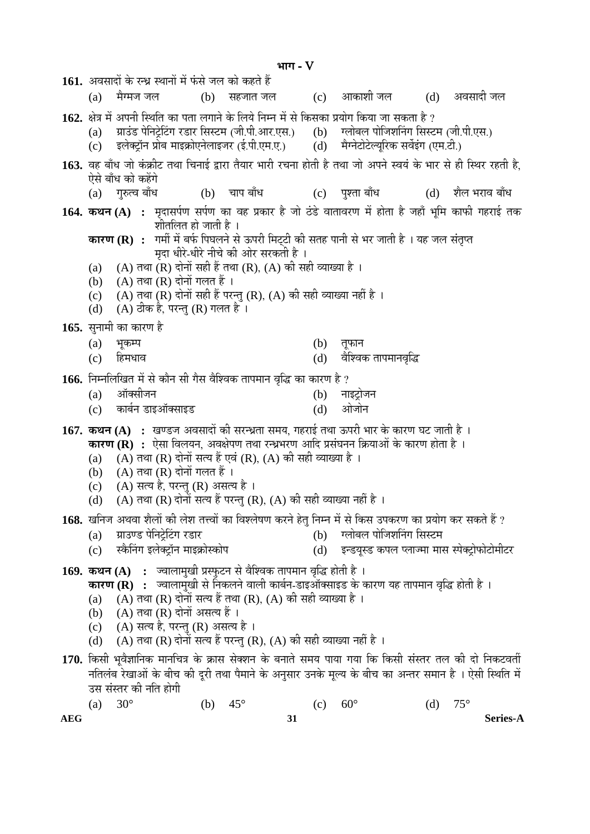**³ÖÖÝÖ** - V 1**61.** अवसादों के रन्ध्र स्थानों में फंसे जल को कहते हैं (a) मैग्मज जल (b) सहजात जल (c) आकाशी जल (d) अवसादी जल 1**62.** क्षेत्र में अपनी स्थिति का पता लगाने के लिये निम्न में से किसका प्रयोग किया जा सकता है ?<br>(a) प्राउंड पेनिट्रेटिंग रडार सिस्टम (जी.पी.आर.एस.) (b) ग्लोबल पोजिशनिंग सिस्टम (जी.पी.एस.) (a) ग्राउंड पेनिट्रेटिंग रडार सिस्टम (जी.पी.आर.एस.) (b) ग्लोबल पोजिशनिंग सिस्टम (जी.<br>(c) इलेक्ट्रॉन प्रोब माइक्रोएनेलाइजर (ई.पी.एम.ए.) (d) मैग्नेटोटेल्युरिक सर्वेइंग (एम.टी.) इलेक्ट्रॉन प्रोब माइक्रोएनेलाइजर (ई.पी.एम.ए.) 163. वह बाँध जो कंक्रीट तथा चिनाई द्वारा तैयार भारी रचना होती है तथा जो अपने स्वयं के भार से ही स्थिर रहती है. ऐसे बाँध को कहेंगे<br>(a) गुरुत्व बाँध (a) गुरुत्व बाँध (b) चाप बाँध (c) पुश्ता बाँध (d) शैल भराव बाँध **164. कथन (A) :** मदासर्पण सर्पण का वह प्रकार है जो ठंडे वातावरण में होता है जहाँ भूमि काफी गहराई तक शीतलित हो जाती है । **कारण (R) :** गर्मी में बर्फ पिघलने से ऊपरी मिट्टी की सतह पानी से भर जाती है । यह जल संतृप्त `मदा धीरे-धीरे नीचे की ओर सरकती है<sup>ं</sup>। (a)  $(A)$  तथा (R) दोनों सही हैं तथा (R), (A) की सही व्याख्या है । (b)  $(A)$  तथा  $(R)$  दोनों गलत हैं । (c) (A) तथा (R) दोनों सही हैं परन्तु (R), (A) की सही व्याख्या नहीं है । (d)  $(A)$  ठीक है, परन्त (R) गलत है। 165. सुनामी का कारण है (a) भूकम्प (b) तूफान (c) ׯü´Ö¬ÖÖ¾Ö (d) ¾Öî׿¾ÖÛú ŸÖÖ¯Ö´ÖÖ®Ö¾Öéרü 166. निम्नलिखित में से कौन सी गैस वैश्विक तापमान वृद्धि का कारण है ? (a) †ÖòŒÃÖߕ֮Ö (b) ®ÖÖ‡™ÒüÖê•Ö®Ö (c) कार्बन डाइऑक्साइड (d) ओजोन **167. कथन (A) :** खण्डज अवसादों की सरन्ध्रता समय, गहराई तथा ऊपरी भार के कारण घट जाती है । **कारण (R) :** ऐसा विलयन, अवक्षेपण तथा रन्ध्रभरण आदि प्रसंघनन क्रियाओं के कारण होता है । (a) (A) तथा (R) दोनों सत्य हैं एवं (R), (A) की सही व्याख्या है । (b)  $(A)$  तथा  $(R)$  दोनों गलत हैं। (c) (A) सत्य है, परन्तु (R) असत्य है ।<br>(d) (A) तथा (R) दोनों सत्य हैं परन्त (F (A) तथा (R) दोनों सत्य हैं परन्तु (R), (A) की सही व्याख्या नहीं है ।  $\bf 168.$  खनिज अथवा शैलों की लेश तत्त्वों का विश्लेषण करने हेत निम्न में से किस उपकरण का प्रयोग कर सकते हैं ? (a) ÝÖÏÖˆÞ›ü ¯Öê×®Ö™ÒêüØ™üÝÖ ¸ü›üÖ¸ü (b) Ý»ÖÖê²Ö»Ö ¯ÖÖê×•Ö¿ÖØ®ÖÝÖ ×ÃÖÙü´Ö (c) स्कैनिंग इलेक्ट्रॉन माइक्रोस्कोप (d) इन्डयुस्ड कपल प्लाज्मा मास स्पेक्ट्रोफोटोमीटर 169. **कथन** (A) : • ज्वालामुखी प्रस्फुटन से वैश्विक तापमान वृद्धि होती है । **कारण (R) :** ज्वालामुखी से निकलने वाली कार्बन-डाइऑक्साइड के कारण यह तापमान वृद्धि होती है । (a) (A) तथा (R) दोनों सत्य हैं तथा (R), (A) की सही व्याख्या है । (b)  $(A)$  तथा  $(R)$  दोनों असत्य हैं ।  $(c)$  (A) सत्य है, परन्तु (R) असत्य है। (d) (A) तथा (R) दोनों सत्य हैं परन्तु (R), (A) की सही व्याख्या नहीं है ।  $170$ . किसी भवैज्ञानिक मानचित्र के क्रास सेक्शन के बनाते समय पाया गया कि किसी संस्तर तल की दो निकटवर्ती नतिलंब रेखाओं के बीच की दुरी तथा पैमाने के अनुसार उनके मूल्य के बीच का अन्तर समान है । ऐसी स्थिति में

उस संस्तर की नति होगी (a)  $30^{\circ}$  (b)  $45^{\circ}$  (c)  $60^{\circ}$  (d)  $75^{\circ}$ 

**AEG 31 Series-A**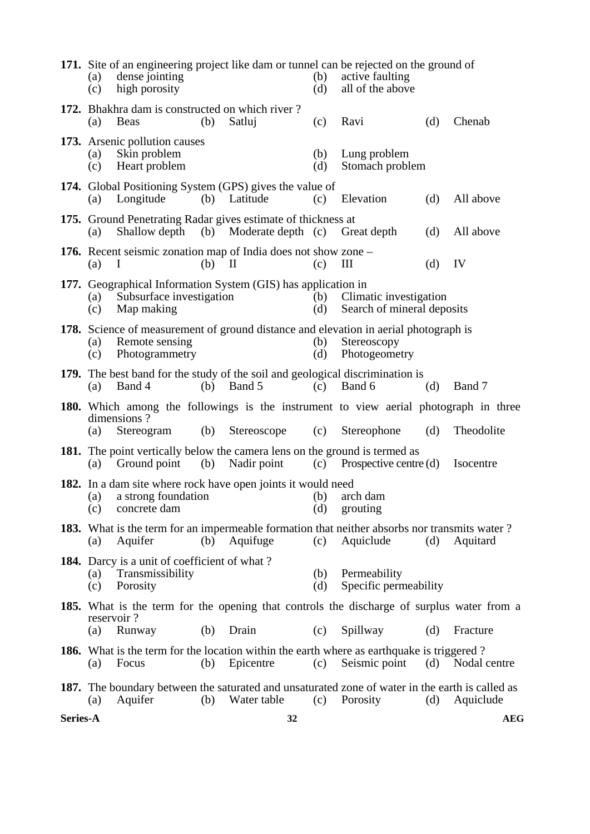|          | (a)<br>(c) | dense jointing<br>high porosity                                                     |     |                                                                                                  | (b)<br>(d) | 171. Site of an engineering project like dam or tunnel can be rejected on the ground of<br>active faulting<br>all of the above |     |              |
|----------|------------|-------------------------------------------------------------------------------------|-----|--------------------------------------------------------------------------------------------------|------------|--------------------------------------------------------------------------------------------------------------------------------|-----|--------------|
|          | (a)        | 172. Bhakhra dam is constructed on which river?<br><b>Beas</b>                      | (b) | Satluj                                                                                           | (c)        | Ravi                                                                                                                           | (d) | Chenab       |
|          | (a)<br>(c) | 173. Arsenic pollution causes<br>Skin problem<br>Heart problem                      |     |                                                                                                  | (b)<br>(d) | Lung problem<br>Stomach problem                                                                                                |     |              |
|          | (a)        | Longitude                                                                           |     | 174. Global Positioning System (GPS) gives the value of<br>(b) Latitude                          | (c)        | Elevation                                                                                                                      | (d) | All above    |
|          | (a)        | Shallow depth                                                                       | (b) | 175. Ground Penetrating Radar gives estimate of thickness at<br>Moderate depth (c)               |            | Great depth                                                                                                                    | (d) | All above    |
|          | (a)        | I                                                                                   | (b) | <b>176.</b> Recent seismic zonation map of India does not show zone –<br>$\mathbf{I}$            | (c)        | Ш                                                                                                                              | (d) | IV           |
|          | (a)<br>(c) | Subsurface investigation<br>Map making                                              |     | 177. Geographical Information System (GIS) has application in                                    | (b)<br>(d) | Climatic investigation<br>Search of mineral deposits                                                                           |     |              |
|          | (a)<br>(c) | Remote sensing<br>Photogrammetry                                                    |     |                                                                                                  | (b)<br>(d) | 178. Science of measurement of ground distance and elevation in aerial photograph is<br>Stereoscopy<br>Photogeometry           |     |              |
|          | (a)        | Band 4                                                                              | (b) | Band 5                                                                                           | (c)        | 179. The best band for the study of the soil and geological discrimination is<br>Band 6                                        | (d) | Band 7       |
|          | (a)        | dimensions?<br>Stereogram                                                           | (b) | Stereoscope                                                                                      | (c)        | 180. Which among the followings is the instrument to view aerial photograph in three<br>Stereophone                            | (d) | Theodolite   |
|          | (a)        | Ground point                                                                        | (b) | <b>181.</b> The point vertically below the camera lens on the ground is termed as<br>Nadir point |            | (c) Prospective centre $(d)$                                                                                                   |     | Isocentre    |
|          | (a)<br>(c) | a strong foundation<br>concrete dam                                                 |     | <b>182.</b> In a dam site where rock have open joints it would need                              | (b)<br>(d) | arch dam<br>grouting                                                                                                           |     |              |
|          | (a)        | Aquifer                                                                             | (b) | Aquifuge                                                                                         | (c)        | <b>183.</b> What is the term for an impermeable formation that neither absorbs nor transmits water?<br>Aquiclude               | (d) | Aquitard     |
|          | (a)<br>(c) | <b>184.</b> Darcy is a unit of coefficient of what?<br>Transmissibility<br>Porosity |     |                                                                                                  | (b)<br>(d) | Permeability<br>Specific permeability                                                                                          |     |              |
|          | reservoir? |                                                                                     |     |                                                                                                  |            | <b>185.</b> What is the term for the opening that controls the discharge of surplus water from a                               |     |              |
|          | (a)        | Runway                                                                              | (b) | Drain                                                                                            | (c)        | Spillway                                                                                                                       | (d) | Fracture     |
|          | (a)        | Focus                                                                               | (b) | Epicentre                                                                                        | (c)        | <b>186.</b> What is the term for the location within the earth where as earthquake is triggered?<br>Seismic point              | (d) | Nodal centre |
|          | (a)        | Aquifer                                                                             | (b) | Water table                                                                                      | (c)        | <b>187.</b> The boundary between the saturated and unsaturated zone of water in the earth is called as<br>Porosity             | (d) | Aquiclude    |
| Series-A |            |                                                                                     |     | 32                                                                                               |            |                                                                                                                                |     | <b>AEG</b>   |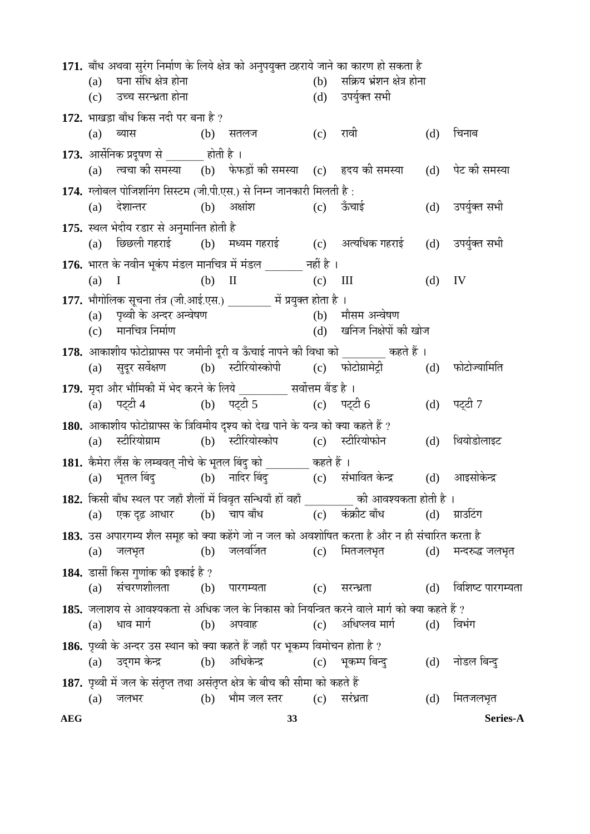171. बाँध अथवा सुरंग निर्माण के लिये क्षेत्र को अनुपयुक्त ठहराये जाने का कारण हो सकता है  $(a)$ घना संधि क्षेत्र होना  $(b)$ सक्रिय भ्रंशन क्षेत्र होना उच्च सरन्ध्रता होना  $(c)$  $(d)$ उपर्युक्त सभी 172. भाखडा बाँध किस नदी पर बना है ? चिनाब  $(a)$ ब्यास (b) सतलज  $(c)$ रावी  $(d)$ 173. आर्सेनिक प्रदूषण से होती है । त्वचा की समस्या (b) फेफडों की समस्या (c) हृदय की समस्या पेट की समस्या  $(a)$  $(d)$ 174. ग्लोबल पोजिशनिंग सिस्टम (जी.पी.एस.) से निम्न जानकारी मिलती है :  $(b)$  अक्षांश देशान्तर  $(c)$  ऊँचाई उपर्युक्त सभी  $(a)$  $(d)$ 175. स्थल भेदीय रडार से अनुमानित होती है (c) अत्यधिक गहराई छिछली गहराई (b) मध्यम गहराई  $(d)$ उपर्युक्त सभी  $(a)$ 176. भारत के नवीन भूकंप मंडल मानचित्र में मंडल \_\_\_\_\_\_ नहीं है ।  $(b)$  II IV  $(a)$  $(c)$  III  $(d)$  $\mathbf{I}$ 177. भौगोलिक सूचना तंत्र (जी.आई.एस.) \_\_\_\_\_\_\_\_ में प्रयुक्त होता है । (b) मौसम अन्वेषण पृथ्वी के अन्दर अन्वेषण  $(a)$ मानचित्र निर्माण  $(d)$ खनिज निक्षेपों की खोज  $(c)$ 178. आकाशीय फोटोग्राफ्स पर जमीनी दूरी व ऊँचाई नापने की विधा को बाद कहते हैं । सदर सर्वेक्षण (b) स्टीरियोस्कोपी (c) फोटोग्रामेट्री फोटोज्यामिति  $(a)$  $(d)$ 179. मृदा और भौमिकी में भेद करने के लिये सर्वोत्तम बैंड है । (b) पट्टी 5 पट्टी 4 (c) पट्टी  $6$ पट्टी 7  $(a)$  $(d)$ 180. आकाशीय फोटोग्राफ्स के त्रिविमीय दृश्य को देख पाने के यन्त्र को क्या कहते हैं ? स्टीरियोग्राम (b) स्टीरियोस्कोप स्टीरियोफोन थियोडोलाइट  $(c)$  $(d)$  $(a)$ 181. कैमेरा लैंस के लम्बवत् नीचे के भूतल बिंदु को \_\_\_\_\_\_\_ कहते हैं । (b) नादिर बिंदु भूतल बिंदु (c) संभावित केन्द्र आइसोकेन्द्र  $(a)$  $(d)$ 182. किसी बाँध स्थल पर जहाँ शैलों में विवृत सन्धियाँ हों वहाँ \_\_\_\_\_\_\_\_\_ की आवश्यकता होती है । एक दढ़ आधार (c) कंक्रीट बाँध  $(d)$  ग्राउटिंग  $(b)$  चाप बाँध  $(a)$ 183. उस अपारगम्य शैल समूह को क्या कहेंगे जो न जल को अवशोषित करता है और न ही संचारित करता है  $(b)$  जलवर्जित  $(a)$ (c) मितजलभृत मन्दरुद्ध जलभूत जलभूत  $(d)$ 184. डार्सी किस गुणांक की इकाई है ? संचरणशीलता (b) पारगम्यता विशिष्ट पारगम्यता  $(c)$  सरन्ध्रता  $(d)$  $(a)$ 185. जलाशय से आवश्यकता से अधिक जल के निकास को नियन्त्रित करने वाले मार्ग को क्या कहते हैं ? धाव मार्ग (b) अपवाह  $(c)$ अधिप्लव मार्ग  $(d)$ विभंग  $(a)$ 186. पृथ्वी के अन्दर उस स्थान को क्या कहते हैं जहाँ पर भूकम्प विमोचन होता है ? (b) अधिकेन्द्र उदुगम केन्द्र  $(c)$ भूकम्प बिन्दु  $(d)$ नोडल बिन्द  $(a)$ 187. पृथ्वी में जल के संतृप्त तथा असंतृप्त क्षेत्र के बीच की सीमा को कहते हैं  $(d)$  $(a)$ जलभर (b) भौम जल स्तर  $(c)$  सरंध्रता मितजलभृत **AEG** 33 **Series-A**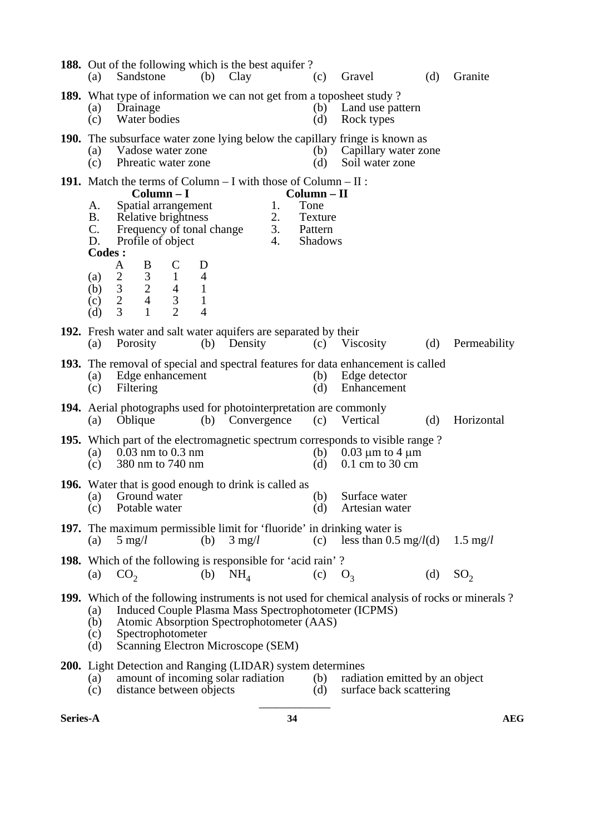| (a)                                                                                                                                                                                                                                                                                                | 188. Out of the following which is the best aquifer?<br>Sandstone                                                                                                                                                                                                      |                                                                                                                                                  |                                                                       | $(b)$ Clay                         |                                    | (c)                                                         | Gravel                                                                                                           | (d)                                                       | Granite            |  |
|----------------------------------------------------------------------------------------------------------------------------------------------------------------------------------------------------------------------------------------------------------------------------------------------------|------------------------------------------------------------------------------------------------------------------------------------------------------------------------------------------------------------------------------------------------------------------------|--------------------------------------------------------------------------------------------------------------------------------------------------|-----------------------------------------------------------------------|------------------------------------|------------------------------------|-------------------------------------------------------------|------------------------------------------------------------------------------------------------------------------|-----------------------------------------------------------|--------------------|--|
| (a)<br>(c)                                                                                                                                                                                                                                                                                         | <b>189.</b> What type of information we can not get from a toposheet study?<br>Land use pattern<br>Drainage<br>(b)<br>Water bodies<br>(d)<br>Rock types                                                                                                                |                                                                                                                                                  |                                                                       |                                    |                                    |                                                             |                                                                                                                  |                                                           |                    |  |
| (a)<br>(c)                                                                                                                                                                                                                                                                                         | <b>190.</b> The subsurface water zone lying below the capillary fringe is known as<br>Capillary water zone<br>Vadose water zone<br>(b)<br>Phreatic water zone<br>(d)<br>Soil water zone                                                                                |                                                                                                                                                  |                                                                       |                                    |                                    |                                                             |                                                                                                                  |                                                           |                    |  |
| A.<br>Β.<br>C.<br>D.<br><b>Codes:</b><br>(a)<br>(b)<br>(c)<br>(d)                                                                                                                                                                                                                                  | <b>191.</b> Match the terms of Column $- I$ with those of Column $- II$ :<br>Frequency of tonal change<br>Profile of object<br>B<br>A<br>$\mathfrak{Z}$<br>$\overline{2}$<br>$\overline{c}$<br>$\mathfrak{Z}$<br>$\overline{2}$<br>$\overline{4}$<br>3<br>$\mathbf{1}$ | $Column - I$<br>Spatial arrangement<br>Relative brightness<br>$\mathsf{C}$<br>$\mathbf{1}$<br>$\overline{4}$<br>$\overline{3}$<br>$\overline{2}$ | D<br>$\overline{4}$<br>$\mathbf{1}$<br>$\mathbf{1}$<br>$\overline{4}$ |                                    | 1.<br>2.<br>3.<br>$\overline{4}$ . | Column – II<br>Tone<br>Texture<br>Pattern<br><b>Shadows</b> |                                                                                                                  |                                                           |                    |  |
| <b>192.</b> Fresh water and salt water aquifers are separated by their<br>Viscosity<br>(d)<br>Permeability<br>Porosity<br>Density<br>(c)<br>(a)<br>(b)                                                                                                                                             |                                                                                                                                                                                                                                                                        |                                                                                                                                                  |                                                                       |                                    |                                    |                                                             |                                                                                                                  |                                                           |                    |  |
| (a)<br>(c)                                                                                                                                                                                                                                                                                         | Edge enhancement<br>Filtering                                                                                                                                                                                                                                          |                                                                                                                                                  |                                                                       |                                    |                                    | (b)<br>(d)                                                  | 193. The removal of special and spectral features for data enhancement is called<br>Edge detector<br>Enhancement |                                                           |                    |  |
| (a)                                                                                                                                                                                                                                                                                                | Oblique                                                                                                                                                                                                                                                                |                                                                                                                                                  |                                                                       | (b) Convergence                    |                                    | (c)                                                         | 194. Aerial photographs used for photointerpretation are commonly<br>Vertical                                    | (d)                                                       | Horizontal         |  |
| (a)<br>(c)                                                                                                                                                                                                                                                                                         | <b>195.</b> Which part of the electromagnetic spectrum corresponds to visible range?<br>$0.03$ nm to $0.3$ nm<br>$0.03 \mu m$ to 4 $\mu m$<br>(b)<br>380 nm to 740 nm<br>$0.1$ cm to 30 cm<br>(d)                                                                      |                                                                                                                                                  |                                                                       |                                    |                                    |                                                             |                                                                                                                  |                                                           |                    |  |
| (a)<br>(c)                                                                                                                                                                                                                                                                                         | <b>196.</b> Water that is good enough to drink is called as<br>Surface water<br>Ground water<br>(b)<br>Potable water<br>(d)<br>Artesian water                                                                                                                          |                                                                                                                                                  |                                                                       |                                    |                                    |                                                             |                                                                                                                  |                                                           |                    |  |
| (a)                                                                                                                                                                                                                                                                                                | $5 \text{ mg}/l$                                                                                                                                                                                                                                                       |                                                                                                                                                  | (b)                                                                   | $3 \text{ mg}/l$                   |                                    | (c)                                                         | <b>197.</b> The maximum permissible limit for 'fluoride' in drinking water is                                    | less than 0.5 mg/ $l$ (d)                                 | $1.5 \text{ mg}/l$ |  |
| (a)                                                                                                                                                                                                                                                                                                | <b>198.</b> Which of the following is responsible for 'acid rain'?<br>CO <sub>2</sub>                                                                                                                                                                                  |                                                                                                                                                  | (b)                                                                   | NH <sub>4</sub>                    |                                    | (c)                                                         | O <sub>3</sub>                                                                                                   | (d)                                                       | SO <sub>2</sub>    |  |
| 199. Which of the following instruments is not used for chemical analysis of rocks or minerals?<br><b>Induced Couple Plasma Mass Spectrophotometer (ICPMS)</b><br>(a)<br>Atomic Absorption Spectrophotometer (AAS)<br>(b)<br>Spectrophotometer<br>(c)<br>Scanning Electron Microscope (SEM)<br>(d) |                                                                                                                                                                                                                                                                        |                                                                                                                                                  |                                                                       |                                    |                                    |                                                             |                                                                                                                  |                                                           |                    |  |
| (a)<br>(c)                                                                                                                                                                                                                                                                                         | <b>200.</b> Light Detection and Ranging (LIDAR) system determines                                                                                                                                                                                                      | distance between objects                                                                                                                         |                                                                       | amount of incoming solar radiation |                                    | (b)<br>(d)                                                  |                                                                                                                  | radiation emitted by an object<br>surface back scattering |                    |  |

**Series-A 34 AEG**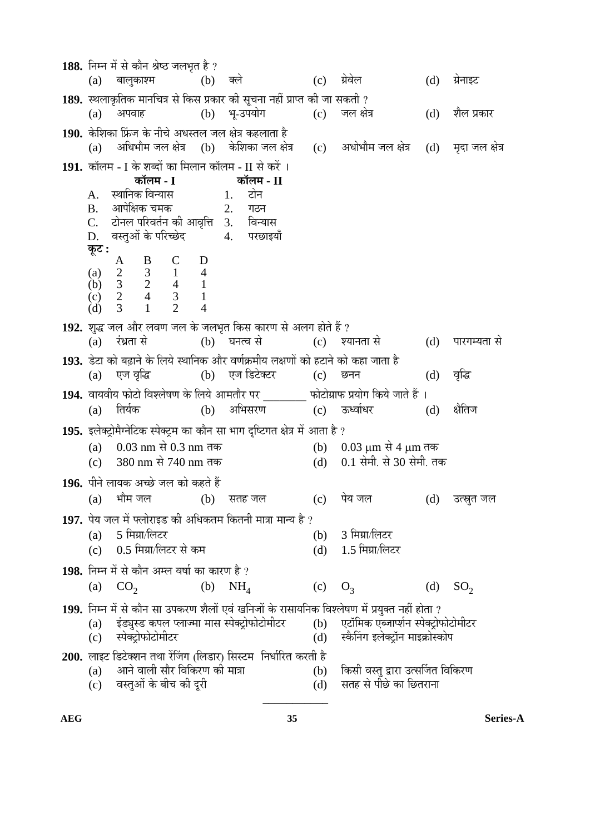188. निम्न में से कौन श्रेष्ठ जलभत है ? (a) बालुकाश्म (b) क्ले (c) ग्रेवेल (d) ग्रेनाइट 1**89.** स्थलाकृतिक मानचित्र से किस प्रकार की सूचना नहीं प्राप्त की जा सकती ?<br>(a) अपवाह (b) भू-उपयोग (c) जल क्षेत्र (a) अपवाह (b) भू-उपयोग (c) जलक्षेत्र (d) शैलप्रकार 1**90.** केशिका फ्रिंज के नीचे अधस्तल जल क्षेत्र कहलाता है<br>(a) अधिभौम जल क्षेत्र (b) केशिका जल क्षे अधिभौम जल क्षेत्र (b) केशिका जल क्षेत्र (c) अधोभौम जल क्षेत्र (d) मदा जल क्षेत्र ا 1**91.** कॉलम - I के शब्दों का मिलान कॉलम - II से करें<br>**कॉलम - I** कॉलम - I **ळॉलम - II**<br>टोन A. ãÖÖ×®ÖÛú ×¾Ö®µÖÖÃÖ 1. ™üÖê®Ö B. †Ö¯Öê×õÖÛú "Ö´ÖÛú 2. ÝÖšü®Ö टोनल परिवर्तन की आवृत्ति 3. D. वस्तुओं के परिच्छेद<sup>ें</sup> 4. परछाइयाँ  $\overline{\phi}$ **:**  $A$  B C D (a) 2 3 1 4 (b) 3 2 4 1 (c)  $2 \t 4 \t 3 \t 1$ <br>
(d)  $3 \t 1 \t 2 \t 4$  (d) 3 1 2 4 **192.** ¿Öã¨ü •Ö»Ö †Öî¸ü »Ö¾ÖÞÖ •Ö»Ö Ûêú •Ö»Ö³ÖéŸÖ ×ÛúÃÖ ÛúÖ¸üÞÖ ÃÖê †»ÖÝÖ ÆüÖêŸÖê Æïü ?  $\overline{c}$ ) ह्यानता से  $\overline{d}$  (d) पारगम्यता से 1**93.** डेटा को बढ़ाने के लिये स्थानिक और वर्णक्रमीय लक्षणों को हटाने को कहा जाता है<br>(a) एज वृद्धि (b) एज डिटेक्टर (c) छनन (a) एजन्त्रांद्धि (b) एज-डिटेक्टर (c) छनन (d) वृद्धि 1**94.** वायवीय फोटो विश्लेषण के लिये आमतौर पर फोटोग्राफ प्रयोग किये जाते हैं । (a) तिर्यक (b) अभिसरण (c) ऊर्ध्वाधर (d) क्षैतिज 195. इलेक्टोमैग्नेटिक स्पेक्टम का कौन सा भाग दृष्टिगत क्षेत्र में आता है ? (a)  $0.03 \text{ nm}$  से  $0.3 \text{ nm}$  तक (b)  $0.03 \text{ µm}$  से  $4 \text{ µm}$  तक (c)  $380 \text{ nm}$  से  $740 \text{ nm}$  तक (d)  $0.1$  सेमी, से  $30$  सेमी, तक (c)  $380 \text{ nm} \; \text{\&} 740 \text{ nm} \; \text{\&}$   $\overline{496}$  (d) 196. पीने लायक अच्छे जल को कहते हैं (a) भौम जल (b) सतह जल (c) पेय जल (d) उत्स्नृत जल 197. पेय जल में फ्लोराइड की अधिकतम कितनी मात्रा मान्य है ? (a)  $5 \overline{r}$ मिग्रा/लिटर (b) 3 मिग्रा/लिटर (c) 0.5 मिग्रा/लिटर से कम  $(c)$  0.5 मिग्रा/लिटर से कम $(d)$ 198. निम्न में से कौन अम्ल वर्षा का कारण है ? (a)  $CO_2$  (b)  $NH_4$  (c)  $O_3$  (d)  $SO_2$ 1**99.** निम्न में से कौन सा उपकरण शैलों एवं खनिजों के रासायनिक विश्लेषण में प्रयुक्त नहीं होता ?<br>(a) इंड्युस्ड कपल प्लाज्मा मास स्पेक्ट्रोफोटोमीटर (b) एटॉमिक एब्जार्फान स्पेक्ट्रोफोटोमीटर (a) ‡Ó›ü¶ãÛü Ûú¯Ö»Ö ¯»ÖÖ•´ÖÖ ´ÖÖÃÖ Ã¯ÖꌙÒüÖê±úÖê™üÖê´Öß™ü¸ü (b) ‹™üÖò×´ÖÛú ‹²•ÖÖ¯¿ÖÔ®Ö Ã¯ÖꌙÒüÖê±úÖê™üÖê´Öß™ü¸ü (c) स्पेक्टोफोटोमीटर (d) स्कैनिंग इलेक्टॉन माइक्रोस्कोप **200.** »ÖÖ‡™ü ×›ü™êüŒ¿Ö®Ö ŸÖ£ÖÖ ¸ëüØ•ÖÝÖ (×»Ö›üÖ¸ü) ×ÃÖÙü´Ö ×®Ö¬ÖÖÔ׸üŸÖ Ûú¸üŸÖß Æîü (a) आने वाली सौर विकिरण की मात्रा (b) किसी वस्तु द्वारा उत्सर्जित विकिरण<br>(c) वस्तओं के बीच की दरी (d) सतह से पीछे का छितराना (c) वस्तुओं के बीच की दुरी \_\_\_\_\_\_\_\_\_\_\_

**AEG 35 Series-A**